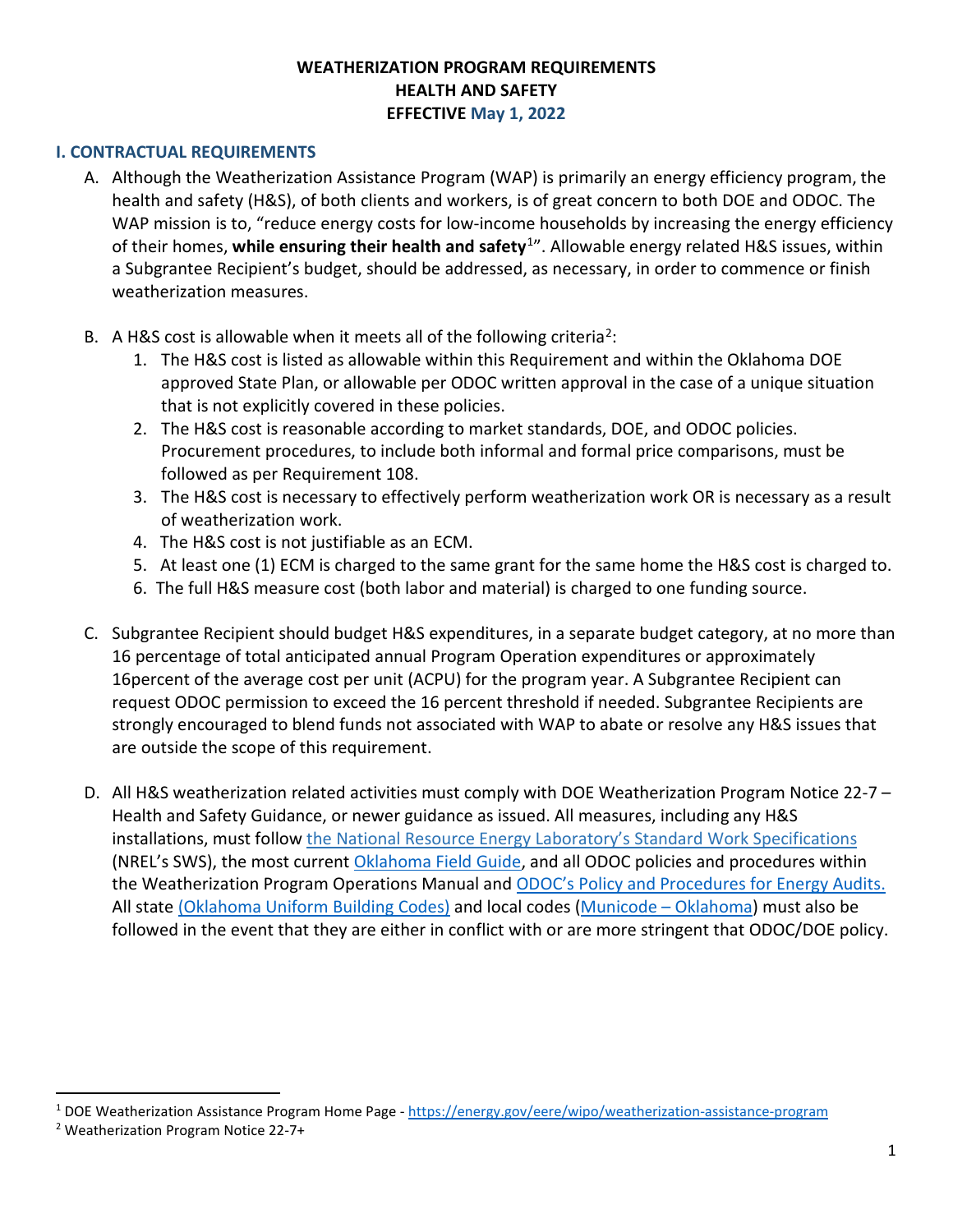#### **WEATHERIZATION PROGRAM REQUIREMENTS HEALTH AND SAFETY EFFECTIVE May 1, 2022**

#### <span id="page-0-2"></span>**I. CONTRACTUAL REQUIREMENTS**

- A. Although the Weatherization Assistance Program (WAP) is primarily an energy efficiency program, the health and safety (H&S), of both clients and workers, is of great concern to both DOE and ODOC. The WAP mission is to, "reduce energy costs for low-income households by increasing the energy efficiency of their homes, **while ensuring their health and safety**[1"](#page-0-0). Allowable energy related H&S issues, within a Subgrantee Recipient's budget, should be addressed, as necessary, in order to commence or finish weatherization measures.
- B. A H&S cost is allowable when it meets all of the following criteria<sup>[2](#page-0-1)</sup>:
	- 1. The H&S cost is listed as allowable within this Requirement and within the Oklahoma DOE approved State Plan, or allowable per ODOC written approval in the case of a unique situation that is not explicitly covered in these policies.
	- 2. The H&S cost is reasonable according to market standards, DOE, and ODOC policies. Procurement procedures, to include both informal and formal price comparisons, must be followed as per Requirement 108.
	- 3. The H&S cost is necessary to effectively perform weatherization work OR is necessary as a result of weatherization work.
	- 4. The H&S cost is not justifiable as an ECM.
	- 5. At least one (1) ECM is charged to the same grant for the same home the H&S cost is charged to.
	- 6. The full H&S measure cost (both labor and material) is charged to one funding source.
- C. Subgrantee Recipient should budget H&S expenditures, in a separate budget category, at no more than 16 percentage of total anticipated annual Program Operation expenditures or approximately 16percent of the average cost per unit (ACPU) for the program year. A Subgrantee Recipient can request ODOC permission to exceed the 16 percent threshold if needed. Subgrantee Recipients are strongly encouraged to blend funds not associated with WAP to abate or resolve any H&S issues that are outside the scope of this requirement.
- D. All H&S weatherization related activities must comply with DOE Weatherization Program Notice 22-7 Health and Safety Guidance, or newer guidance as issued. All measures, including any H&S installations, must follow [the National Resource Energy Laboratory's Standard Work Specifications](https://sws.nrel.gov/) (NREL's SWS), the most current [Oklahoma Field Guide,](https://www.okcommerce.gov/wp-content/uploads/Retrofitting-Oklahoma-SWS-Aligned-Field-Guide-FINAL-7.1.21.pdf) and all ODOC policies and procedures within the Weatherization Program Operations Manual an[d ODOC's Policy and Procedures for Energy Audits.](https://www.okcommerce.gov/wp-content/uploads/Weatherization-Policies-and-Procedures-for-Energy-Audits.pdf)  All state [\(Oklahoma Uniform Building Codes\)](https://www.ok.gov/oubcc/Codes_&_Rules/Adopted_Building_Codes/index.html) and local codes [\(Municode – Oklahoma\)](https://library.municode.com/ok) must also be followed in the event that they are either in conflict with or are more stringent that ODOC/DOE policy.

<span id="page-0-0"></span><sup>1</sup> DOE Weatherization Assistance Program Home Page [- https://energy.gov/eere/wipo/weatherization-assistance-program](https://energy.gov/eere/wipo/weatherization-assistance-program)

<span id="page-0-1"></span><sup>2</sup> Weatherization Program Notice 22-7+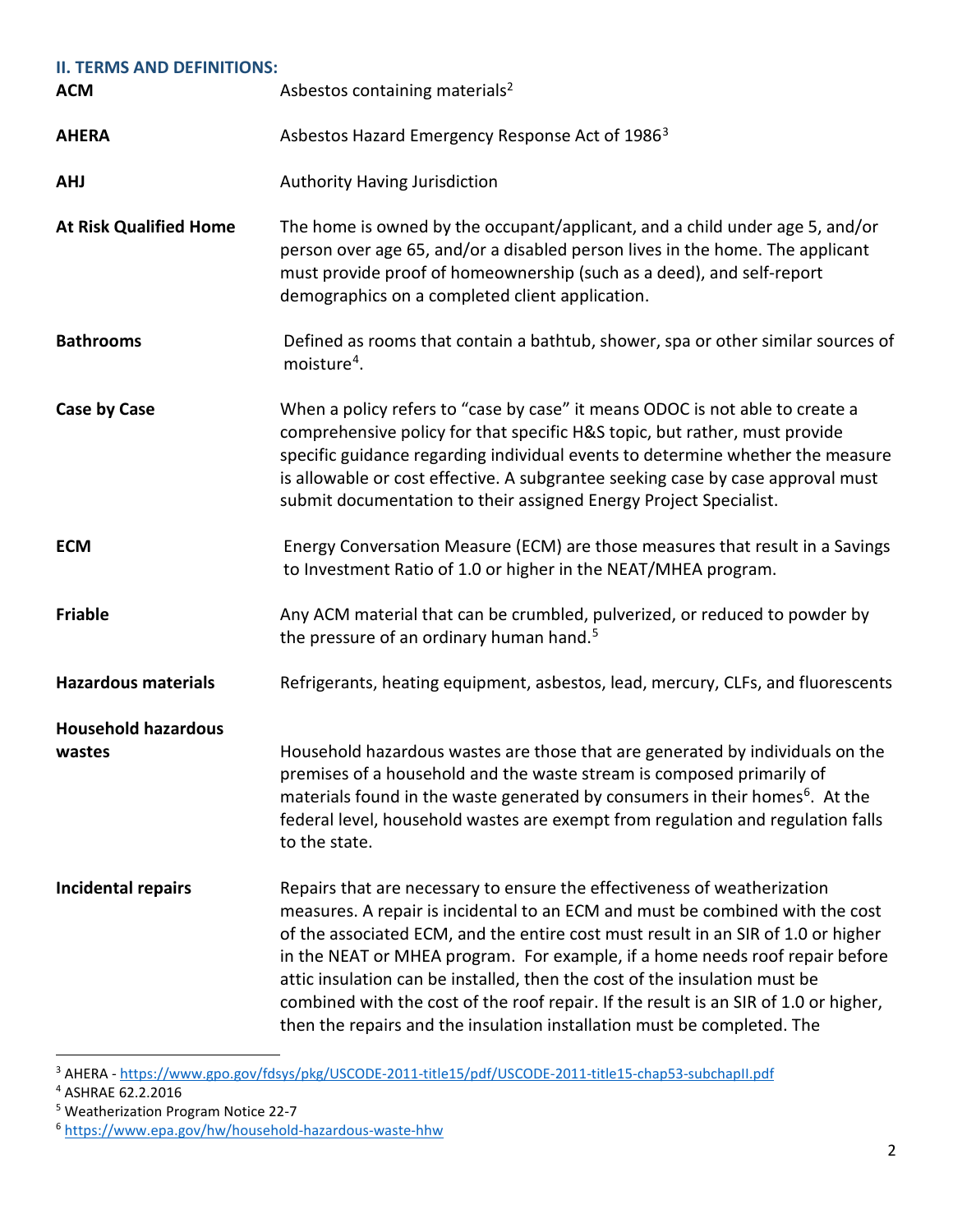| <b>II. TERMS AND DEFINITIONS:</b>    |                                                                                                                                                                                                                                                                                                                                                                                                                                                                                                                                                                                 |  |
|--------------------------------------|---------------------------------------------------------------------------------------------------------------------------------------------------------------------------------------------------------------------------------------------------------------------------------------------------------------------------------------------------------------------------------------------------------------------------------------------------------------------------------------------------------------------------------------------------------------------------------|--|
| <b>ACM</b>                           | Asbestos containing materials <sup>2</sup>                                                                                                                                                                                                                                                                                                                                                                                                                                                                                                                                      |  |
| <b>AHERA</b>                         | Asbestos Hazard Emergency Response Act of 1986 <sup>3</sup>                                                                                                                                                                                                                                                                                                                                                                                                                                                                                                                     |  |
| <b>AHJ</b>                           | <b>Authority Having Jurisdiction</b>                                                                                                                                                                                                                                                                                                                                                                                                                                                                                                                                            |  |
| <b>At Risk Qualified Home</b>        | The home is owned by the occupant/applicant, and a child under age 5, and/or<br>person over age 65, and/or a disabled person lives in the home. The applicant<br>must provide proof of homeownership (such as a deed), and self-report<br>demographics on a completed client application.                                                                                                                                                                                                                                                                                       |  |
| <b>Bathrooms</b>                     | Defined as rooms that contain a bathtub, shower, spa or other similar sources of<br>moisture <sup>4</sup> .                                                                                                                                                                                                                                                                                                                                                                                                                                                                     |  |
| <b>Case by Case</b>                  | When a policy refers to "case by case" it means ODOC is not able to create a<br>comprehensive policy for that specific H&S topic, but rather, must provide<br>specific guidance regarding individual events to determine whether the measure<br>is allowable or cost effective. A subgrantee seeking case by case approval must<br>submit documentation to their assigned Energy Project Specialist.                                                                                                                                                                            |  |
| <b>ECM</b>                           | Energy Conversation Measure (ECM) are those measures that result in a Savings<br>to Investment Ratio of 1.0 or higher in the NEAT/MHEA program.                                                                                                                                                                                                                                                                                                                                                                                                                                 |  |
| <b>Friable</b>                       | Any ACM material that can be crumbled, pulverized, or reduced to powder by<br>the pressure of an ordinary human hand. <sup>5</sup>                                                                                                                                                                                                                                                                                                                                                                                                                                              |  |
| <b>Hazardous materials</b>           | Refrigerants, heating equipment, asbestos, lead, mercury, CLFs, and fluorescents                                                                                                                                                                                                                                                                                                                                                                                                                                                                                                |  |
| <b>Household hazardous</b><br>wastes | Household hazardous wastes are those that are generated by individuals on the<br>premises of a household and the waste stream is composed primarily of<br>materials found in the waste generated by consumers in their homes <sup>6</sup> . At the<br>federal level, household wastes are exempt from regulation and regulation falls<br>to the state.                                                                                                                                                                                                                          |  |
| <b>Incidental repairs</b>            | Repairs that are necessary to ensure the effectiveness of weatherization<br>measures. A repair is incidental to an ECM and must be combined with the cost<br>of the associated ECM, and the entire cost must result in an SIR of 1.0 or higher<br>in the NEAT or MHEA program. For example, if a home needs roof repair before<br>attic insulation can be installed, then the cost of the insulation must be<br>combined with the cost of the roof repair. If the result is an SIR of 1.0 or higher,<br>then the repairs and the insulation installation must be completed. The |  |

<span id="page-1-0"></span><sup>&</sup>lt;sup>3</sup> AHERA -<https://www.gpo.gov/fdsys/pkg/USCODE-2011-title15/pdf/USCODE-2011-title15-chap53-subchapII.pdf>

- <span id="page-1-1"></span><sup>4</sup> ASHRAE 62.2.2016
- 

<span id="page-1-3"></span><span id="page-1-2"></span><sup>&</sup>lt;sup>5</sup> Weatherization Program Notice 22-7<br><sup>6</sup> https://www.epa.gov/hw/household-hazardous-waste-hhw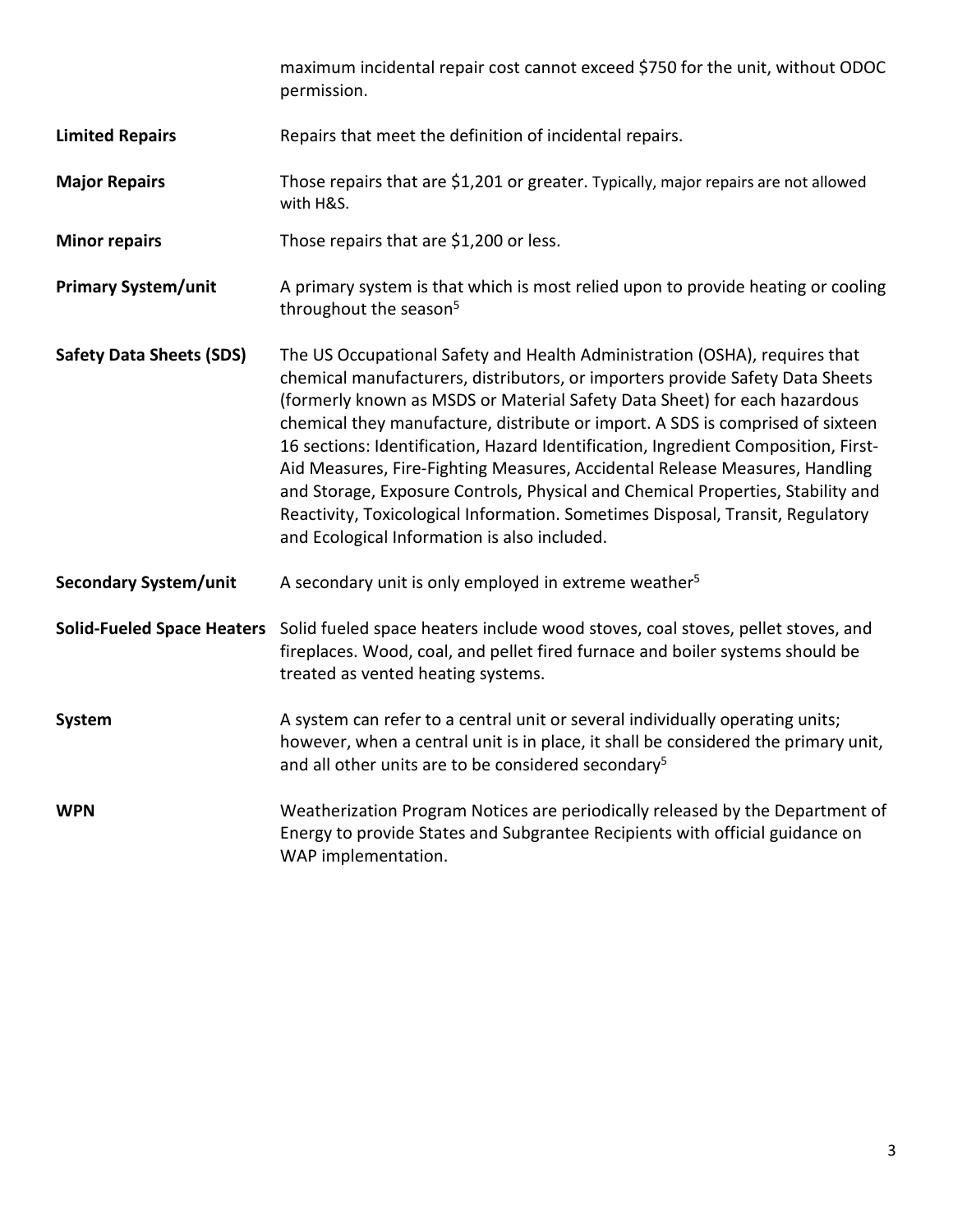maximum incidental repair cost cannot exceed \$750 for the unit, without ODOC permission.

- **Limited Repairs** Repairs that meet the definition of incidental repairs.
- **Major Repairs** Those repairs that are \$1,201 or greater. Typically, major repairs are not allowed with H&S.
- **Minor repairs** Those repairs that are \$1,200 or less.
- **Primary System/unit** A primary system is that which is most relied upon to provide heating or cooling throughout the season $5$
- **Safety Data Sheets (SDS)** The US Occupational Safety and Health Administration (OSHA), requires that chemical manufacturers, distributors, or importers provide Safety Data Sheets (formerly known as MSDS or Material Safety Data Sheet) for each hazardous chemical they manufacture, distribute or import. A SDS is comprised of sixteen 16 sections: Identification, Hazard Identification, Ingredient Composition, First-Aid Measures, Fire-Fighting Measures, Accidental Release Measures, Handling and Storage, Exposure Controls, Physical and Chemical Properties, Stability and Reactivity, Toxicological Information. Sometimes Disposal, Transit, Regulatory and Ecological Information is also included.
- **Secondary System/unit** A secondary unit is only employed in extreme weather<sup>5</sup>

**Solid-Fueled Space Heaters** Solid fueled space heaters include wood stoves, coal stoves, pellet stoves, and fireplaces. Wood, coal, and pellet fired furnace and boiler systems should be treated as vented heating systems.

- **System** A system can refer to a central unit or several individually operating units; however, when a central unit is in place, it shall be considered the primary unit, and all other units are to be considered secondary<sup>5</sup>
- **WPN** Weatherization Program Notices are periodically released by the Department of Energy to provide States and Subgrantee Recipients with official guidance on WAP implementation.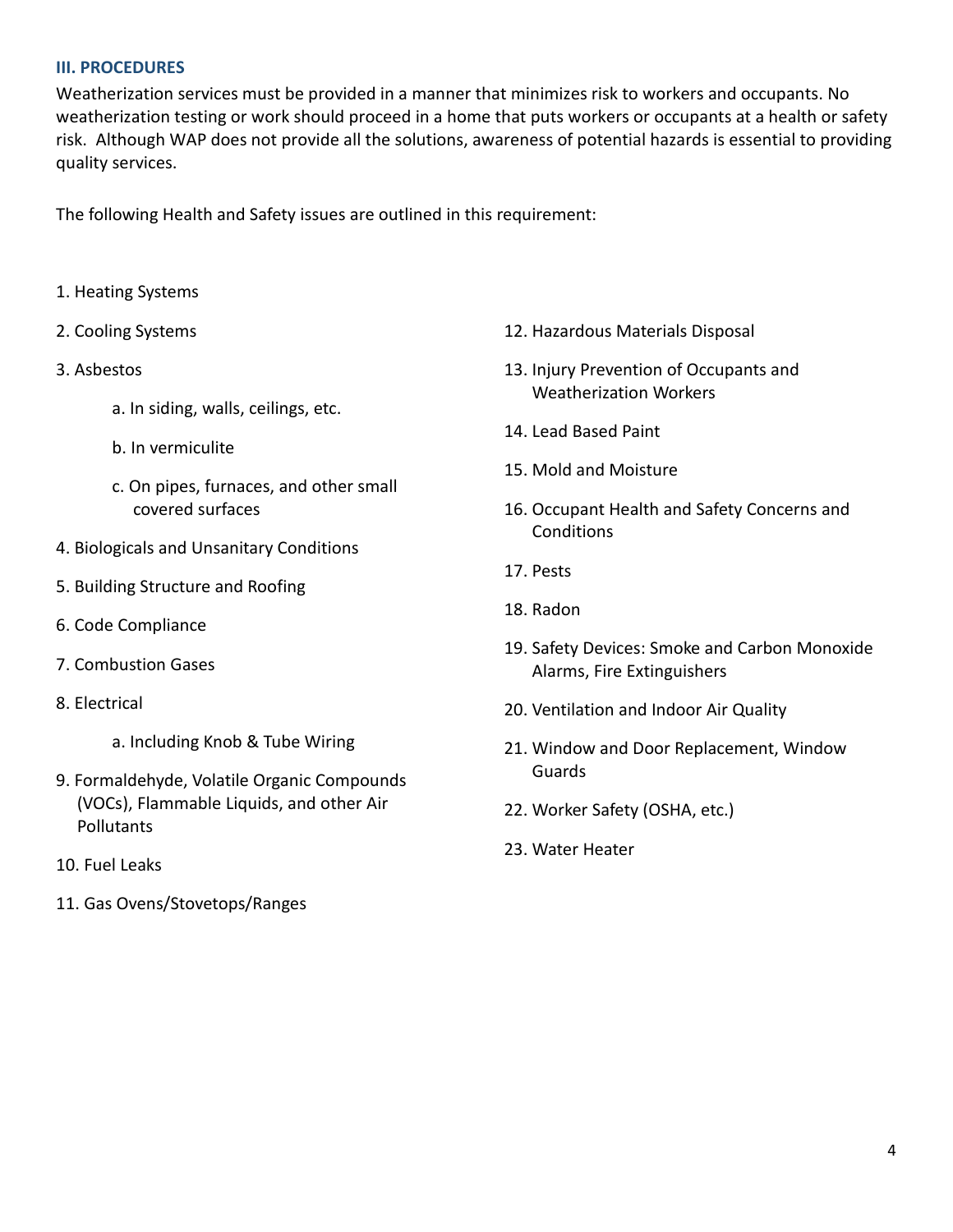#### **III. PROCEDURES**

Weatherization services must be provided in a manner that minimizes risk to workers and occupants. No weatherization testing or work should proceed in a home that puts workers or occupants at a health or safety risk. Although WAP does not provide all the solutions, awareness of potential hazards is essential to providing quality services.

The following Health and Safety issues are outlined in this requirement:

- 1. Heating Systems
- 2. Cooling Systems
- 3. Asbestos
	- a. In siding, walls, ceilings, etc.
	- b. In vermiculite
	- c. On pipes, furnaces, and other small covered surfaces
- 4. Biologicals and Unsanitary Conditions
- 5. Building Structure and Roofing
- 6. Code Compliance
- 7. Combustion Gases
- 8. Electrical
	- a. Including Knob & Tube Wiring
- 9. Formaldehyde, Volatile Organic Compounds (VOCs), Flammable Liquids, and other Air Pollutants
- 10. Fuel Leaks
- 11. Gas Ovens/Stovetops/Ranges
- 12. Hazardous Materials Disposal
- 13. Injury Prevention of Occupants and Weatherization Workers
- 14. Lead Based Paint
- 15. Mold and Moisture
- 16. Occupant Health and Safety Concerns and **Conditions**
- 17. Pests
- 18. Radon
- 19. Safety Devices: Smoke and Carbon Monoxide Alarms, Fire Extinguishers
- 20. Ventilation and Indoor Air Quality
- 21. Window and Door Replacement, Window Guards
- 22. Worker Safety (OSHA, etc.)
- 23. Water Heater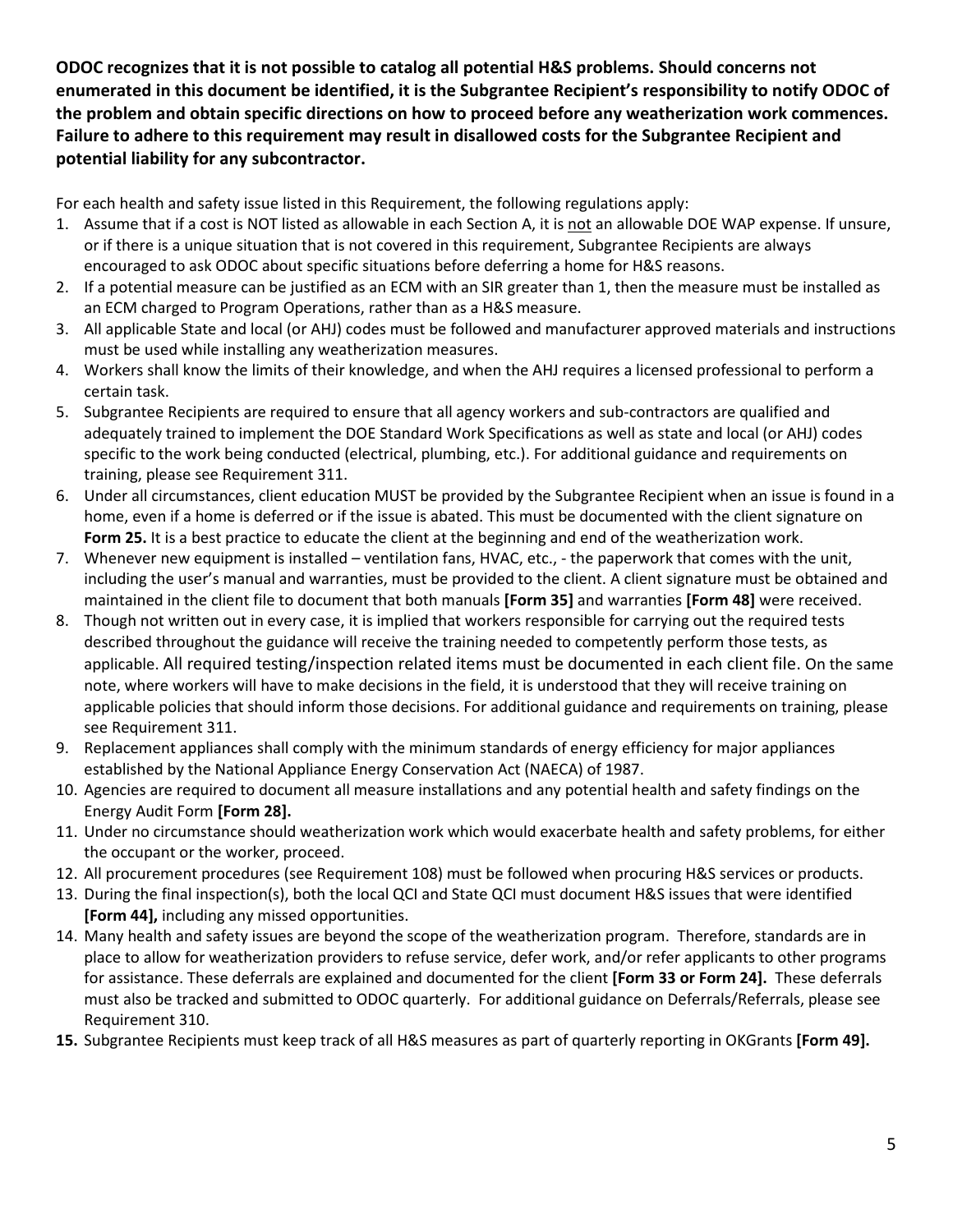**ODOC recognizes that it is not possible to catalog all potential H&S problems. Should concerns not enumerated in this document be identified, it is the Subgrantee Recipient's responsibility to notify ODOC of the problem and obtain specific directions on how to proceed before any weatherization work commences. Failure to adhere to this requirement may result in disallowed costs for the Subgrantee Recipient and potential liability for any subcontractor.** 

For each health and safety issue listed in this Requirement, the following regulations apply:

- 1. Assume that if a cost is NOT listed as allowable in each Section A, it is not an allowable DOE WAP expense. If unsure, or if there is a unique situation that is not covered in this requirement, Subgrantee Recipients are always encouraged to ask ODOC about specific situations before deferring a home for H&S reasons.
- 2. If a potential measure can be justified as an ECM with an SIR greater than 1, then the measure must be installed as an ECM charged to Program Operations, rather than as a H&S measure.
- 3. All applicable State and local (or AHJ) codes must be followed and manufacturer approved materials and instructions must be used while installing any weatherization measures.
- 4. Workers shall know the limits of their knowledge, and when the AHJ requires a licensed professional to perform a certain task.
- 5. Subgrantee Recipients are required to ensure that all agency workers and sub-contractors are qualified and adequately trained to implement the DOE Standard Work Specifications as well as state and local (or AHJ) codes specific to the work being conducted (electrical, plumbing, etc.). For additional guidance and requirements on training, please see Requirement 311.
- 6. Under all circumstances, client education MUST be provided by the Subgrantee Recipient when an issue is found in a home, even if a home is deferred or if the issue is abated. This must be documented with the client signature on **Form 25.** It is a best practice to educate the client at the beginning and end of the weatherization work.
- 7. Whenever new equipment is installed ventilation fans, HVAC, etc., the paperwork that comes with the unit, including the user's manual and warranties, must be provided to the client. A client signature must be obtained and maintained in the client file to document that both manuals **[Form 35]** and warranties **[Form 48]** were received.
- 8. Though not written out in every case, it is implied that workers responsible for carrying out the required tests described throughout the guidance will receive the training needed to competently perform those tests, as applicable. All required testing/inspection related items must be documented in each client file. On the same note, where workers will have to make decisions in the field, it is understood that they will receive training on applicable policies that should inform those decisions. For additional guidance and requirements on training, please see Requirement 311.
- 9. Replacement appliances shall comply with the minimum standards of energy efficiency for major appliances established by the National Appliance Energy Conservation Act (NAECA) of 1987.
- 10. Agencies are required to document all measure installations and any potential health and safety findings on the Energy Audit Form **[Form 28].**
- 11. Under no circumstance should weatherization work which would exacerbate health and safety problems, for either the occupant or the worker, proceed.
- 12. All procurement procedures (see Requirement 108) must be followed when procuring H&S services or products.
- 13. During the final inspection(s), both the local QCI and State QCI must document H&S issues that were identified **[Form 44],** including any missed opportunities.
- 14. Many health and safety issues are beyond the scope of the weatherization program. Therefore, standards are in place to allow for weatherization providers to refuse service, defer work, and/or refer applicants to other programs for assistance. These deferrals are explained and documented for the client **[Form 33 or Form 24].** These deferrals must also be tracked and submitted to ODOC quarterly. For additional guidance on Deferrals/Referrals, please see Requirement 310.
- **15.** Subgrantee Recipients must keep track of all H&S measures as part of quarterly reporting in OKGrants **[Form 49].**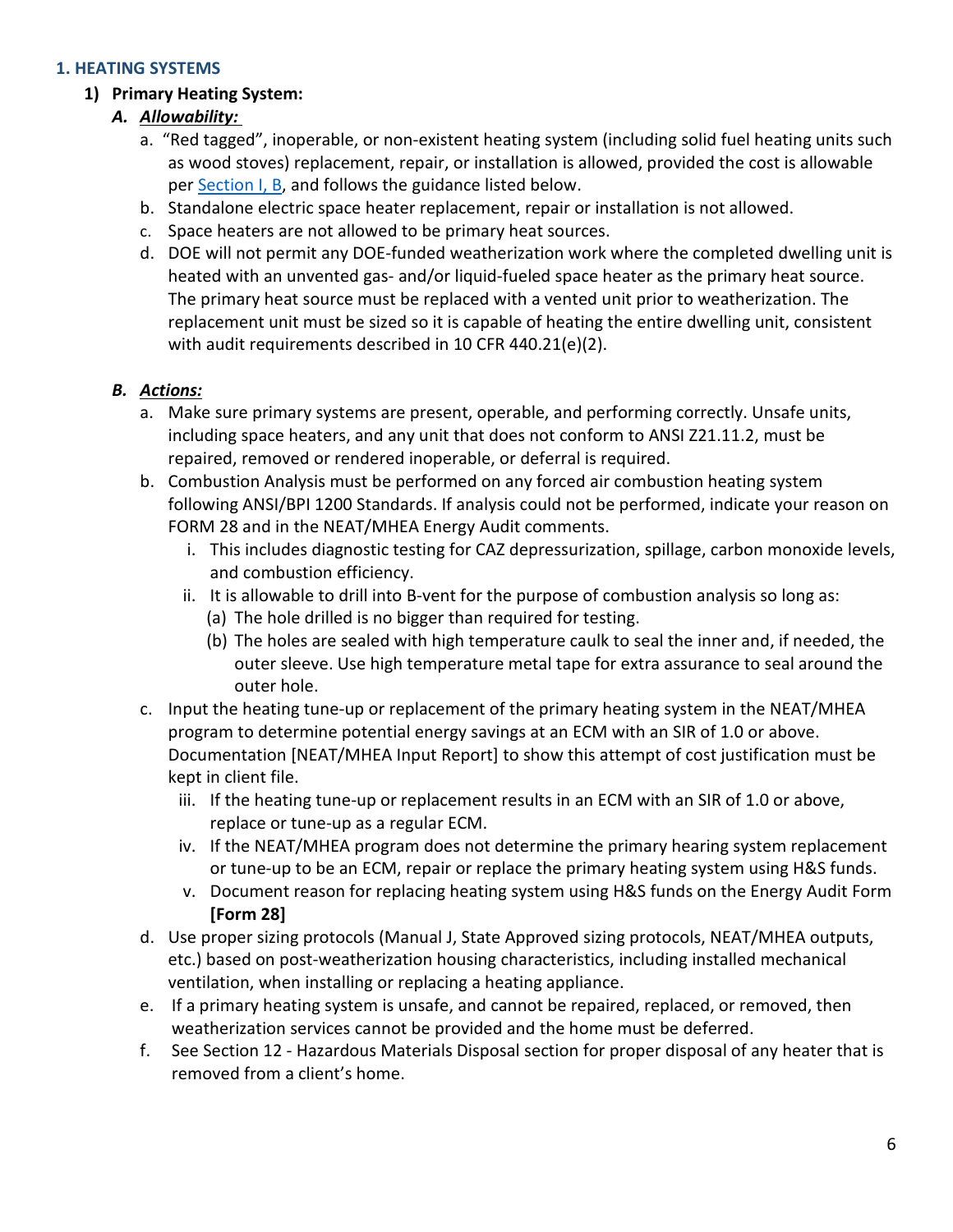#### **1. HEATING SYSTEMS**

#### **1) Primary Heating System:**

## *A. Allowability:*

- a. "Red tagged", inoperable, or non-existent heating system (including solid fuel heating units such as wood stoves) replacement, repair, or installation is allowed, provided the cost is allowable per [Section I, B,](#page-0-2) and follows the guidance listed below.
- b. Standalone electric space heater replacement, repair or installation is not allowed.
- c. Space heaters are not allowed to be primary heat sources.
- d. DOE will not permit any DOE-funded weatherization work where the completed dwelling unit is heated with an unvented gas- and/or liquid-fueled space heater as the primary heat source. The primary heat source must be replaced with a vented unit prior to weatherization. The replacement unit must be sized so it is capable of heating the entire dwelling unit, consistent with audit requirements described in 10 CFR 440.21(e)(2).

- a. Make sure primary systems are present, operable, and performing correctly. Unsafe units, including space heaters, and any unit that does not conform to ANSI Z21.11.2, must be repaired, removed or rendered inoperable, or deferral is required.
- b. Combustion Analysis must be performed on any forced air combustion heating system following ANSI/BPI 1200 Standards. If analysis could not be performed, indicate your reason on FORM 28 and in the NEAT/MHEA Energy Audit comments.
	- i. This includes diagnostic testing for CAZ depressurization, spillage, carbon monoxide levels, and combustion efficiency.
	- ii. It is allowable to drill into B-vent for the purpose of combustion analysis so long as:
		- (a) The hole drilled is no bigger than required for testing.
		- (b) The holes are sealed with high temperature caulk to seal the inner and, if needed, the outer sleeve. Use high temperature metal tape for extra assurance to seal around the outer hole.
- c. Input the heating tune-up or replacement of the primary heating system in the NEAT/MHEA program to determine potential energy savings at an ECM with an SIR of 1.0 or above. Documentation [NEAT/MHEA Input Report] to show this attempt of cost justification must be kept in client file.
	- iii. If the heating tune-up or replacement results in an ECM with an SIR of 1.0 or above, replace or tune-up as a regular ECM.
	- iv. If the NEAT/MHEA program does not determine the primary hearing system replacement or tune-up to be an ECM, repair or replace the primary heating system using H&S funds.
	- v. Document reason for replacing heating system using H&S funds on the Energy Audit Form **[Form 28]**
- d. Use proper sizing protocols (Manual J, State Approved sizing protocols, NEAT/MHEA outputs, etc.) based on post-weatherization housing characteristics, including installed mechanical ventilation, when installing or replacing a heating appliance.
- e. If a primary heating system is unsafe, and cannot be repaired, replaced, or removed, then weatherization services cannot be provided and the home must be deferred.
- f. See Section 12 Hazardous Materials Disposal section for proper disposal of any heater that is removed from a client's home.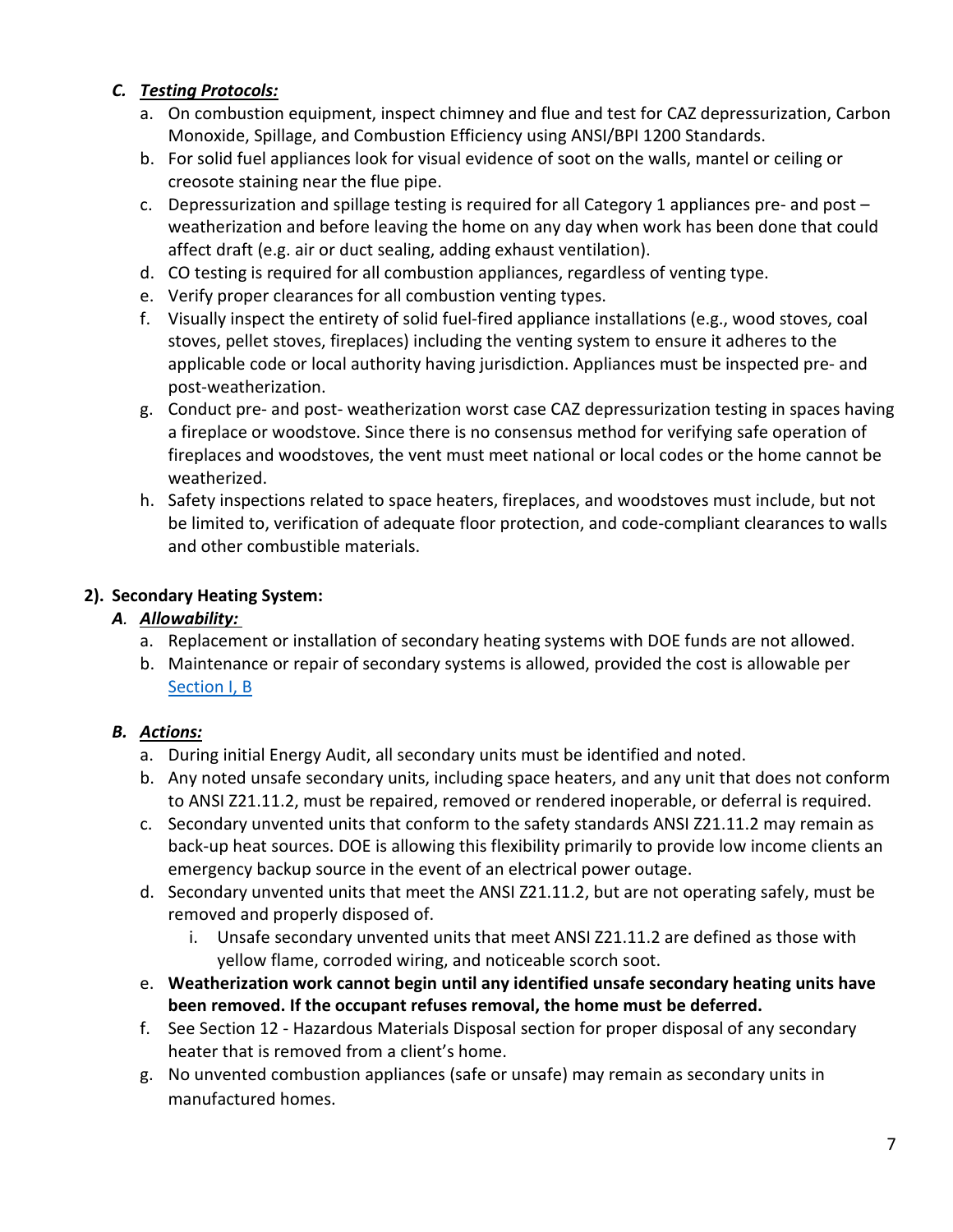- a. On combustion equipment, inspect chimney and flue and test for CAZ depressurization, Carbon Monoxide, Spillage, and Combustion Efficiency using ANSI/BPI 1200 Standards.
- b. For solid fuel appliances look for visual evidence of soot on the walls, mantel or ceiling or creosote staining near the flue pipe.
- c. Depressurization and spillage testing is required for all Category 1 appliances pre- and post weatherization and before leaving the home on any day when work has been done that could affect draft (e.g. air or duct sealing, adding exhaust ventilation).
- d. CO testing is required for all combustion appliances, regardless of venting type.
- e. Verify proper clearances for all combustion venting types.
- f. Visually inspect the entirety of solid fuel-fired appliance installations (e.g., wood stoves, coal stoves, pellet stoves, fireplaces) including the venting system to ensure it adheres to the applicable code or local authority having jurisdiction. Appliances must be inspected pre- and post-weatherization.
- g. Conduct pre- and post- weatherization worst case CAZ depressurization testing in spaces having a fireplace or woodstove. Since there is no consensus method for verifying safe operation of fireplaces and woodstoves, the vent must meet national or local codes or the home cannot be weatherized.
- h. Safety inspections related to space heaters, fireplaces, and woodstoves must include, but not be limited to, verification of adequate floor protection, and code-compliant clearances to walls and other combustible materials.

#### **2). Secondary Heating System:**

## *A. Allowability:*

- a. Replacement or installation of secondary heating systems with DOE funds are not allowed.
- b. Maintenance or repair of secondary systems is allowed, provided the cost is allowable per [Section I, B](#page-0-2)

- a. During initial Energy Audit, all secondary units must be identified and noted.
- b. Any noted unsafe secondary units, including space heaters, and any unit that does not conform to ANSI Z21.11.2, must be repaired, removed or rendered inoperable, or deferral is required.
- c. Secondary unvented units that conform to the safety standards ANSI Z21.11.2 may remain as back-up heat sources. DOE is allowing this flexibility primarily to provide low income clients an emergency backup source in the event of an electrical power outage.
- d. Secondary unvented units that meet the ANSI Z21.11.2, but are not operating safely, must be removed and properly disposed of.
	- i. Unsafe secondary unvented units that meet ANSI Z21.11.2 are defined as those with yellow flame, corroded wiring, and noticeable scorch soot.
- e. **Weatherization work cannot begin until any identified unsafe secondary heating units have been removed. If the occupant refuses removal, the home must be deferred.**
- f. See Section 12 Hazardous Materials Disposal section for proper disposal of any secondary heater that is removed from a client's home.
- g. No unvented combustion appliances (safe or unsafe) may remain as secondary units in manufactured homes.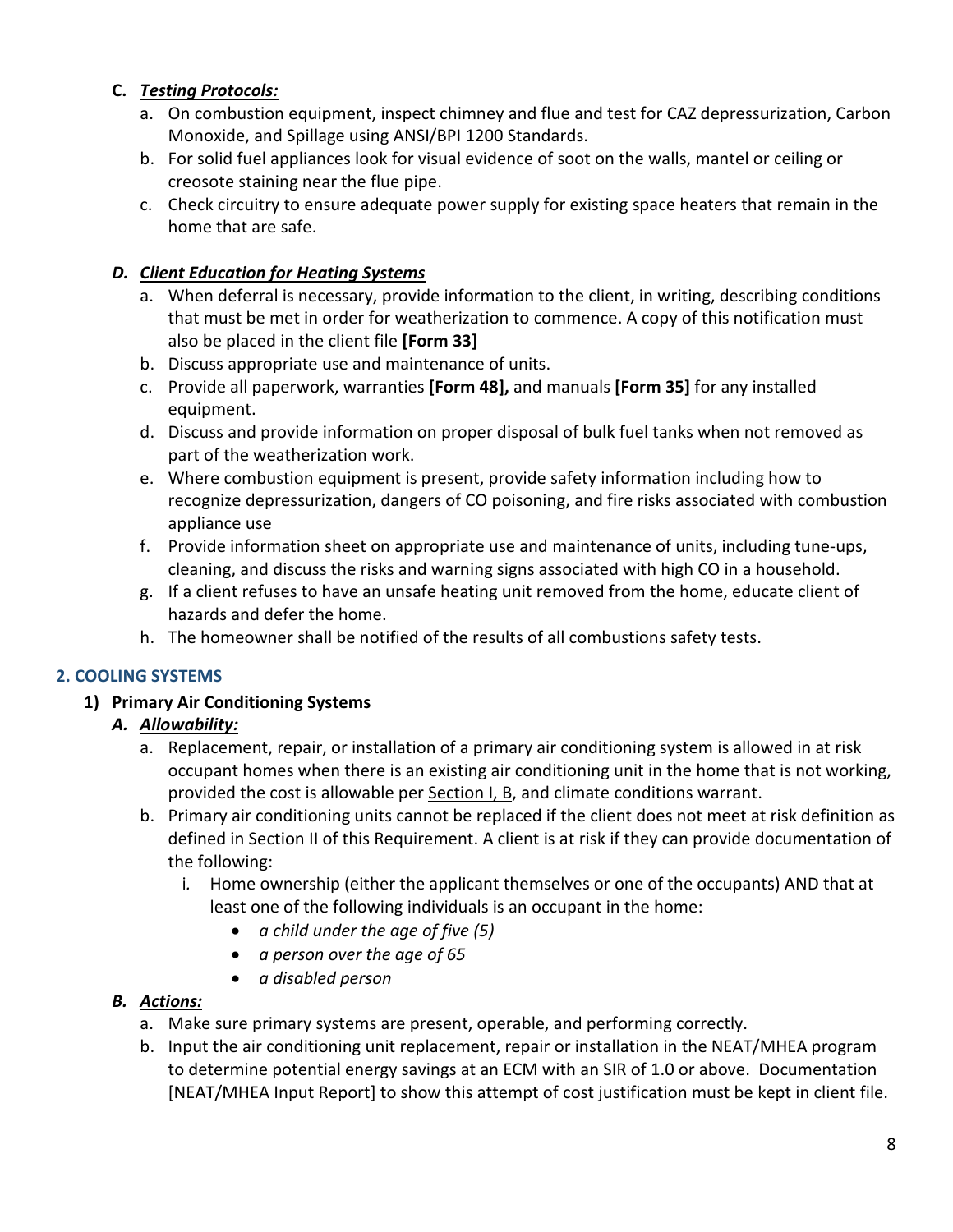- a. On combustion equipment, inspect chimney and flue and test for CAZ depressurization, Carbon Monoxide, and Spillage using ANSI/BPI 1200 Standards.
- b. For solid fuel appliances look for visual evidence of soot on the walls, mantel or ceiling or creosote staining near the flue pipe.
- c. Check circuitry to ensure adequate power supply for existing space heaters that remain in the home that are safe.

## *D. Client Education for Heating Systems*

- a. When deferral is necessary, provide information to the client, in writing, describing conditions that must be met in order for weatherization to commence. A copy of this notification must also be placed in the client file **[Form 33]**
- b. Discuss appropriate use and maintenance of units.
- c. Provide all paperwork, warranties **[Form 48],** and manuals **[Form 35]** for any installed equipment.
- d. Discuss and provide information on proper disposal of bulk fuel tanks when not removed as part of the weatherization work.
- e. Where combustion equipment is present, provide safety information including how to recognize depressurization, dangers of CO poisoning, and fire risks associated with combustion appliance use
- f. Provide information sheet on appropriate use and maintenance of units, including tune-ups, cleaning, and discuss the risks and warning signs associated with high CO in a household.
- g. If a client refuses to have an unsafe heating unit removed from the home, educate client of hazards and defer the home.
- h. The homeowner shall be notified of the results of all combustions safety tests.

## **2. COOLING SYSTEMS**

## **1) Primary Air Conditioning Systems**

## *A. Allowability:*

- a. Replacement, repair, or installation of a primary air conditioning system is allowed in at risk occupant homes when there is an existing air conditioning unit in the home that is not working, provided the cost is allowable per [Section I, B,](#page-0-2) and climate conditions warrant.
- b. Primary air conditioning units cannot be replaced if the client does not meet at risk definition as defined in Section II of this Requirement. A client is at risk if they can provide documentation of the following:
	- i*.* Home ownership (either the applicant themselves or one of the occupants) AND that at least one of the following individuals is an occupant in the home:
		- *a child under the age of five (5)*
		- *a person over the age of 65*
		- *a disabled person*

- a. Make sure primary systems are present, operable, and performing correctly.
- b. Input the air conditioning unit replacement, repair or installation in the NEAT/MHEA program to determine potential energy savings at an ECM with an SIR of 1.0 or above. Documentation [NEAT/MHEA Input Report] to show this attempt of cost justification must be kept in client file.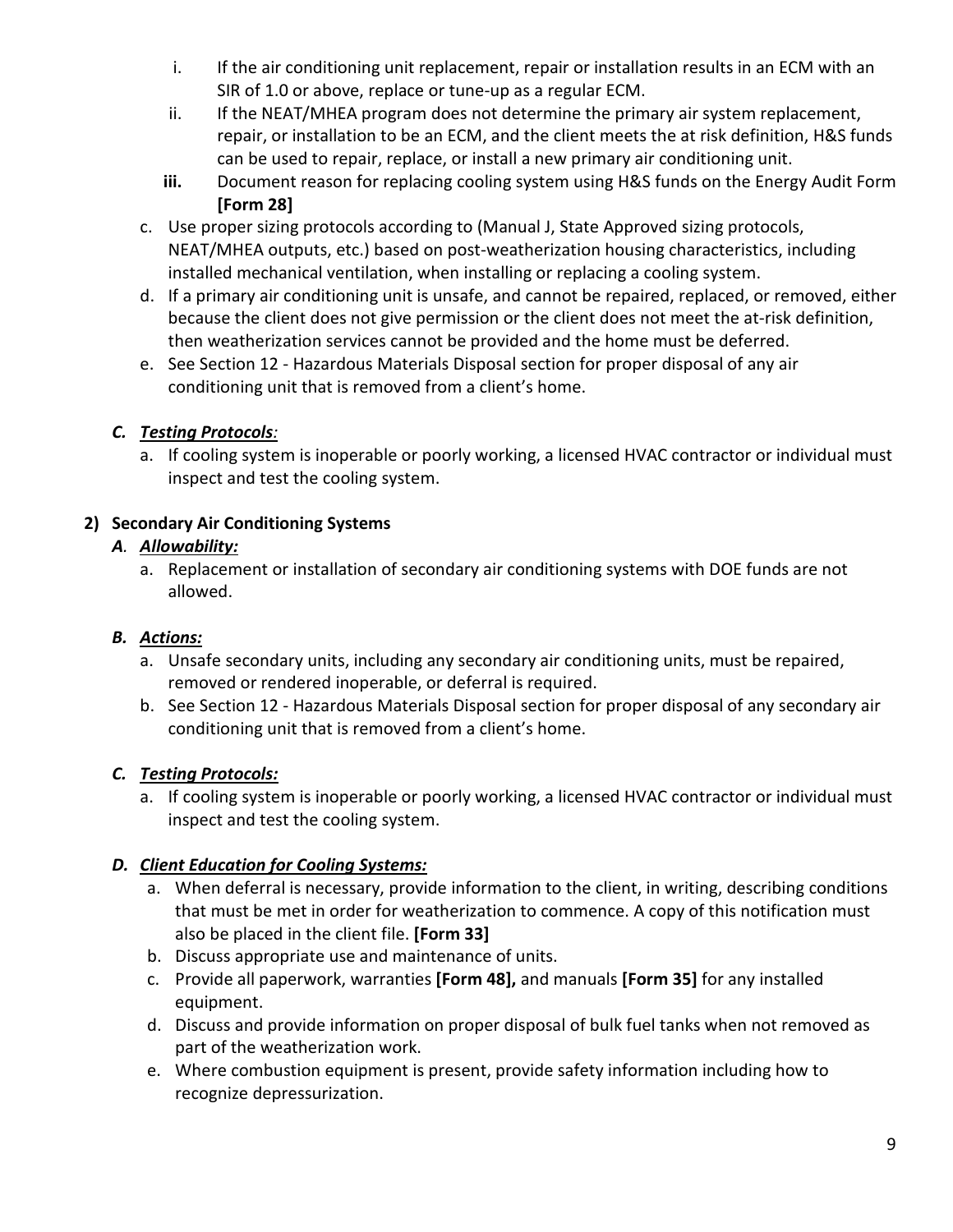- i. If the air conditioning unit replacement, repair or installation results in an ECM with an SIR of 1.0 or above, replace or tune-up as a regular ECM.
- ii. If the NEAT/MHEA program does not determine the primary air system replacement, repair, or installation to be an ECM, and the client meets the at risk definition, H&S funds can be used to repair, replace, or install a new primary air conditioning unit.
- **iii.** Document reason for replacing cooling system using H&S funds on the Energy Audit Form **[Form 28]**
- c. Use proper sizing protocols according to (Manual J, State Approved sizing protocols, NEAT/MHEA outputs, etc.) based on post-weatherization housing characteristics, including installed mechanical ventilation, when installing or replacing a cooling system.
- d. If a primary air conditioning unit is unsafe, and cannot be repaired, replaced, or removed, either because the client does not give permission or the client does not meet the at-risk definition, then weatherization services cannot be provided and the home must be deferred.
- e. See Section 12 Hazardous Materials Disposal section for proper disposal of any air conditioning unit that is removed from a client's home.

a. If cooling system is inoperable or poorly working, a licensed HVAC contractor or individual must inspect and test the cooling system.

## **2) Secondary Air Conditioning Systems**

## *A. Allowability:*

a. Replacement or installation of secondary air conditioning systems with DOE funds are not allowed.

# *B. Actions:*

- a. Unsafe secondary units, including any secondary air conditioning units, must be repaired, removed or rendered inoperable, or deferral is required.
- b. See Section 12 Hazardous Materials Disposal section for proper disposal of any secondary air conditioning unit that is removed from a client's home.

## *C. Testing Protocols:*

a. If cooling system is inoperable or poorly working, a licensed HVAC contractor or individual must inspect and test the cooling system.

## *D. Client Education for Cooling Systems:*

- a. When deferral is necessary, provide information to the client, in writing, describing conditions that must be met in order for weatherization to commence. A copy of this notification must also be placed in the client file. **[Form 33]**
- b. Discuss appropriate use and maintenance of units.
- c. Provide all paperwork, warranties **[Form 48],** and manuals **[Form 35]** for any installed equipment.
- d. Discuss and provide information on proper disposal of bulk fuel tanks when not removed as part of the weatherization work.
- e. Where combustion equipment is present, provide safety information including how to recognize depressurization.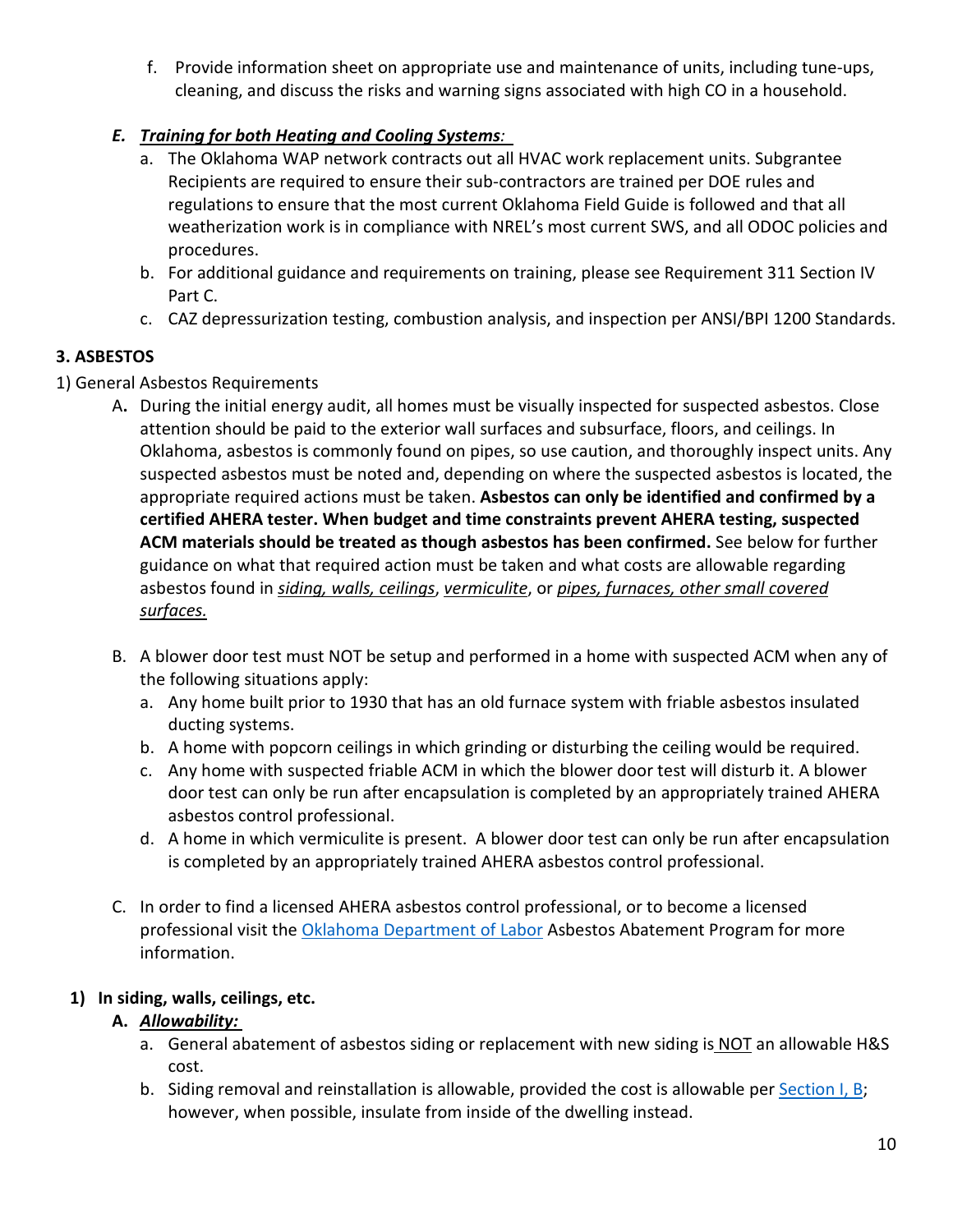f. Provide information sheet on appropriate use and maintenance of units, including tune-ups, cleaning, and discuss the risks and warning signs associated with high CO in a household.

## *E. Training for both Heating and Cooling Systems:*

- a. The Oklahoma WAP network contracts out all HVAC work replacement units. Subgrantee Recipients are required to ensure their sub-contractors are trained per DOE rules and regulations to ensure that the most current Oklahoma Field Guide is followed and that all weatherization work is in compliance with NREL's most current SWS, and all ODOC policies and procedures.
- b. For additional guidance and requirements on training, please see Requirement 311 Section IV Part C.
- c. CAZ depressurization testing, combustion analysis, and inspection per ANSI/BPI 1200 Standards.

## **3. ASBESTOS**

- 1) General Asbestos Requirements
	- A**.** During the initial energy audit, all homes must be visually inspected for suspected asbestos. Close attention should be paid to the exterior wall surfaces and subsurface, floors, and ceilings. In Oklahoma, asbestos is commonly found on pipes, so use caution, and thoroughly inspect units. Any suspected asbestos must be noted and, depending on where the suspected asbestos is located, the appropriate required actions must be taken. **Asbestos can only be identified and confirmed by a certified AHERA tester. When budget and time constraints prevent AHERA testing, suspected ACM materials should be treated as though asbestos has been confirmed.** See below for further guidance on what that required action must be taken and what costs are allowable regarding asbestos found in *siding, walls, ceilings*, *vermiculite*, or *pipes, furnaces, other small covered surfaces.*
	- B. A blower door test must NOT be setup and performed in a home with suspected ACM when any of the following situations apply:
		- a. Any home built prior to 1930 that has an old furnace system with friable asbestos insulated ducting systems.
		- b. A home with popcorn ceilings in which grinding or disturbing the ceiling would be required.
		- c. Any home with suspected friable ACM in which the blower door test will disturb it. A blower door test can only be run after encapsulation is completed by an appropriately trained AHERA asbestos control professional.
		- d. A home in which vermiculite is present. A blower door test can only be run after encapsulation is completed by an appropriately trained AHERA asbestos control professional.
	- C. In order to find a licensed AHERA asbestos control professional, or to become a licensed professional visit the [Oklahoma Department of Labor](https://www.ok.gov/odol/Services/Asbestos_Abatement/) Asbestos Abatement Program for more information.

## **1) In siding, walls, ceilings, etc.**

## **A.** *Allowability:*

- a. General abatement of asbestos siding or replacement with new siding is NOT an allowable H&S cost.
- b. Siding removal and reinstallation is allowable, provided the cost is allowable pe[r Section I, B;](#page-0-2) however, when possible, insulate from inside of the dwelling instead.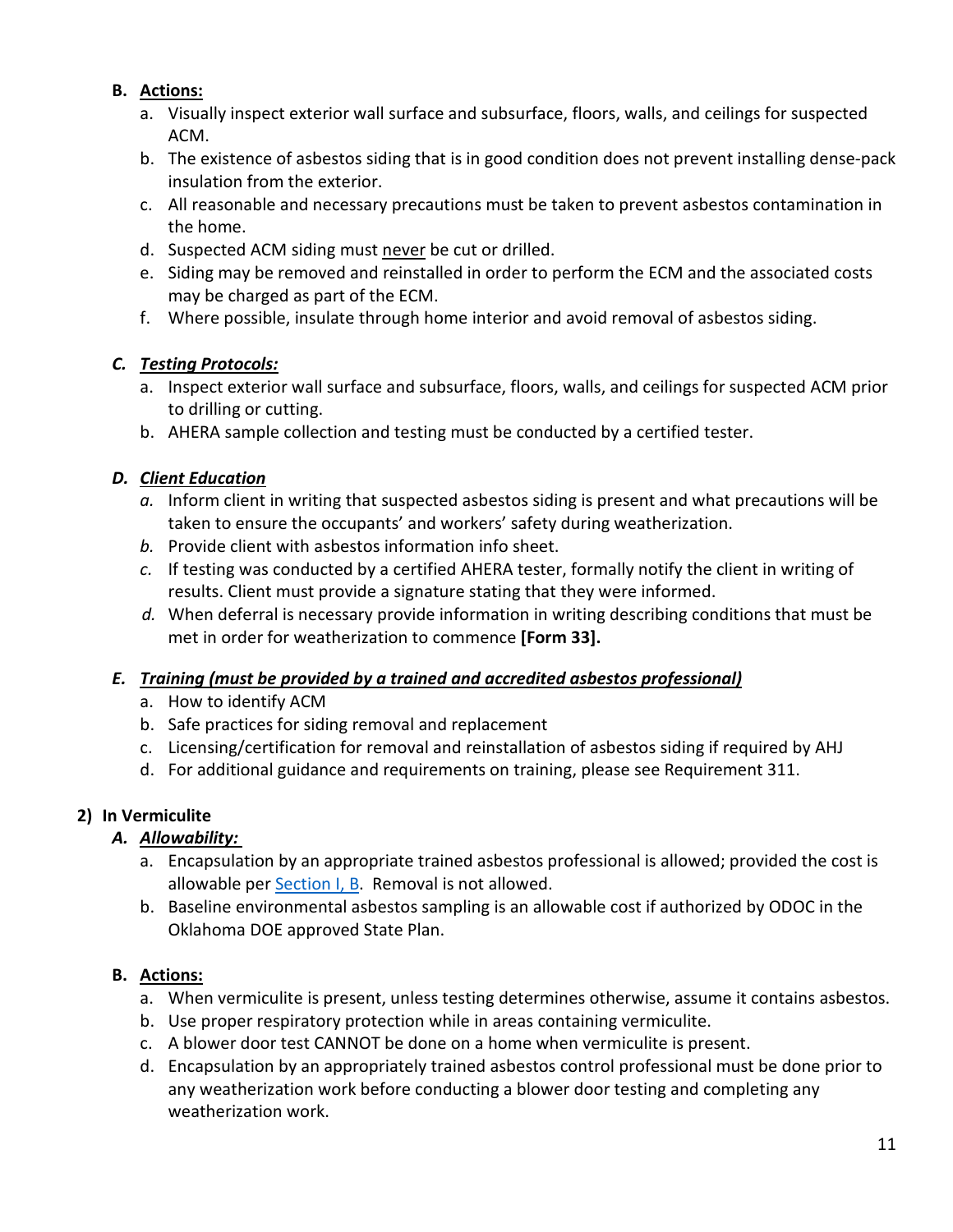## **B. Actions:**

- a. Visually inspect exterior wall surface and subsurface, floors, walls, and ceilings for suspected ACM.
- b. The existence of asbestos siding that is in good condition does not prevent installing dense-pack insulation from the exterior.
- c. All reasonable and necessary precautions must be taken to prevent asbestos contamination in the home.
- d. Suspected ACM siding must never be cut or drilled.
- e. Siding may be removed and reinstalled in order to perform the ECM and the associated costs may be charged as part of the ECM.
- f. Where possible, insulate through home interior and avoid removal of asbestos siding.

#### *C. Testing Protocols:*

- a. Inspect exterior wall surface and subsurface, floors, walls, and ceilings for suspected ACM prior to drilling or cutting.
- b. AHERA sample collection and testing must be conducted by a certified tester.

## *D. Client Education*

- *a.* Inform client in writing that suspected asbestos siding is present and what precautions will be taken to ensure the occupants' and workers' safety during weatherization.
- *b.* Provide client with asbestos information info sheet.
- *c.* If testing was conducted by a certified AHERA tester, formally notify the client in writing of results. Client must provide a signature stating that they were informed.
- *d.* When deferral is necessary provide information in writing describing conditions that must be met in order for weatherization to commence **[Form 33].**

#### *E. Training (must be provided by a trained and accredited asbestos professional)*

- a. How to identify ACM
- b. Safe practices for siding removal and replacement
- c. Licensing/certification for removal and reinstallation of asbestos siding if required by AHJ
- d. For additional guidance and requirements on training, please see Requirement 311.

## **2) In Vermiculite**

- *A. Allowability:* 
	- a. Encapsulation by an appropriate trained asbestos professional is allowed; provided the cost is allowable per [Section I, B.](#page-0-2) Removal is not allowed.
	- b. Baseline environmental asbestos sampling is an allowable cost if authorized by ODOC in the Oklahoma DOE approved State Plan.

- a. When vermiculite is present, unless testing determines otherwise, assume it contains asbestos.
- b. Use proper respiratory protection while in areas containing vermiculite.
- c. A blower door test CANNOT be done on a home when vermiculite is present.
- d. Encapsulation by an appropriately trained asbestos control professional must be done prior to any weatherization work before conducting a blower door testing and completing any weatherization work.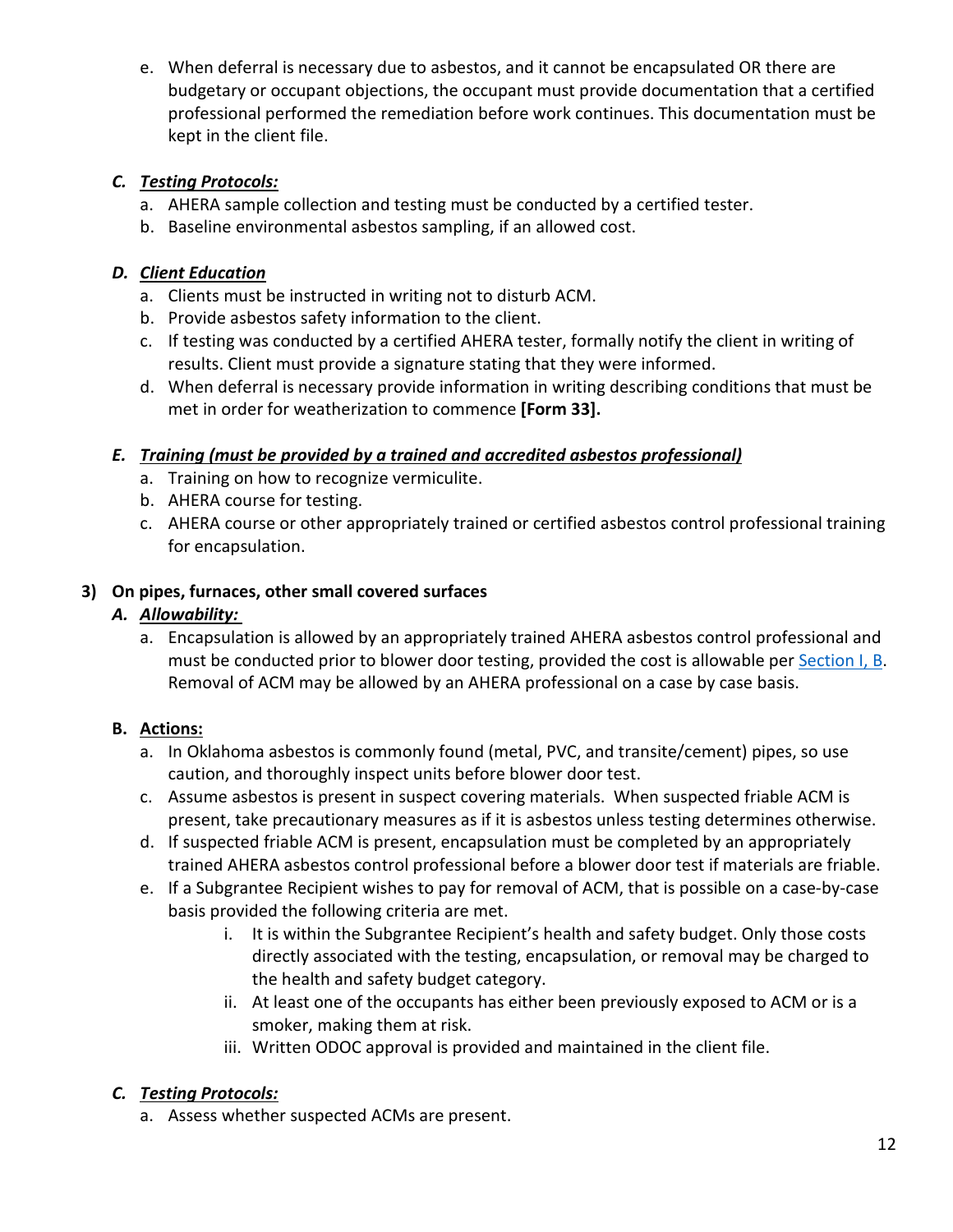e. When deferral is necessary due to asbestos, and it cannot be encapsulated OR there are budgetary or occupant objections, the occupant must provide documentation that a certified professional performed the remediation before work continues. This documentation must be kept in the client file.

## *C. Testing Protocols:*

- a. AHERA sample collection and testing must be conducted by a certified tester.
- b. Baseline environmental asbestos sampling, if an allowed cost.

# *D. Client Education*

- a. Clients must be instructed in writing not to disturb ACM.
- b. Provide asbestos safety information to the client.
- c. If testing was conducted by a certified AHERA tester, formally notify the client in writing of results. Client must provide a signature stating that they were informed.
- d. When deferral is necessary provide information in writing describing conditions that must be met in order for weatherization to commence **[Form 33].**

# *E. Training (must be provided by a trained and accredited asbestos professional)*

- a. Training on how to recognize vermiculite.
- b. AHERA course for testing.
- c. AHERA course or other appropriately trained or certified asbestos control professional training for encapsulation.

# **3) On pipes, furnaces, other small covered surfaces**

## *A. Allowability:*

a. Encapsulation is allowed by an appropriately trained AHERA asbestos control professional and must be conducted prior to blower door testing, provided the cost is allowable per [Section I, B.](#page-0-2) Removal of ACM may be allowed by an AHERA professional on a case by case basis.

# **B. Actions:**

- a. In Oklahoma asbestos is commonly found (metal, PVC, and transite/cement) pipes, so use caution, and thoroughly inspect units before blower door test.
- c. Assume asbestos is present in suspect covering materials. When suspected friable ACM is present, take precautionary measures as if it is asbestos unless testing determines otherwise.
- d. If suspected friable ACM is present, encapsulation must be completed by an appropriately trained AHERA asbestos control professional before a blower door test if materials are friable.
- e. If a Subgrantee Recipient wishes to pay for removal of ACM, that is possible on a case-by-case basis provided the following criteria are met.
	- i. It is within the Subgrantee Recipient's health and safety budget. Only those costs directly associated with the testing, encapsulation, or removal may be charged to the health and safety budget category.
	- ii. At least one of the occupants has either been previously exposed to ACM or is a smoker, making them at risk.
	- iii. Written ODOC approval is provided and maintained in the client file.

# *C. Testing Protocols:*

a. Assess whether suspected ACMs are present.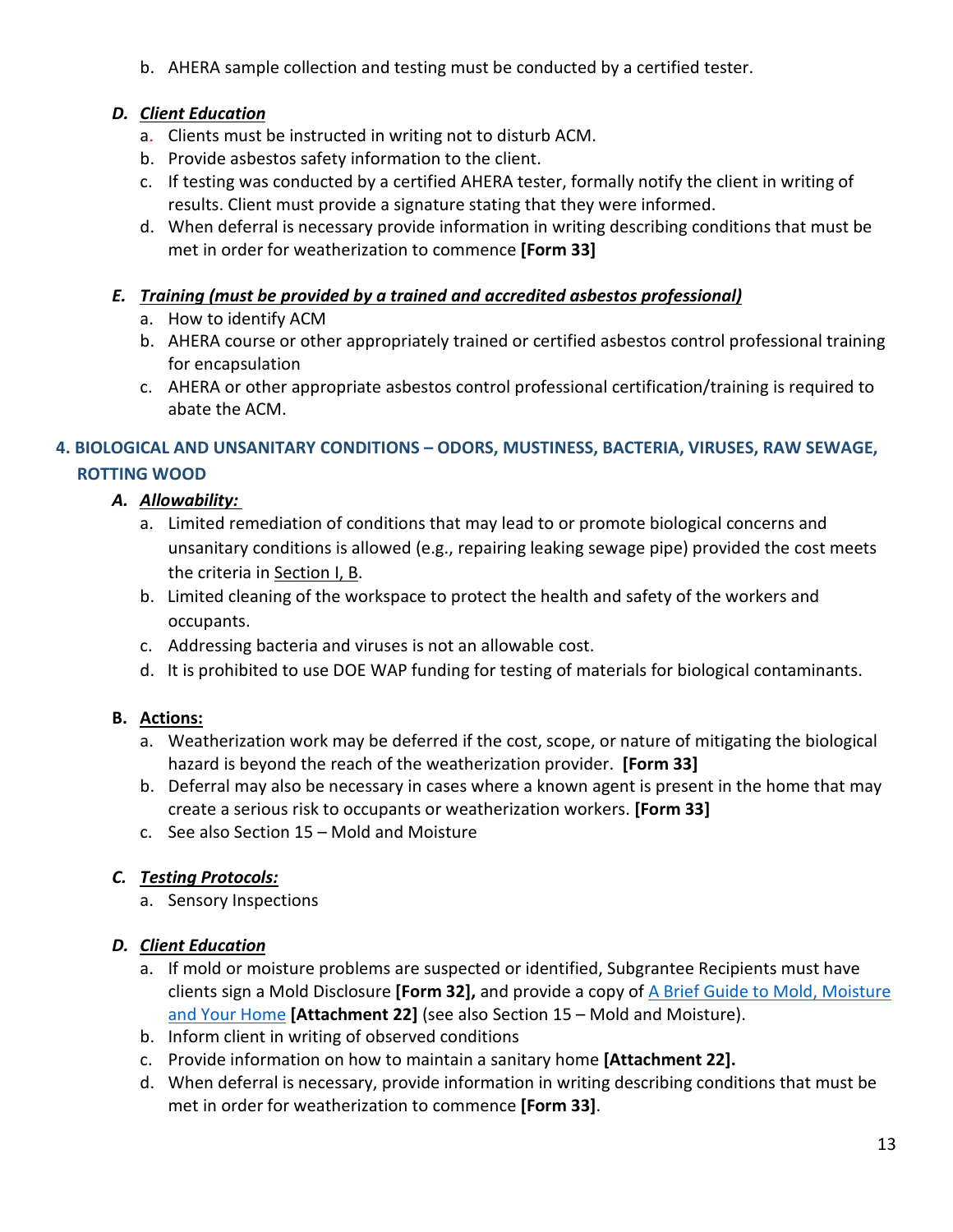b. AHERA sample collection and testing must be conducted by a certified tester.

## *D. Client Education*

- a. Clients must be instructed in writing not to disturb ACM.
- b. Provide asbestos safety information to the client.
- c. If testing was conducted by a certified AHERA tester, formally notify the client in writing of results. Client must provide a signature stating that they were informed.
- d. When deferral is necessary provide information in writing describing conditions that must be met in order for weatherization to commence **[Form 33]**

#### *E. Training (must be provided by a trained and accredited asbestos professional)*

- a. How to identify ACM
- b. AHERA course or other appropriately trained or certified asbestos control professional training for encapsulation
- c. AHERA or other appropriate asbestos control professional certification/training is required to abate the ACM.

## **4. BIOLOGICAL AND UNSANITARY CONDITIONS – ODORS, MUSTINESS, BACTERIA, VIRUSES, RAW SEWAGE, ROTTING WOOD**

## *A. Allowability:*

- a. Limited remediation of conditions that may lead to or promote biological concerns and unsanitary conditions is allowed (e.g., repairing leaking sewage pipe) provided the cost meets the criteria in [Section I, B.](#page-0-2)
- b. Limited cleaning of the workspace to protect the health and safety of the workers and occupants.
- c. Addressing bacteria and viruses is not an allowable cost.
- d. It is prohibited to use DOE WAP funding for testing of materials for biological contaminants.

## **B. Actions:**

- a. Weatherization work may be deferred if the cost, scope, or nature of mitigating the biological hazard is beyond the reach of the weatherization provider. **[Form 33]**
- b. Deferral may also be necessary in cases where a known agent is present in the home that may create a serious risk to occupants or weatherization workers. **[Form 33]**
- c. See also Section 15 Mold and Moisture

## *C. Testing Protocols:*

a. Sensory Inspections

## *D. Client Education*

- a. If mold or moisture problems are suspected or identified, Subgrantee Recipients must have clients sign a Mold Disclosure **[Form 32],** and provide a copy of [A Brief Guide to Mold, Moisture](https://www.epa.gov/sites/production/files/2016-10/documents/moldguide12.pdf)  [and Your Home](https://www.epa.gov/sites/production/files/2016-10/documents/moldguide12.pdf) **[Attachment 22]** (see also Section 15 – Mold and Moisture).
- b. Inform client in writing of observed conditions
- c. Provide information on how to maintain a sanitary home **[Attachment 22].**
- d. When deferral is necessary, provide information in writing describing conditions that must be met in order for weatherization to commence **[Form 33]**.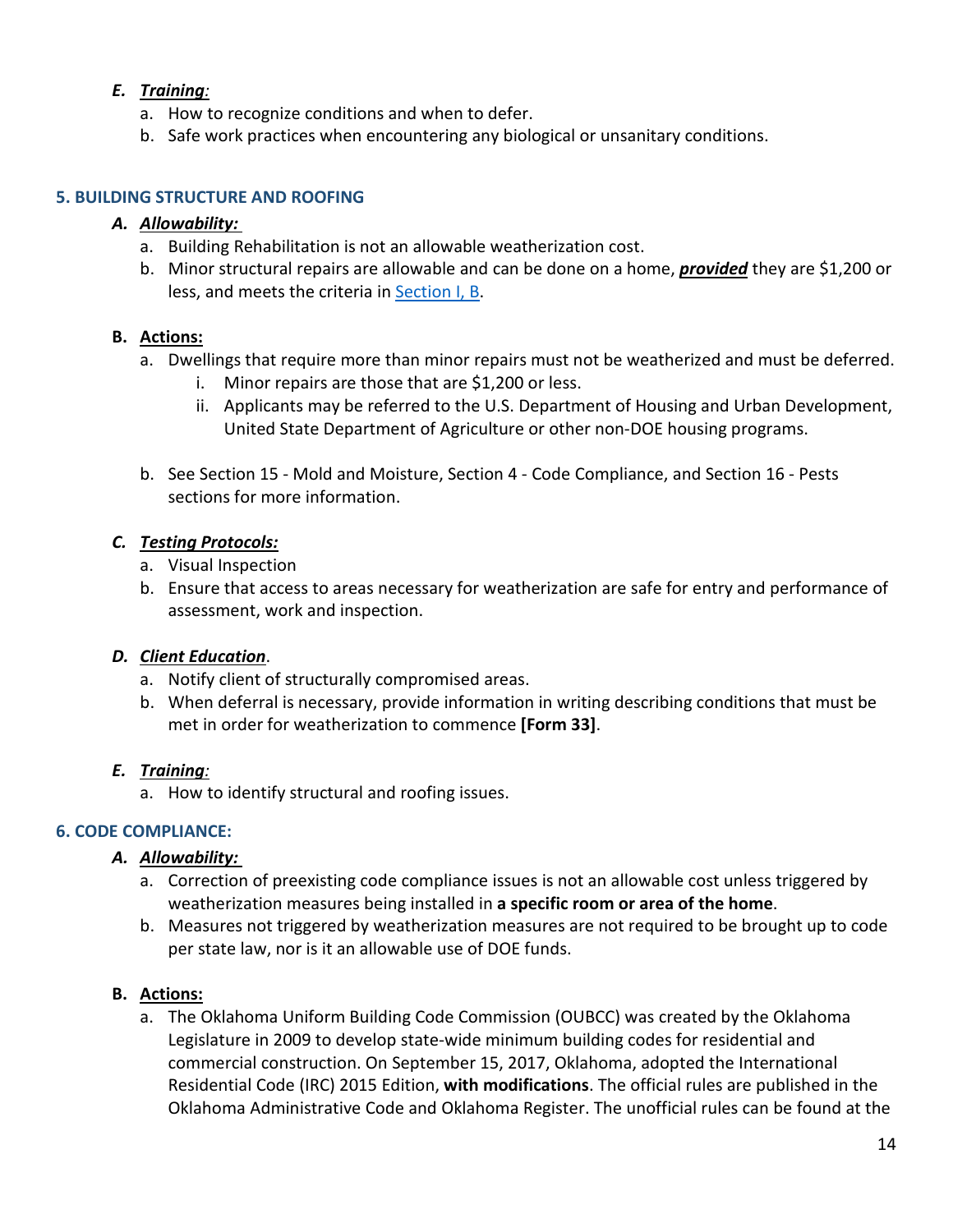#### *E. Training:*

- a. How to recognize conditions and when to defer.
- b. Safe work practices when encountering any biological or unsanitary conditions.

#### **5. BUILDING STRUCTURE AND ROOFING**

#### *A. Allowability:*

- a. Building Rehabilitation is not an allowable weatherization cost.
- b. Minor structural repairs are allowable and can be done on a home, *provided* they are \$1,200 or less, and meets the criteria in [Section I, B.](#page-0-2)

#### **B. Actions:**

- a. Dwellings that require more than minor repairs must not be weatherized and must be deferred.
	- i. Minor repairs are those that are \$1,200 or less.
	- ii. Applicants may be referred to the U.S. Department of Housing and Urban Development, United State Department of Agriculture or other non-DOE housing programs.
- b. See Section 15 Mold and Moisture, Section 4 Code Compliance, and Section 16 Pests sections for more information.

#### *C. Testing Protocols:*

- a. Visual Inspection
- b. Ensure that access to areas necessary for weatherization are safe for entry and performance of assessment, work and inspection.

#### *D. Client Education*.

- a. Notify client of structurally compromised areas.
- b. When deferral is necessary, provide information in writing describing conditions that must be met in order for weatherization to commence **[Form 33]**.

#### *E. Training:*

a. How to identify structural and roofing issues.

#### **6. CODE COMPLIANCE:**

#### *A. Allowability:*

- a. Correction of preexisting code compliance issues is not an allowable cost unless triggered by weatherization measures being installed in **a specific room or area of the home**.
- b. Measures not triggered by weatherization measures are not required to be brought up to code per state law, nor is it an allowable use of DOE funds.

#### **B. Actions:**

a. The Oklahoma Uniform Building Code Commission (OUBCC) was created by the Oklahoma Legislature in 2009 to develop state-wide minimum building codes for residential and commercial construction. On September 15, 2017, Oklahoma, adopted the International Residential Code (IRC) 2015 Edition, **with modifications**. The official rules are published in the Oklahoma Administrative Code and Oklahoma Register. The unofficial rules can be found at the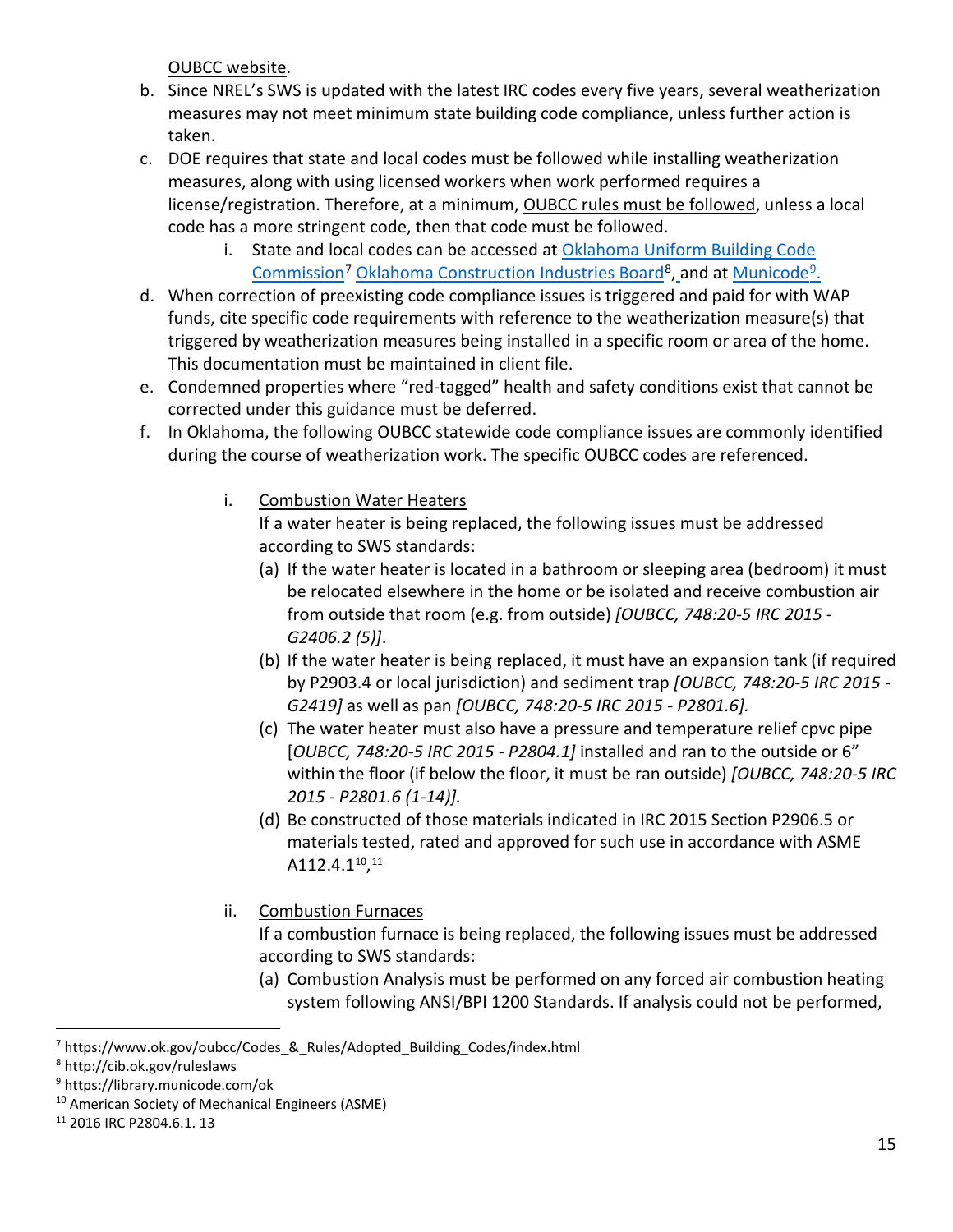[OUBCC website.](https://www.ok.gov/oubcc/documents/Permanent%20Rule%20IRC%202015%20with%20Sample%20Tables.pdf)

- b. Since NREL's SWS is updated with the latest IRC codes every five years, several weatherization measures may not meet minimum state building code compliance, unless further action is taken.
- c. DOE requires that state and local codes must be followed while installing weatherization measures, along with using licensed workers when work performed requires a license/registration. Therefore, at a minimum, OUBCC rules must be followed, unless a local code has a more stringent code, then that code must be followed.
	- i. State and local codes can be accessed at [Oklahoma Uniform Building Code](https://www.ok.gov/oubcc/Codes_&_Rules/Adopted_Building_Codes/index.html) Commission<sup>[7](#page-14-0)</sup> [Oklahoma Construction Industries Board](http://cib.ok.gov/ruleslaws)<sup>[8](#page-14-1)</sup>, and at Municode<sup>9</sup>.
- d. When correction of preexisting code compliance issues is triggered and paid for with WAP funds, cite specific code requirements with reference to the weatherization measure(s) that triggered by weatherization measures being installed in a specific room or area of the home. This documentation must be maintained in client file.
- e. Condemned properties where "red-tagged" health and safety conditions exist that cannot be corrected under this guidance must be deferred.
- f. In Oklahoma, the following OUBCC statewide code compliance issues are commonly identified during the course of weatherization work. The specific OUBCC codes are referenced.
	- i. Combustion Water Heaters

If a water heater is being replaced, the following issues must be addressed according to SWS standards:

- (a) If the water heater is located in a bathroom or sleeping area (bedroom) it must be relocated elsewhere in the home or be isolated and receive combustion air from outside that room (e.g. from outside) *[OUBCC, 748:20-5 IRC 2015 - G2406.2 (5)]*.
- (b) If the water heater is being replaced, it must have an expansion tank (if required by P2903.4 or local jurisdiction) and sediment trap *[OUBCC, 748:20-5 IRC 2015 - G2419]* as well as pan *[OUBCC, 748:20-5 IRC 2015 - P2801.6].*
- (c) The water heater must also have a pressure and temperature relief cpvc pipe [*OUBCC, 748:20-5 IRC 2015 - P2804.1]* installed and ran to the outside or 6" within the floor (if below the floor, it must be ran outside) *[OUBCC, 748:20-5 IRC 2015 - P2801.6 (1-14)].*
- (d) Be constructed of those materials indicated in IRC 2015 Section P2906.5 or materials tested, rated and approved for such use in accordance with ASME  $A112.4.1^{10}$  $A112.4.1^{10}$  $A112.4.1^{10}$ ,  $^{11}$
- ii. Combustion Furnaces

 If a combustion furnace is being replaced, the following issues must be addressed according to SWS standards:

(a) Combustion Analysis must be performed on any forced air combustion heating system following ANSI/BPI 1200 Standards. If analysis could not be performed,

<span id="page-14-0"></span><sup>7</sup> https://www.ok.gov/oubcc/Codes\_&\_Rules/Adopted\_Building\_Codes/index.html

<span id="page-14-1"></span><sup>8</sup> http://cib.ok.gov/ruleslaws

<span id="page-14-2"></span><sup>9</sup> https://library.municode.com/ok

<span id="page-14-3"></span><sup>10</sup> American Society of Mechanical Engineers (ASME)

<span id="page-14-4"></span><sup>11</sup> 2016 IRC P2804.6.1. 13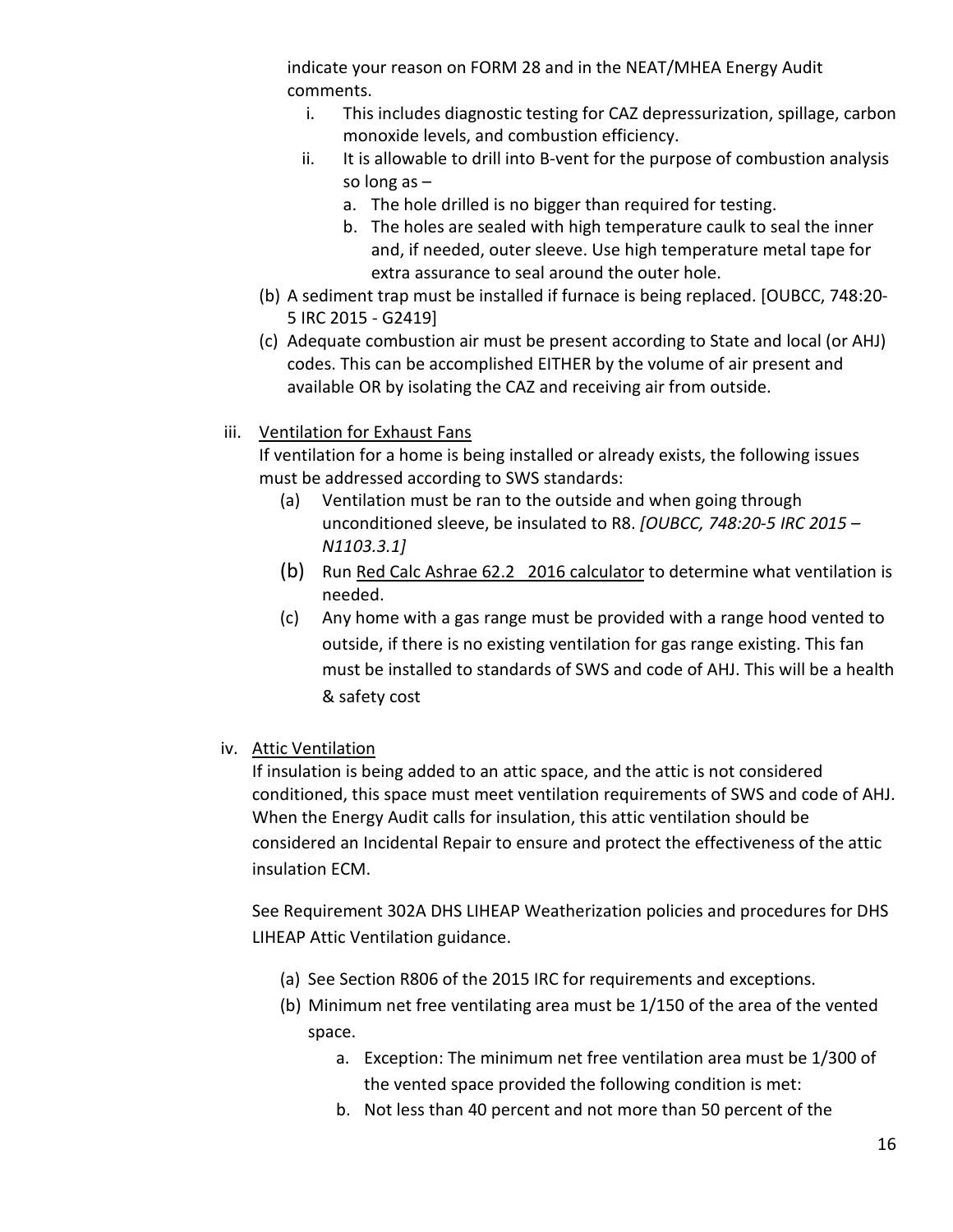indicate your reason on FORM 28 and in the NEAT/MHEA Energy Audit comments.

- i. This includes diagnostic testing for CAZ depressurization, spillage, carbon monoxide levels, and combustion efficiency.
- ii. It is allowable to drill into B-vent for the purpose of combustion analysis so long as –
	- a. The hole drilled is no bigger than required for testing.
	- b. The holes are sealed with high temperature caulk to seal the inner and, if needed, outer sleeve. Use high temperature metal tape for extra assurance to seal around the outer hole.
- (b) A sediment trap must be installed if furnace is being replaced. [OUBCC, 748:20- 5 IRC 2015 - G2419]
- (c) Adequate combustion air must be present according to State and local (or AHJ) codes. This can be accomplished EITHER by the volume of air present and available OR by isolating the CAZ and receiving air from outside.
- iii. Ventilation for Exhaust Fans

 If ventilation for a home is being installed or already exists, the following issues must be addressed according to SWS standards:

- (a) Ventilation must be ran to the outside and when going through unconditioned sleeve, be insulated to R8. *[OUBCC, 748:20-5 IRC 2015 – N1103.3.1]*
- (b) Run [Red Calc Ashrae 62.2 2016 calculator](https://www.redcalc.com/ashrae-62-2-2016/) to determine what ventilation is needed.
- (c) Any home with a gas range must be provided with a range hood vented to outside, if there is no existing ventilation for gas range existing. This fan must be installed to standards of SWS and code of AHJ. This will be a health & safety cost
- iv. Attic Ventilation

If insulation is being added to an attic space, and the attic is not considered conditioned, this space must meet ventilation requirements of SWS and code of AHJ. When the Energy Audit calls for insulation, this attic ventilation should be considered an Incidental Repair to ensure and protect the effectiveness of the attic insulation ECM.

See Requirement 302A DHS LIHEAP Weatherization policies and procedures for DHS LIHEAP Attic Ventilation guidance.

- (a) See Section R806 of the 2015 IRC for requirements and exceptions.
- (b) Minimum net free ventilating area must be 1/150 of the area of the vented space.
	- a. Exception: The minimum net free ventilation area must be 1/300 of the vented space provided the following condition is met:
	- b. Not less than 40 percent and not more than 50 percent of the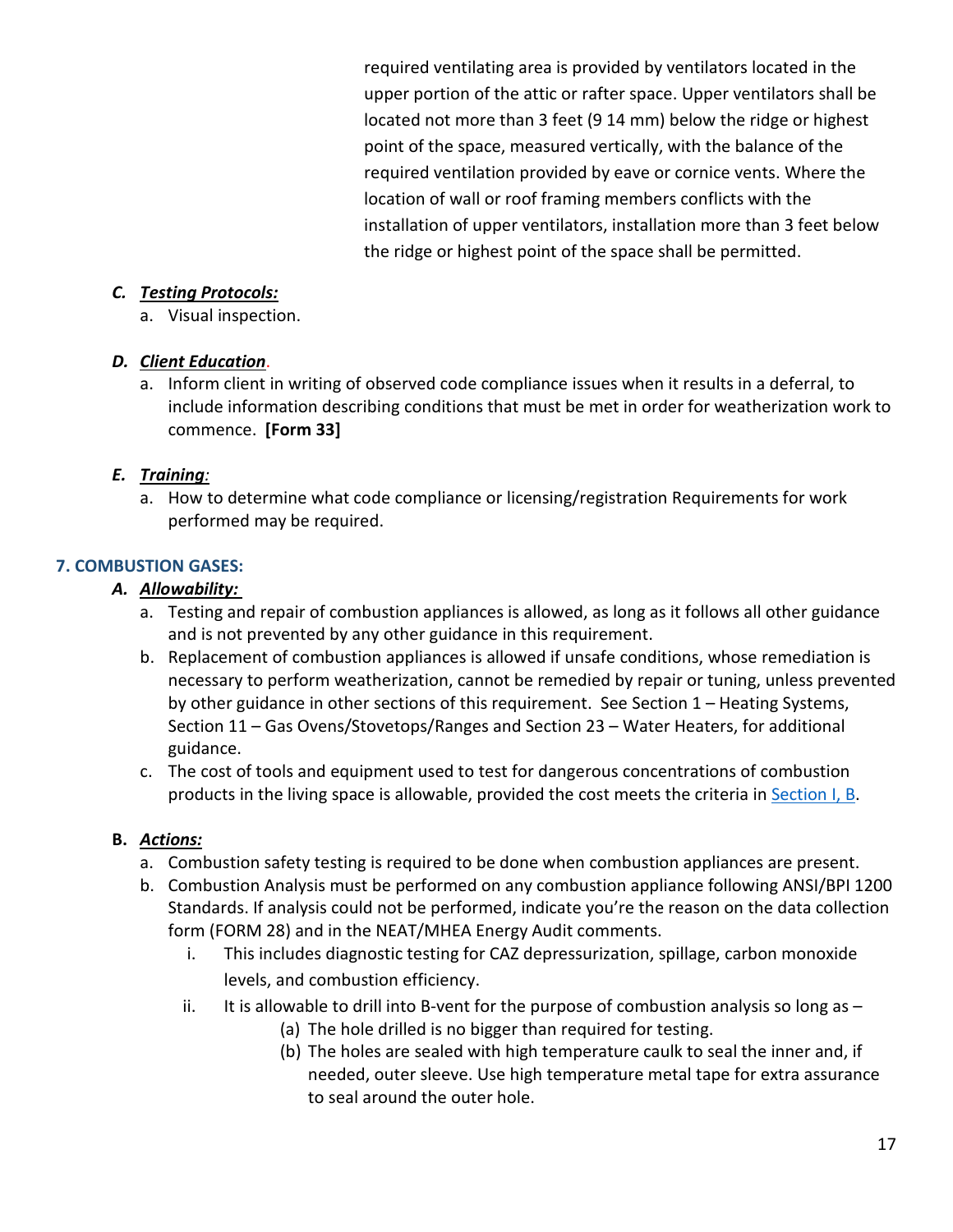required ventilating area is provided by ventilators located in the upper portion of the attic or rafter space. Upper ventilators shall be located not more than 3 feet (9 14 mm) below the ridge or highest point of the space, measured vertically, with the balance of the required ventilation provided by eave or cornice vents. Where the location of wall or roof framing members conflicts with the installation of upper ventilators, installation more than 3 feet below the ridge or highest point of the space shall be permitted.

#### *C. Testing Protocols:*

a. Visual inspection.

#### *D. Client Education*.

a. Inform client in writing of observed code compliance issues when it results in a deferral, to include information describing conditions that must be met in order for weatherization work to commence. **[Form 33]**

## *E. Training:*

a. How to determine what code compliance or licensing/registration Requirements for work performed may be required.

#### **7. COMBUSTION GASES:**

#### *A. Allowability:*

- a. Testing and repair of combustion appliances is allowed, as long as it follows all other guidance and is not prevented by any other guidance in this requirement.
- b. Replacement of combustion appliances is allowed if unsafe conditions, whose remediation is necessary to perform weatherization, cannot be remedied by repair or tuning, unless prevented by other guidance in other sections of this requirement. See Section 1 – Heating Systems, Section 11 – Gas Ovens/Stovetops/Ranges and Section 23 – Water Heaters, for additional guidance.
- c. The cost of tools and equipment used to test for dangerous concentrations of combustion products in the living space is allowable, provided the cost meets the criteria i[n Section I, B.](#page-0-2)

- a. Combustion safety testing is required to be done when combustion appliances are present.
- b. Combustion Analysis must be performed on any combustion appliance following ANSI/BPI 1200 Standards. If analysis could not be performed, indicate you're the reason on the data collection form (FORM 28) and in the NEAT/MHEA Energy Audit comments.
	- i. This includes diagnostic testing for CAZ depressurization, spillage, carbon monoxide levels, and combustion efficiency.
	- ii. It is allowable to drill into B-vent for the purpose of combustion analysis so long as  $-$ 
		- (a) The hole drilled is no bigger than required for testing.
		- (b) The holes are sealed with high temperature caulk to seal the inner and, if needed, outer sleeve. Use high temperature metal tape for extra assurance to seal around the outer hole.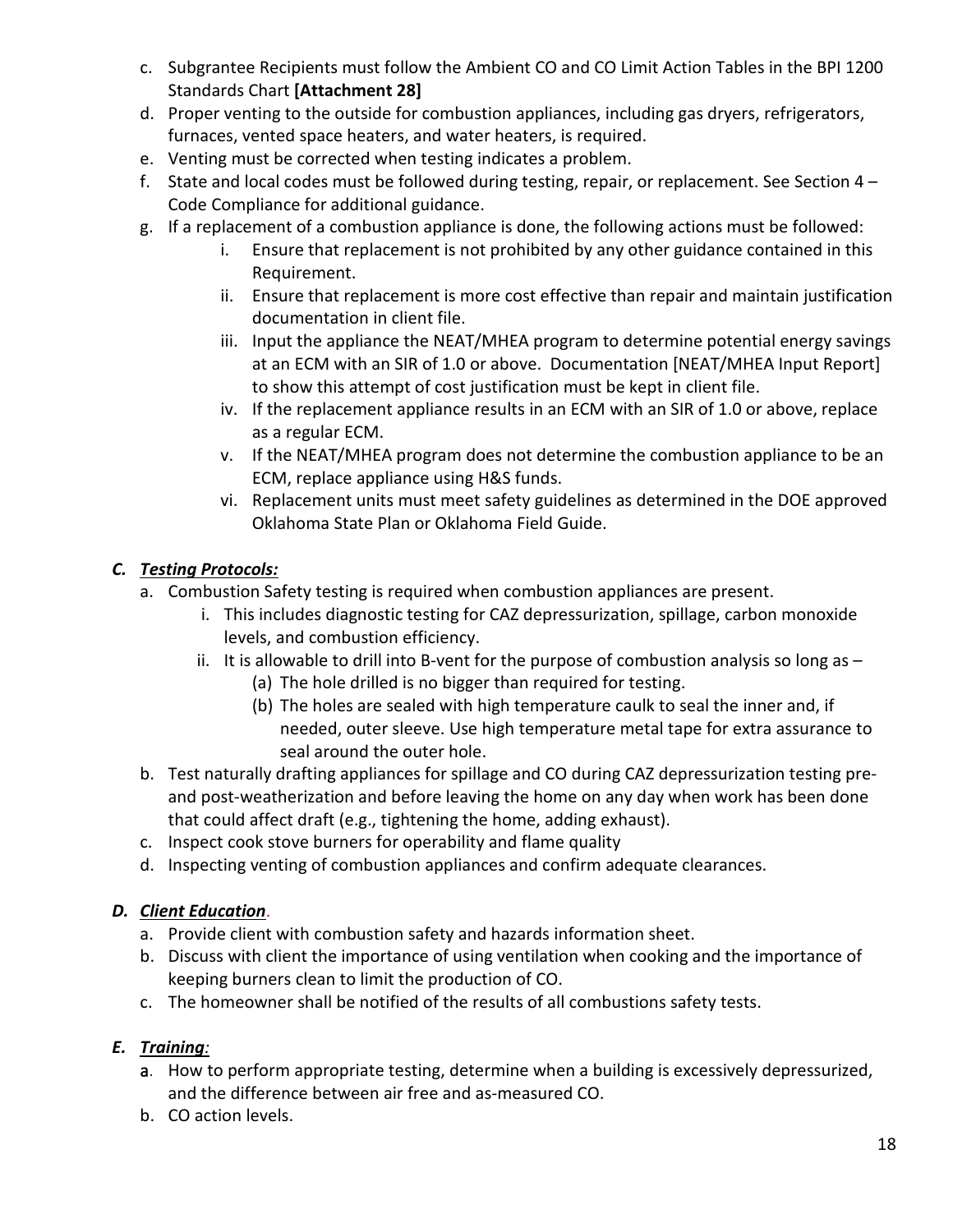- c. Subgrantee Recipients must follow the Ambient CO and CO Limit Action Tables in the BPI 1200 Standards Chart **[Attachment 28]**
- d. Proper venting to the outside for combustion appliances, including gas dryers, refrigerators, furnaces, vented space heaters, and water heaters, is required.
- e. Venting must be corrected when testing indicates a problem.
- f. State and local codes must be followed during testing, repair, or replacement. See Section 4 Code Compliance for additional guidance.
- g. If a replacement of a combustion appliance is done, the following actions must be followed:
	- i. Ensure that replacement is not prohibited by any other guidance contained in this Requirement.
	- ii. Ensure that replacement is more cost effective than repair and maintain justification documentation in client file.
	- iii. Input the appliance the NEAT/MHEA program to determine potential energy savings at an ECM with an SIR of 1.0 or above. Documentation [NEAT/MHEA Input Report] to show this attempt of cost justification must be kept in client file.
	- iv. If the replacement appliance results in an ECM with an SIR of 1.0 or above, replace as a regular ECM.
	- v. If the NEAT/MHEA program does not determine the combustion appliance to be an ECM, replace appliance using H&S funds.
	- vi. Replacement units must meet safety guidelines as determined in the DOE approved Oklahoma State Plan or Oklahoma Field Guide.

- a. Combustion Safety testing is required when combustion appliances are present.
	- i. This includes diagnostic testing for CAZ depressurization, spillage, carbon monoxide levels, and combustion efficiency.
	- ii. It is allowable to drill into B-vent for the purpose of combustion analysis so long as  $-$ 
		- (a) The hole drilled is no bigger than required for testing.
		- (b) The holes are sealed with high temperature caulk to seal the inner and, if needed, outer sleeve. Use high temperature metal tape for extra assurance to seal around the outer hole.
- b. Test naturally drafting appliances for spillage and CO during CAZ depressurization testing preand post-weatherization and before leaving the home on any day when work has been done that could affect draft (e.g., tightening the home, adding exhaust).
- c. Inspect cook stove burners for operability and flame quality
- d. Inspecting venting of combustion appliances and confirm adequate clearances.

# *D. Client Education*.

- a. Provide client with combustion safety and hazards information sheet.
- b. Discuss with client the importance of using ventilation when cooking and the importance of keeping burners clean to limit the production of CO.
- c. The homeowner shall be notified of the results of all combustions safety tests.

# *E. Training:*

- a. How to perform appropriate testing, determine when a building is excessively depressurized, and the difference between air free and as-measured CO.
- b. CO action levels.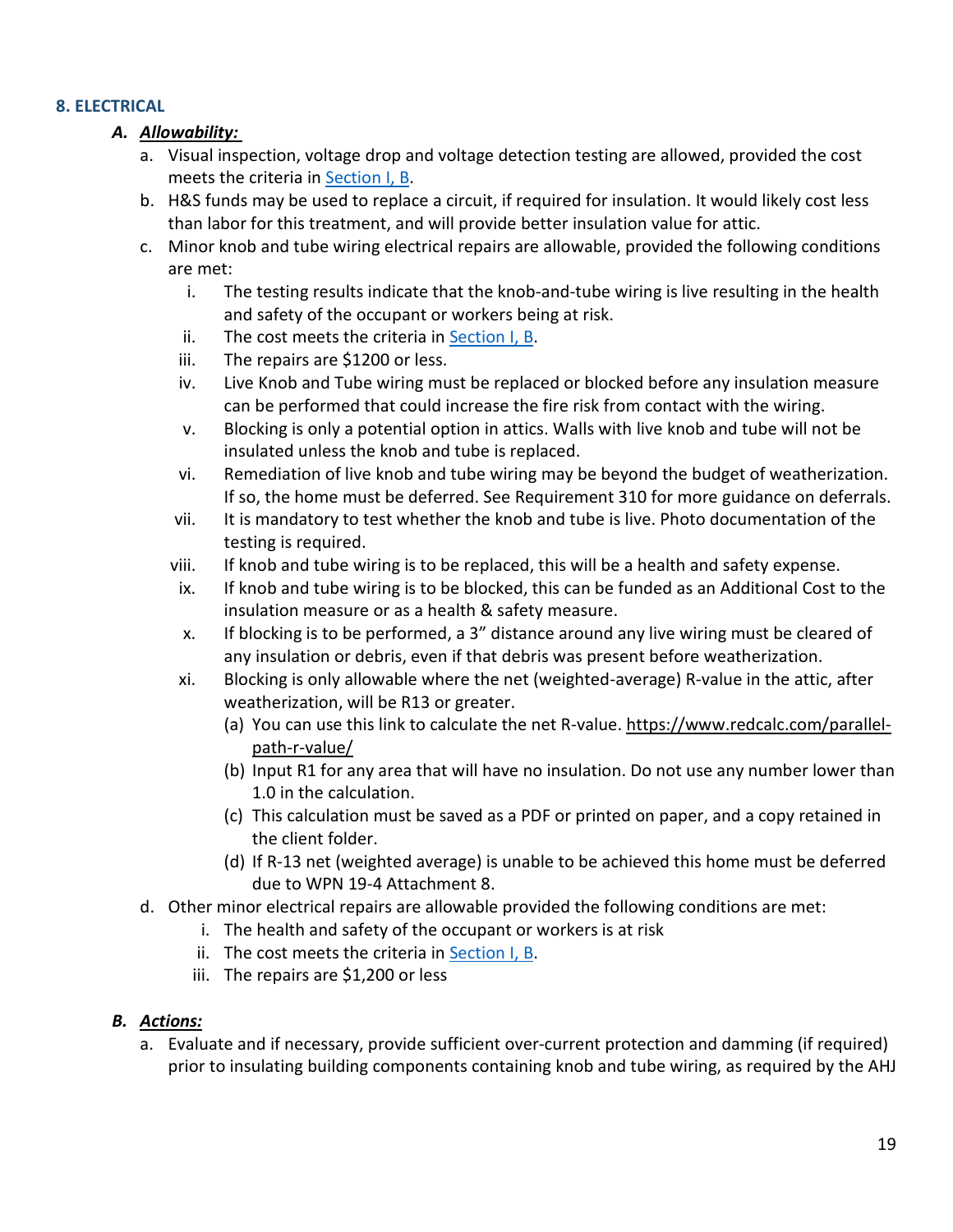## **8. ELECTRICAL**

## *A. Allowability:*

- a. Visual inspection, voltage drop and voltage detection testing are allowed, provided the cost meets the criteria in [Section I, B.](#page-0-2)
- b. H&S funds may be used to replace a circuit, if required for insulation. It would likely cost less than labor for this treatment, and will provide better insulation value for attic.
- c. Minor knob and tube wiring electrical repairs are allowable, provided the following conditions are met:
	- i. The testing results indicate that the knob-and-tube wiring is live resulting in the health and safety of the occupant or workers being at risk.
	- ii. The cost meets the criteria in [Section I, B.](#page-0-2)
	- iii. The repairs are \$1200 or less.
	- iv. Live Knob and Tube wiring must be replaced or blocked before any insulation measure can be performed that could increase the fire risk from contact with the wiring.
	- v. Blocking is only a potential option in attics. Walls with live knob and tube will not be insulated unless the knob and tube is replaced.
	- vi. Remediation of live knob and tube wiring may be beyond the budget of weatherization. If so, the home must be deferred. See Requirement 310 for more guidance on deferrals.
	- vii. It is mandatory to test whether the knob and tube is live. Photo documentation of the testing is required.
	- viii. If knob and tube wiring is to be replaced, this will be a health and safety expense.
	- ix. If knob and tube wiring is to be blocked, this can be funded as an Additional Cost to the insulation measure or as a health & safety measure.
	- x. If blocking is to be performed, a 3" distance around any live wiring must be cleared of any insulation or debris, even if that debris was present before weatherization.
	- xi. Blocking is only allowable where the net (weighted-average) R-value in the attic, after weatherization, will be R13 or greater.
		- (a) You can use this link to calculate the net R-value. [https://www.redcalc.com/parallel](https://www.redcalc.com/parallel-path-r-value/)[path-r-value/](https://www.redcalc.com/parallel-path-r-value/)
		- (b) Input R1 for any area that will have no insulation. Do not use any number lower than 1.0 in the calculation.
		- (c) This calculation must be saved as a PDF or printed on paper, and a copy retained in the client folder.
		- (d) If R-13 net (weighted average) is unable to be achieved this home must be deferred due to WPN 19-4 Attachment 8.
- d. Other minor electrical repairs are allowable provided the following conditions are met:
	- i. The health and safety of the occupant or workers is at risk
	- ii. The cost meets the criteria in [Section I, B.](#page-0-2)
	- iii. The repairs are \$1,200 or less

## *B. Actions:*

a. Evaluate and if necessary, provide sufficient over-current protection and damming (if required) prior to insulating building components containing knob and tube wiring, as required by the AHJ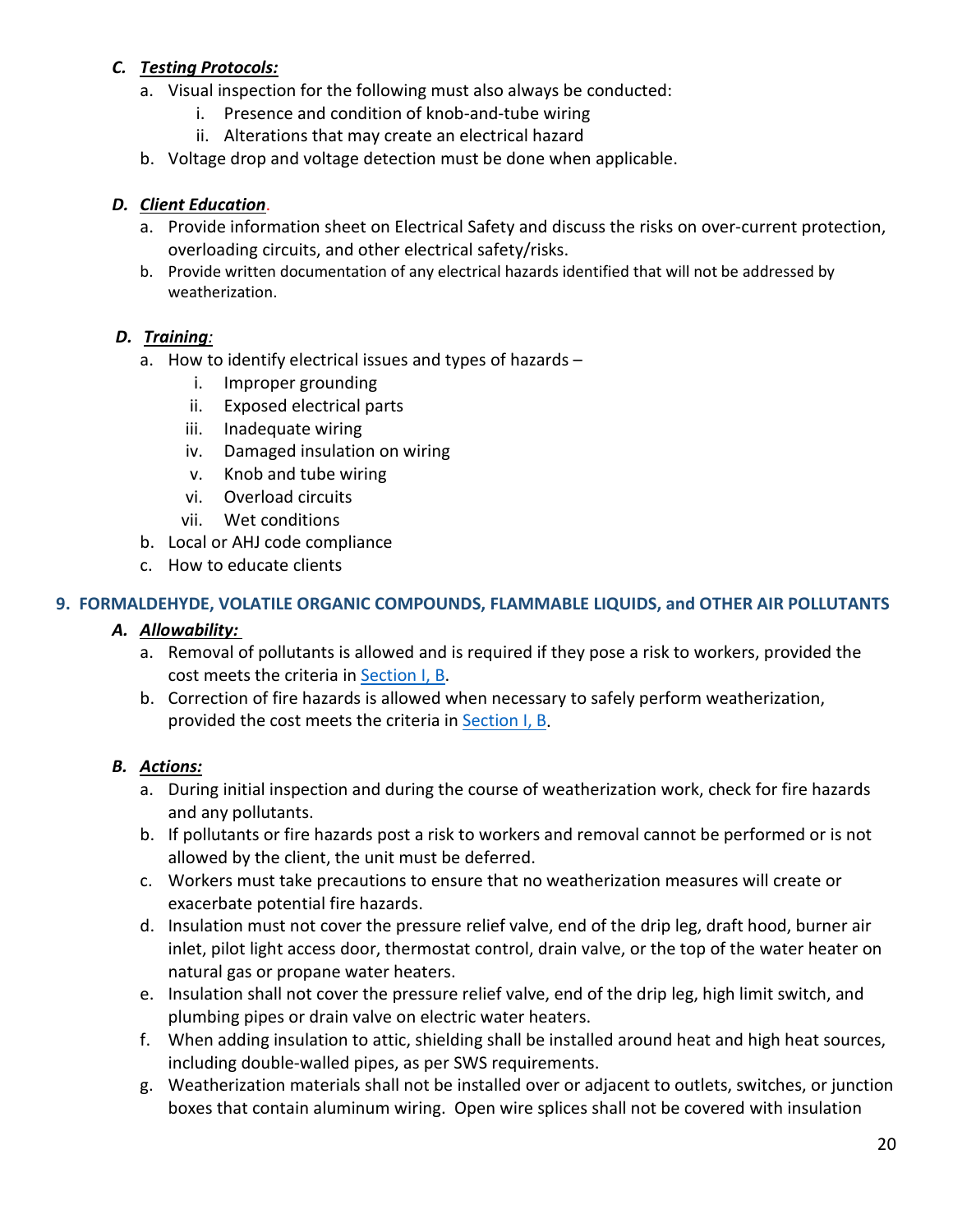- a. Visual inspection for the following must also always be conducted:
	- i. Presence and condition of knob-and-tube wiring
	- ii. Alterations that may create an electrical hazard
- b. Voltage drop and voltage detection must be done when applicable.

#### *D. Client Education*.

- a. Provide information sheet on Electrical Safety and discuss the risks on over-current protection, overloading circuits, and other electrical safety/risks.
- b. Provide written documentation of any electrical hazards identified that will not be addressed by weatherization.

#### *D. Training:*

- a. How to identify electrical issues and types of hazards
	- i. Improper grounding
	- ii. Exposed electrical parts
	- iii. Inadequate wiring
	- iv. Damaged insulation on wiring
	- v. Knob and tube wiring
	- vi. Overload circuits
	- vii. Wet conditions
- b. Local or AHJ code compliance
- c. How to educate clients

#### **9. FORMALDEHYDE, VOLATILE ORGANIC COMPOUNDS, FLAMMABLE LIQUIDS, and OTHER AIR POLLUTANTS**

## *A. Allowability:*

- a. Removal of pollutants is allowed and is required if they pose a risk to workers, provided the cost meets the criteria in [Section I, B.](#page-0-2)
- b. Correction of fire hazards is allowed when necessary to safely perform weatherization, provided the cost meets the criteria in [Section I, B.](#page-0-2)

- a. During initial inspection and during the course of weatherization work, check for fire hazards and any pollutants.
- b. If pollutants or fire hazards post a risk to workers and removal cannot be performed or is not allowed by the client, the unit must be deferred.
- c. Workers must take precautions to ensure that no weatherization measures will create or exacerbate potential fire hazards.
- d. Insulation must not cover the pressure relief valve, end of the drip leg, draft hood, burner air inlet, pilot light access door, thermostat control, drain valve, or the top of the water heater on natural gas or propane water heaters.
- e. Insulation shall not cover the pressure relief valve, end of the drip leg, high limit switch, and plumbing pipes or drain valve on electric water heaters.
- f. When adding insulation to attic, shielding shall be installed around heat and high heat sources, including double-walled pipes, as per SWS requirements.
- g. Weatherization materials shall not be installed over or adjacent to outlets, switches, or junction boxes that contain aluminum wiring. Open wire splices shall not be covered with insulation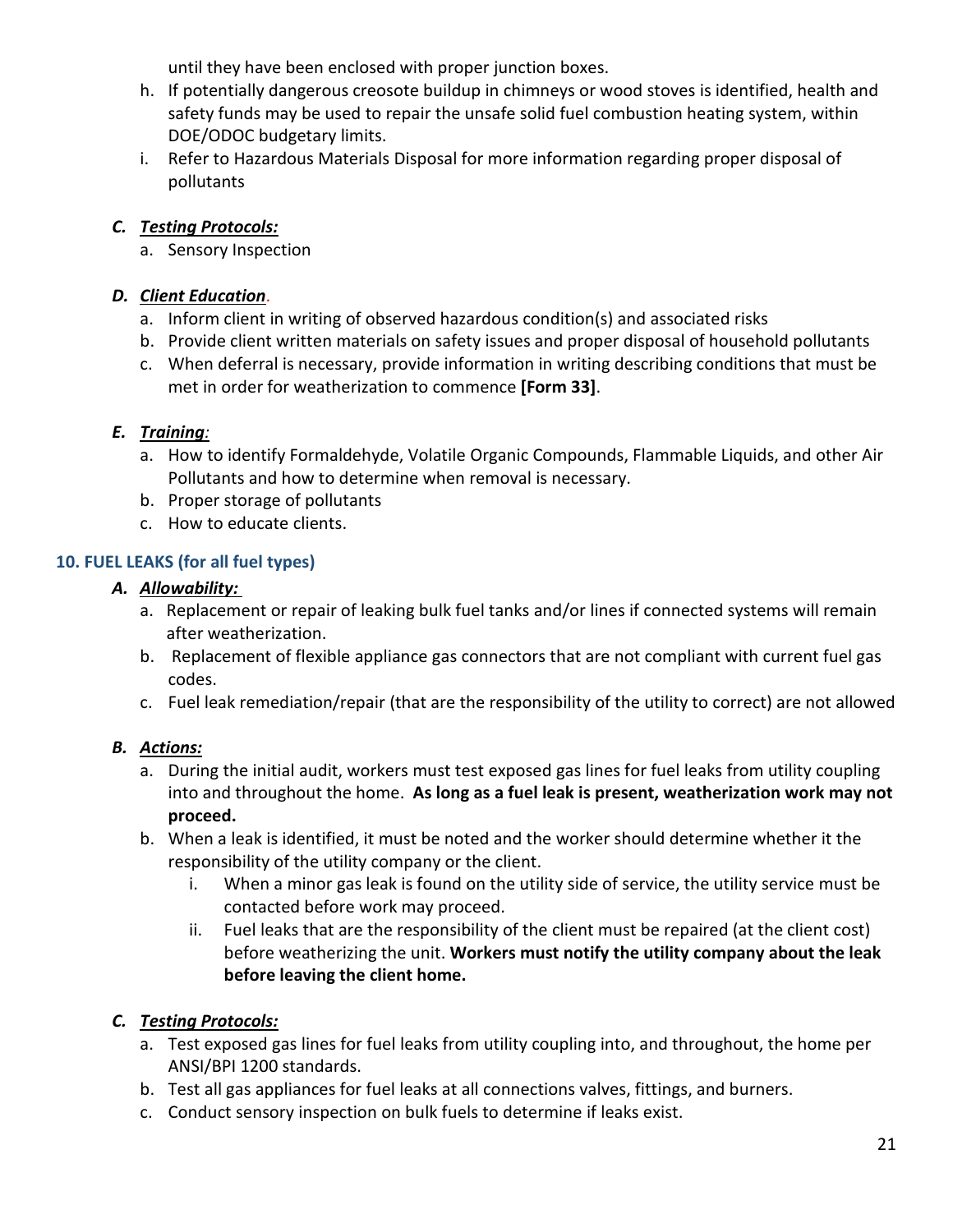until they have been enclosed with proper junction boxes.

- h. If potentially dangerous creosote buildup in chimneys or wood stoves is identified, health and safety funds may be used to repair the unsafe solid fuel combustion heating system, within DOE/ODOC budgetary limits.
- i. Refer to Hazardous Materials Disposal for more information regarding proper disposal of pollutants

## *C. Testing Protocols:*

a. Sensory Inspection

## *D. Client Education*.

- a. Inform client in writing of observed hazardous condition(s) and associated risks
- b. Provide client written materials on safety issues and proper disposal of household pollutants
- c. When deferral is necessary, provide information in writing describing conditions that must be met in order for weatherization to commence **[Form 33]**.

## *E. Training:*

- a. How to identify Formaldehyde, Volatile Organic Compounds, Flammable Liquids, and other Air Pollutants and how to determine when removal is necessary.
- b. Proper storage of pollutants
- c. How to educate clients.

## **10. FUEL LEAKS (for all fuel types)**

#### *A. Allowability:*

- a. Replacement or repair of leaking bulk fuel tanks and/or lines if connected systems will remain after weatherization.
- b. Replacement of flexible appliance gas connectors that are not compliant with current fuel gas codes.
- c. Fuel leak remediation/repair (that are the responsibility of the utility to correct) are not allowed

## *B. Actions:*

- a. During the initial audit, workers must test exposed gas lines for fuel leaks from utility coupling into and throughout the home. **As long as a fuel leak is present, weatherization work may not proceed.**
- b. When a leak is identified, it must be noted and the worker should determine whether it the responsibility of the utility company or the client.
	- i. When a minor gas leak is found on the utility side of service, the utility service must be contacted before work may proceed.
	- ii. Fuel leaks that are the responsibility of the client must be repaired (at the client cost) before weatherizing the unit. **Workers must notify the utility company about the leak before leaving the client home.**

## *C. Testing Protocols:*

- a. Test exposed gas lines for fuel leaks from utility coupling into, and throughout, the home per ANSI/BPI 1200 standards.
- b. Test all gas appliances for fuel leaks at all connections valves, fittings, and burners.
- c. Conduct sensory inspection on bulk fuels to determine if leaks exist.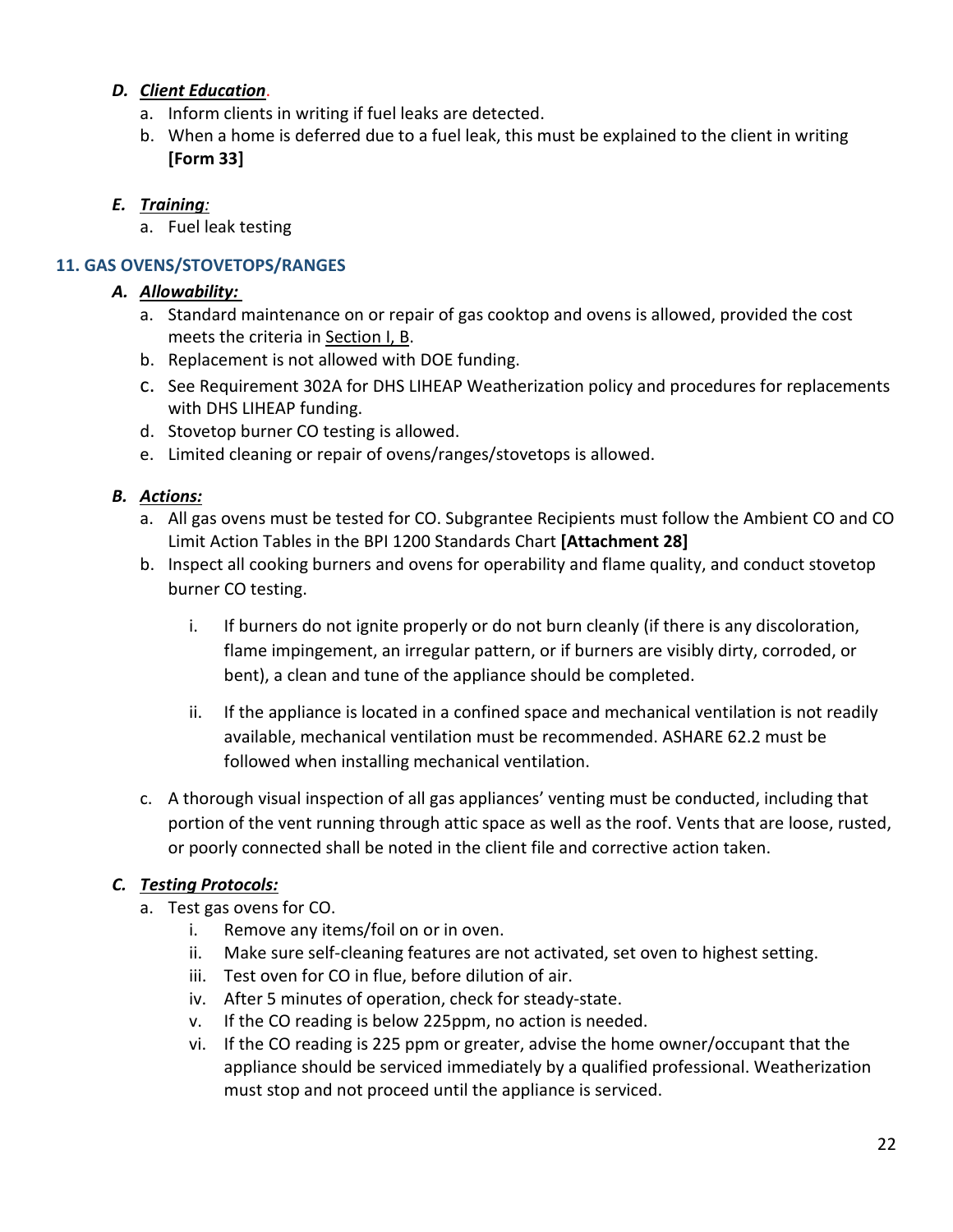#### *D. Client Education*.

- a. Inform clients in writing if fuel leaks are detected.
- b. When a home is deferred due to a fuel leak, this must be explained to the client in writing **[Form 33]**

#### *E. Training:*

a. Fuel leak testing

## **11. GAS OVENS/STOVETOPS/RANGES**

#### *A. Allowability:*

- a. Standard maintenance on or repair of gas cooktop and ovens is allowed, provided the cost meets the criteria in [Section I, B.](#page-0-2)
- b. Replacement is not allowed with DOE funding.
- c. See Requirement 302A for DHS LIHEAP Weatherization policy and procedures for replacements with DHS LIHEAP funding.
- d. Stovetop burner CO testing is allowed.
- e. Limited cleaning or repair of ovens/ranges/stovetops is allowed.

#### *B. Actions:*

- a. All gas ovens must be tested for CO. Subgrantee Recipients must follow the Ambient CO and CO Limit Action Tables in the BPI 1200 Standards Chart **[Attachment 28]**
- b. Inspect all cooking burners and ovens for operability and flame quality, and conduct stovetop burner CO testing.
	- i. If burners do not ignite properly or do not burn cleanly (if there is any discoloration, flame impingement, an irregular pattern, or if burners are visibly dirty, corroded, or bent), a clean and tune of the appliance should be completed.
	- ii. If the appliance is located in a confined space and mechanical ventilation is not readily available, mechanical ventilation must be recommended. ASHARE 62.2 must be followed when installing mechanical ventilation.
- c. A thorough visual inspection of all gas appliances' venting must be conducted, including that portion of the vent running through attic space as well as the roof. Vents that are loose, rusted, or poorly connected shall be noted in the client file and corrective action taken.

## *C. Testing Protocols:*

- a. Test gas ovens for CO.
	- i. Remove any items/foil on or in oven.
	- ii. Make sure self-cleaning features are not activated, set oven to highest setting.
	- iii. Test oven for CO in flue, before dilution of air.
	- iv. After 5 minutes of operation, check for steady-state.
	- v. If the CO reading is below 225ppm, no action is needed.
	- vi. If the CO reading is 225 ppm or greater, advise the home owner/occupant that the appliance should be serviced immediately by a qualified professional. Weatherization must stop and not proceed until the appliance is serviced.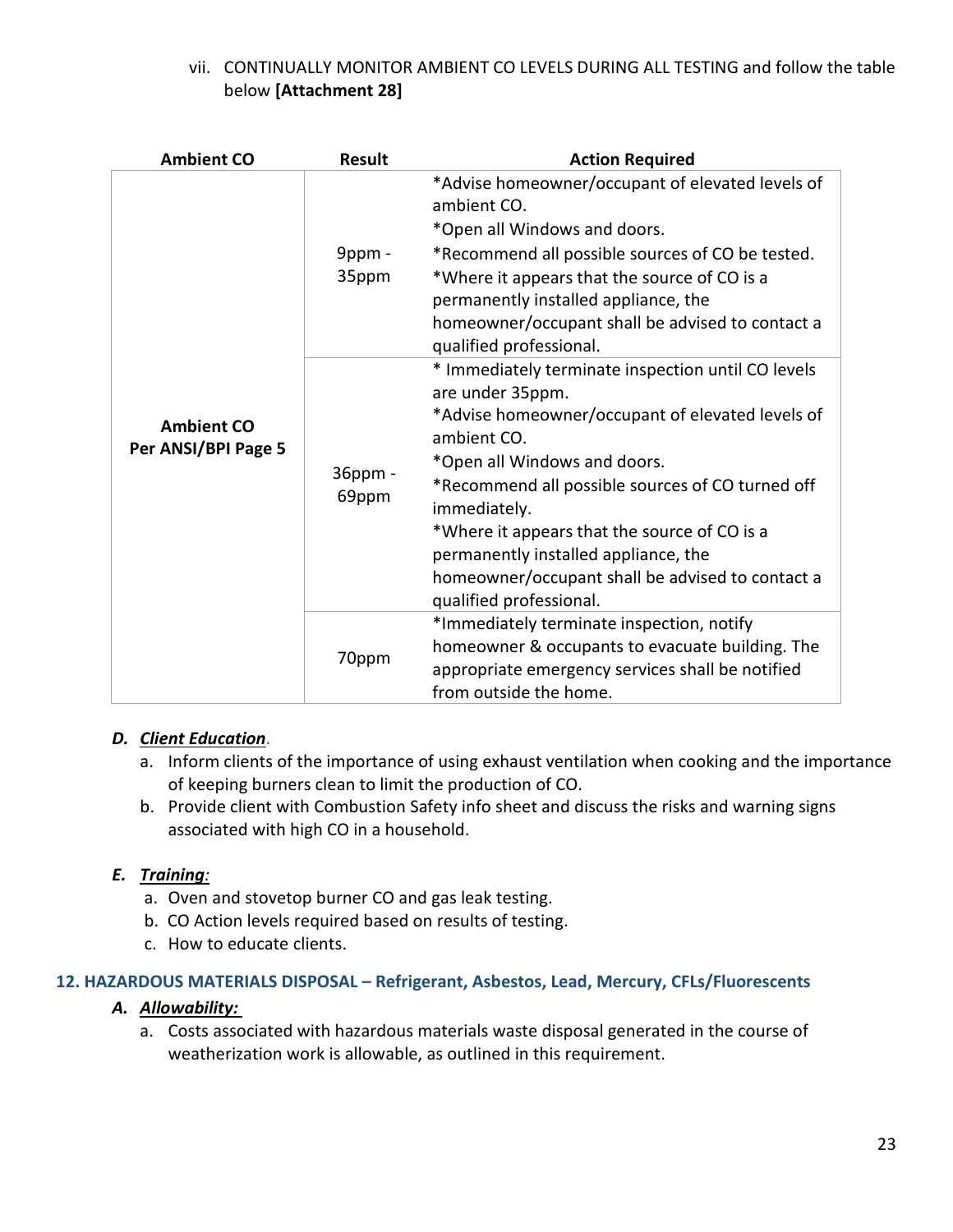## vii. CONTINUALLY MONITOR AMBIENT CO LEVELS DURING ALL TESTING and follow the table below **[Attachment 28]**

| <b>Ambient CO</b>                        | <b>Result</b>    | <b>Action Required</b>                                                                                                                                                                                                                                                                                                                                                                                               |
|------------------------------------------|------------------|----------------------------------------------------------------------------------------------------------------------------------------------------------------------------------------------------------------------------------------------------------------------------------------------------------------------------------------------------------------------------------------------------------------------|
| <b>Ambient CO</b><br>Per ANSI/BPI Page 5 | 9ppm -<br>35ppm  | *Advise homeowner/occupant of elevated levels of<br>ambient CO.<br>*Open all Windows and doors.<br>*Recommend all possible sources of CO be tested.<br>*Where it appears that the source of CO is a<br>permanently installed appliance, the<br>homeowner/occupant shall be advised to contact a<br>qualified professional.                                                                                           |
|                                          | 36ppm -<br>69ppm | * Immediately terminate inspection until CO levels<br>are under 35ppm.<br>*Advise homeowner/occupant of elevated levels of<br>ambient CO.<br>*Open all Windows and doors.<br>*Recommend all possible sources of CO turned off<br>immediately.<br>*Where it appears that the source of CO is a<br>permanently installed appliance, the<br>homeowner/occupant shall be advised to contact a<br>qualified professional. |
|                                          | 70ppm            | *Immediately terminate inspection, notify<br>homeowner & occupants to evacuate building. The<br>appropriate emergency services shall be notified<br>from outside the home.                                                                                                                                                                                                                                           |

## *D. Client Education*.

- a. Inform clients of the importance of using exhaust ventilation when cooking and the importance of keeping burners clean to limit the production of CO.
- b. Provide client with Combustion Safety info sheet and discuss the risks and warning signs associated with high CO in a household.

#### *E. Training:*

- a. Oven and stovetop burner CO and gas leak testing.
- b. CO Action levels required based on results of testing.
- c. How to educate clients.

#### **12. HAZARDOUS MATERIALS DISPOSAL – Refrigerant, Asbestos, Lead, Mercury, CFLs/Fluorescents**

#### *A. Allowability:*

a. Costs associated with hazardous materials waste disposal generated in the course of weatherization work is allowable, as outlined in this requirement.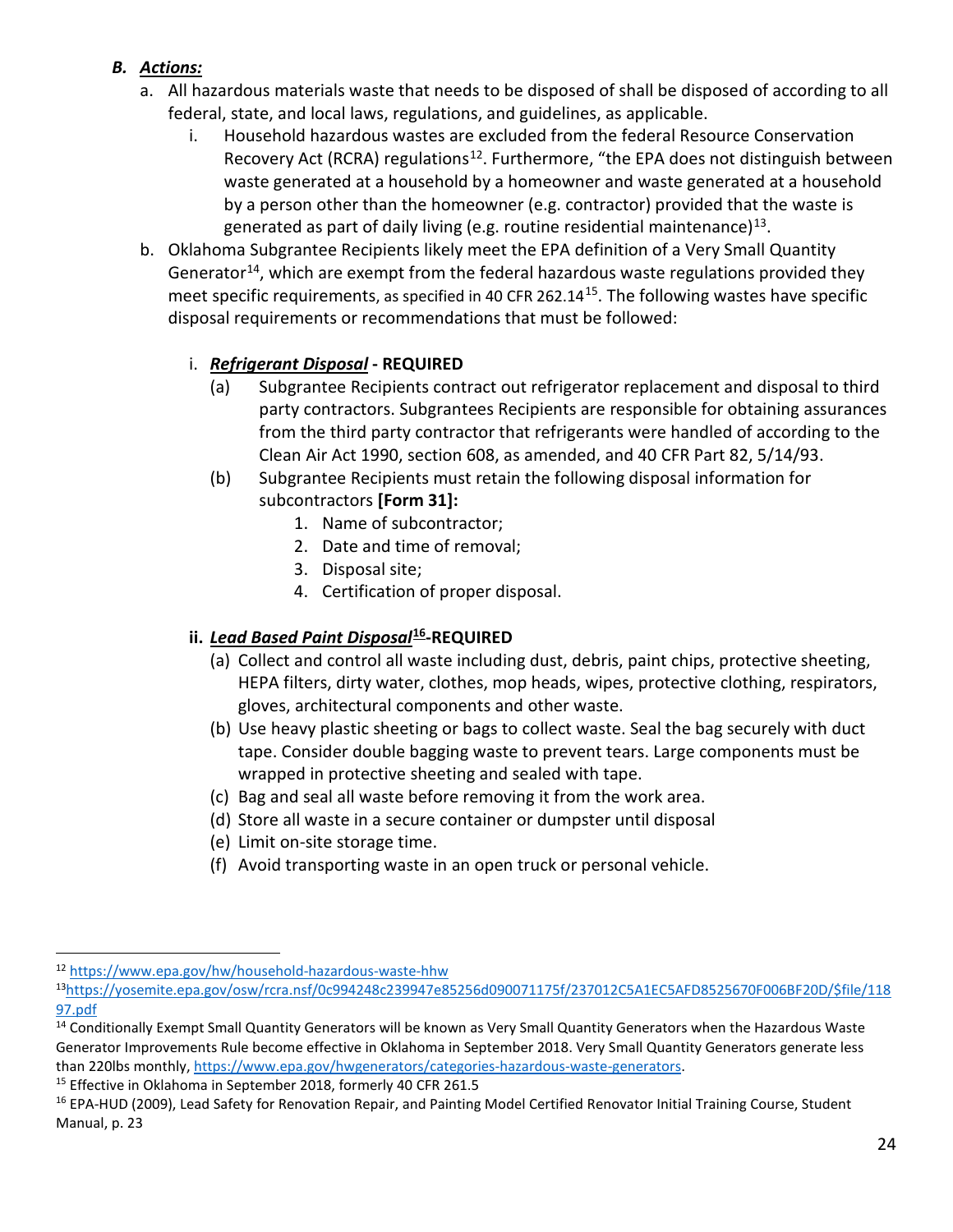## *B. Actions:*

- a. All hazardous materials waste that needs to be disposed of shall be disposed of according to all federal, state, and local laws, regulations, and guidelines, as applicable.
	- i. Household hazardous wastes are excluded from the federal Resource Conservation Recovery Act (RCRA) regulations<sup>[12](#page-23-0)</sup>. Furthermore, "the EPA does not distinguish between waste generated at a household by a homeowner and waste generated at a household by a person other than the homeowner (e.g. contractor) provided that the waste is generated as part of daily living (e.g. routine residential maintenance)<sup>13</sup>.
- b. Oklahoma Subgrantee Recipients likely meet the EPA definition of a Very Small Quantity Generator<sup>14</sup>, which are exempt from the federal hazardous waste regulations provided they meet specific requirements, as specified in 40 CFR 262.14<sup>[15](#page-23-3)</sup>. The following wastes have specific disposal requirements or recommendations that must be followed:

## i. *Refrigerant Disposal* **- REQUIRED**

- (a) Subgrantee Recipients contract out refrigerator replacement and disposal to third party contractors. Subgrantees Recipients are responsible for obtaining assurances from the third party contractor that refrigerants were handled of according to the Clean Air Act 1990, section 608, as amended, and 40 CFR Part 82, 5/14/93.
- (b) Subgrantee Recipients must retain the following disposal information for subcontractors **[Form 31]:** 
	- 1. Name of subcontractor;
	- 2. Date and time of removal;
	- 3. Disposal site;
	- 4. Certification of proper disposal.

#### **ii.** *Lead Based Paint Disposal***[16-](#page-23-4)REQUIRED**

- (a) Collect and control all waste including dust, debris, paint chips, protective sheeting, HEPA filters, dirty water, clothes, mop heads, wipes, protective clothing, respirators, gloves, architectural components and other waste.
- (b) Use heavy plastic sheeting or bags to collect waste. Seal the bag securely with duct tape. Consider double bagging waste to prevent tears. Large components must be wrapped in protective sheeting and sealed with tape.
- (c) Bag and seal all waste before removing it from the work area.
- (d) Store all waste in a secure container or dumpster until disposal
- (e) Limit on-site storage time.
- (f) Avoid transporting waste in an open truck or personal vehicle.

<span id="page-23-0"></span><sup>12</sup> <https://www.epa.gov/hw/household-hazardous-waste-hhw>

<span id="page-23-1"></span><sup>1</sup>[3https://yosemite.epa.gov/osw/rcra.nsf/0c994248c239947e85256d090071175f/237012C5A1EC5AFD8525670F006BF20D/\\$file/118](https://yosemite.epa.gov/osw/rcra.nsf/0c994248c239947e85256d090071175f/237012C5A1EC5AFD8525670F006BF20D/$file/11897.pdf) [97.pdf](https://yosemite.epa.gov/osw/rcra.nsf/0c994248c239947e85256d090071175f/237012C5A1EC5AFD8525670F006BF20D/$file/11897.pdf)

<span id="page-23-2"></span><sup>&</sup>lt;sup>14</sup> Conditionally Exempt Small Quantity Generators will be known as Very Small Quantity Generators when the Hazardous Waste Generator Improvements Rule become effective in Oklahoma in September 2018. Very Small Quantity Generators generate less than 220lbs monthly[, https://www.epa.gov/hwgenerators/categories-hazardous-waste-generators.](https://www.epa.gov/hwgenerators/categories-hazardous-waste-generators)<br><sup>15</sup> Effective in Oklahoma in September 2018, formerly 40 CFR 261.5

<span id="page-23-3"></span>

<span id="page-23-4"></span><sup>&</sup>lt;sup>16</sup> EPA-HUD (2009), Lead Safety for Renovation Repair, and Painting Model Certified Renovator Initial Training Course, Student Manual, p. 23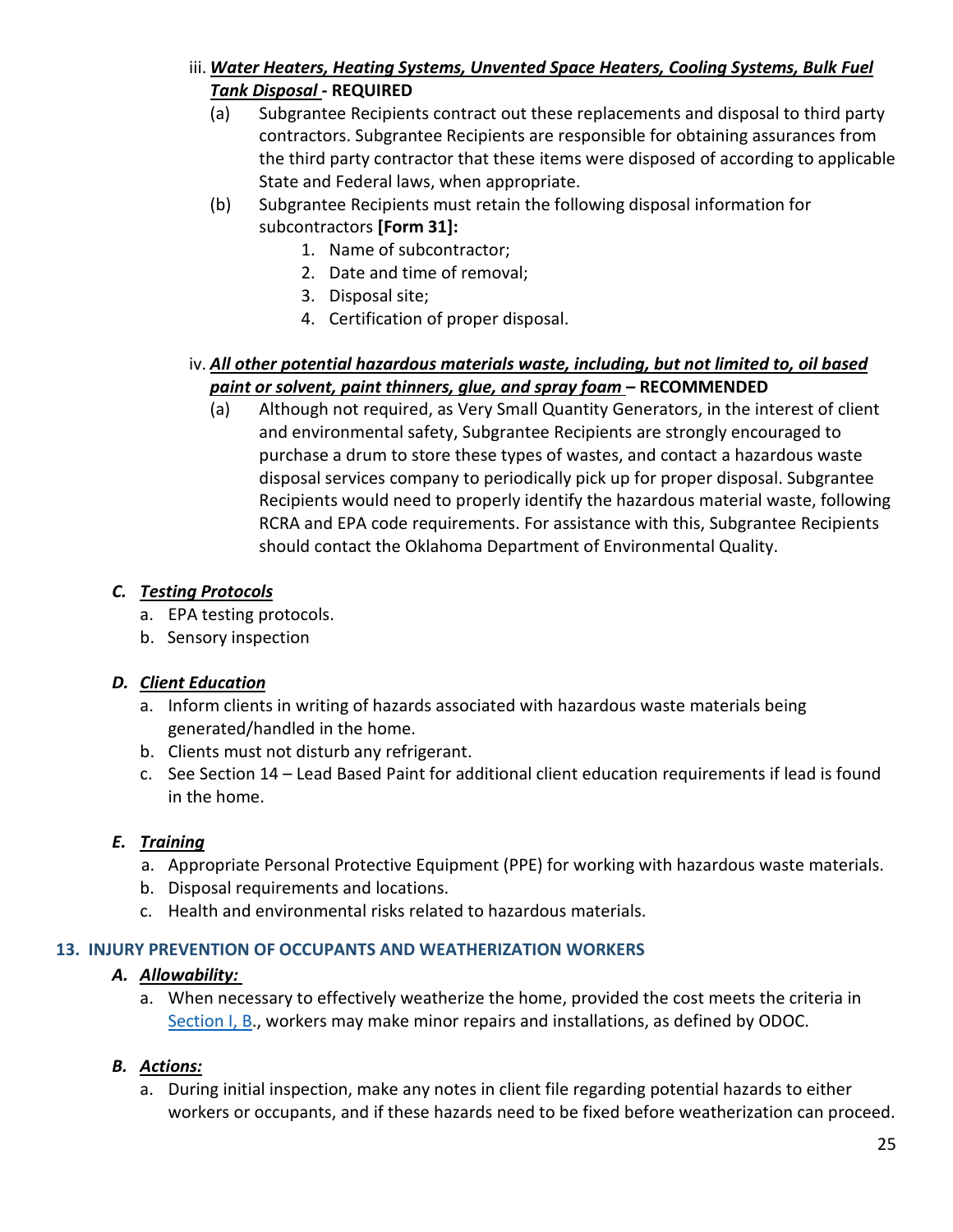- iii. *Water Heaters, Heating Systems, Unvented Space Heaters, Cooling Systems, Bulk Fuel Tank Disposal* **- REQUIRED**
	- (a) Subgrantee Recipients contract out these replacements and disposal to third party contractors. Subgrantee Recipients are responsible for obtaining assurances from the third party contractor that these items were disposed of according to applicable State and Federal laws, when appropriate.
	- (b) Subgrantee Recipients must retain the following disposal information for subcontractors **[Form 31]:**
		- 1. Name of subcontractor;
		- 2. Date and time of removal;
		- 3. Disposal site;
		- 4. Certification of proper disposal.

## iv. *All other potential hazardous materials waste, including, but not limited to, oil based paint or solvent, paint thinners, glue, and spray foam – RECOMMENDED*

(a) Although not required, as Very Small Quantity Generators, in the interest of client and environmental safety, Subgrantee Recipients are strongly encouraged to purchase a drum to store these types of wastes, and contact a hazardous waste disposal services company to periodically pick up for proper disposal. Subgrantee Recipients would need to properly identify the hazardous material waste, following RCRA and EPA code requirements. For assistance with this, Subgrantee Recipients should contact the Oklahoma Department of Environmental Quality.

## *C. Testing Protocols*

- a. EPA testing protocols.
- b. Sensory inspection

## *D. Client Education*

- a. Inform clients in writing of hazards associated with hazardous waste materials being generated/handled in the home.
- b. Clients must not disturb any refrigerant.
- c. See Section 14 Lead Based Paint for additional client education requirements if lead is found in the home.

## *E. Training*

- a. Appropriate Personal Protective Equipment (PPE) for working with hazardous waste materials.
- b. Disposal requirements and locations.
- c. Health and environmental risks related to hazardous materials.

#### **13. INJURY PREVENTION OF OCCUPANTS AND WEATHERIZATION WORKERS**

#### *A. Allowability:*

a. When necessary to effectively weatherize the home, provided the cost meets the criteria in [Section I, B.](#page-0-2), workers may make minor repairs and installations, as defined by ODOC.

## *B. Actions:*

a. During initial inspection, make any notes in client file regarding potential hazards to either workers or occupants, and if these hazards need to be fixed before weatherization can proceed.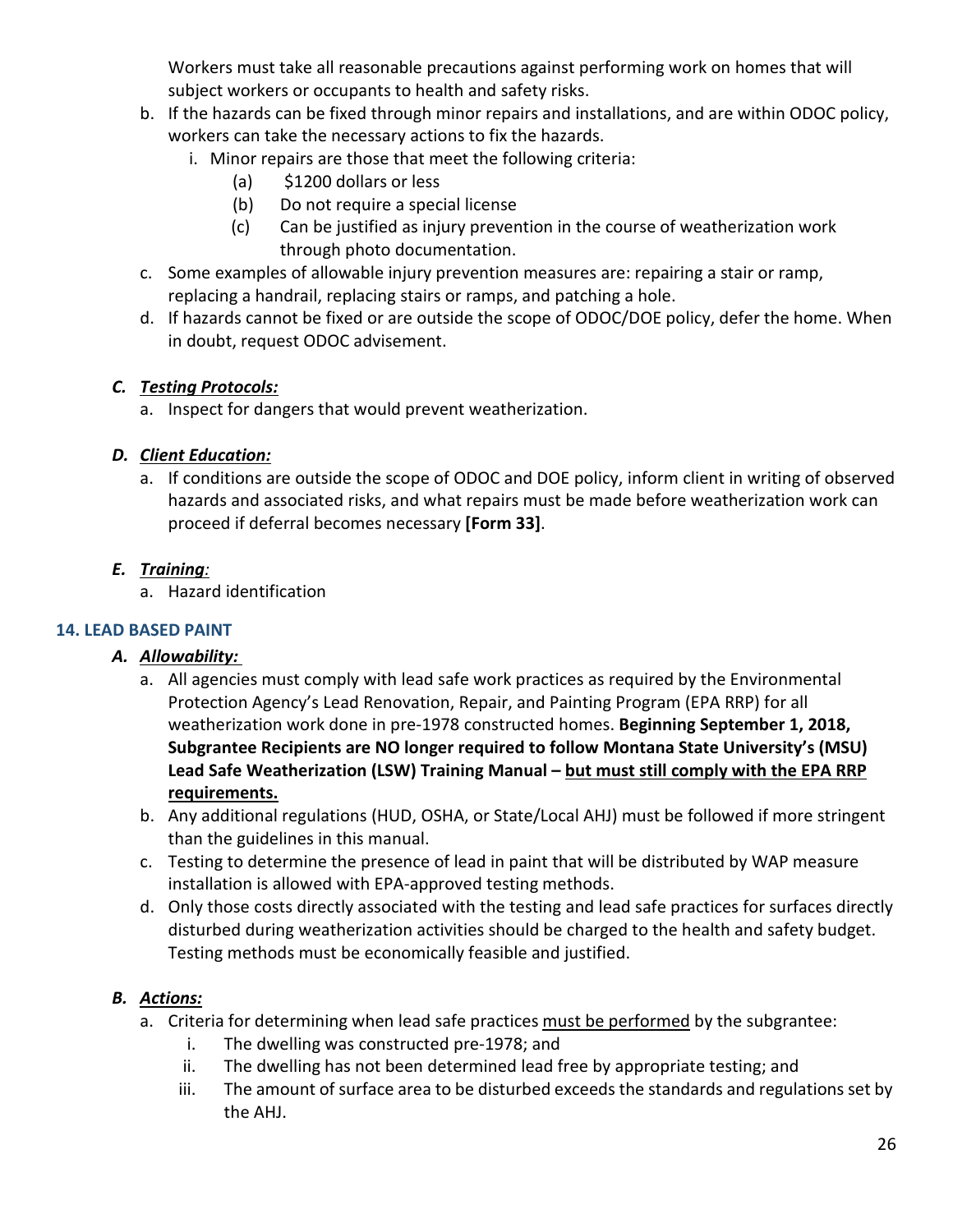Workers must take all reasonable precautions against performing work on homes that will subject workers or occupants to health and safety risks.

- b. If the hazards can be fixed through minor repairs and installations, and are within ODOC policy, workers can take the necessary actions to fix the hazards.
	- i. Minor repairs are those that meet the following criteria:
		- (a) \$1200 dollars or less
		- (b) Do not require a special license
		- (c) Can be justified as injury prevention in the course of weatherization work through photo documentation.
- c. Some examples of allowable injury prevention measures are: repairing a stair or ramp, replacing a handrail, replacing stairs or ramps, and patching a hole.
- d. If hazards cannot be fixed or are outside the scope of ODOC/DOE policy, defer the home. When in doubt, request ODOC advisement.

## *C. Testing Protocols:*

a. Inspect for dangers that would prevent weatherization.

## *D. Client Education:*

a. If conditions are outside the scope of ODOC and DOE policy, inform client in writing of observed hazards and associated risks, and what repairs must be made before weatherization work can proceed if deferral becomes necessary **[Form 33]**.

## *E. Training:*

a. Hazard identification

## **14. LEAD BASED PAINT**

## *A. Allowability:*

- a. All agencies must comply with lead safe work practices as required by the Environmental Protection Agency's Lead Renovation, Repair, and Painting Program (EPA RRP) for all weatherization work done in pre-1978 constructed homes. **Beginning September 1, 2018, Subgrantee Recipients are NO longer required to follow Montana State University's (MSU) Lead Safe Weatherization (LSW) Training Manual – but must still comply with the EPA RRP requirements.**
- b. Any additional regulations (HUD, OSHA, or State/Local AHJ) must be followed if more stringent than the guidelines in this manual.
- c. Testing to determine the presence of lead in paint that will be distributed by WAP measure installation is allowed with EPA-approved testing methods.
- d. Only those costs directly associated with the testing and lead safe practices for surfaces directly disturbed during weatherization activities should be charged to the health and safety budget. Testing methods must be economically feasible and justified.

- a. Criteria for determining when lead safe practices must be performed by the subgrantee:
	- i. The dwelling was constructed pre-1978; and
	- ii. The dwelling has not been determined lead free by appropriate testing; and
	- iii. The amount of surface area to be disturbed exceeds the standards and regulations set by the AHJ.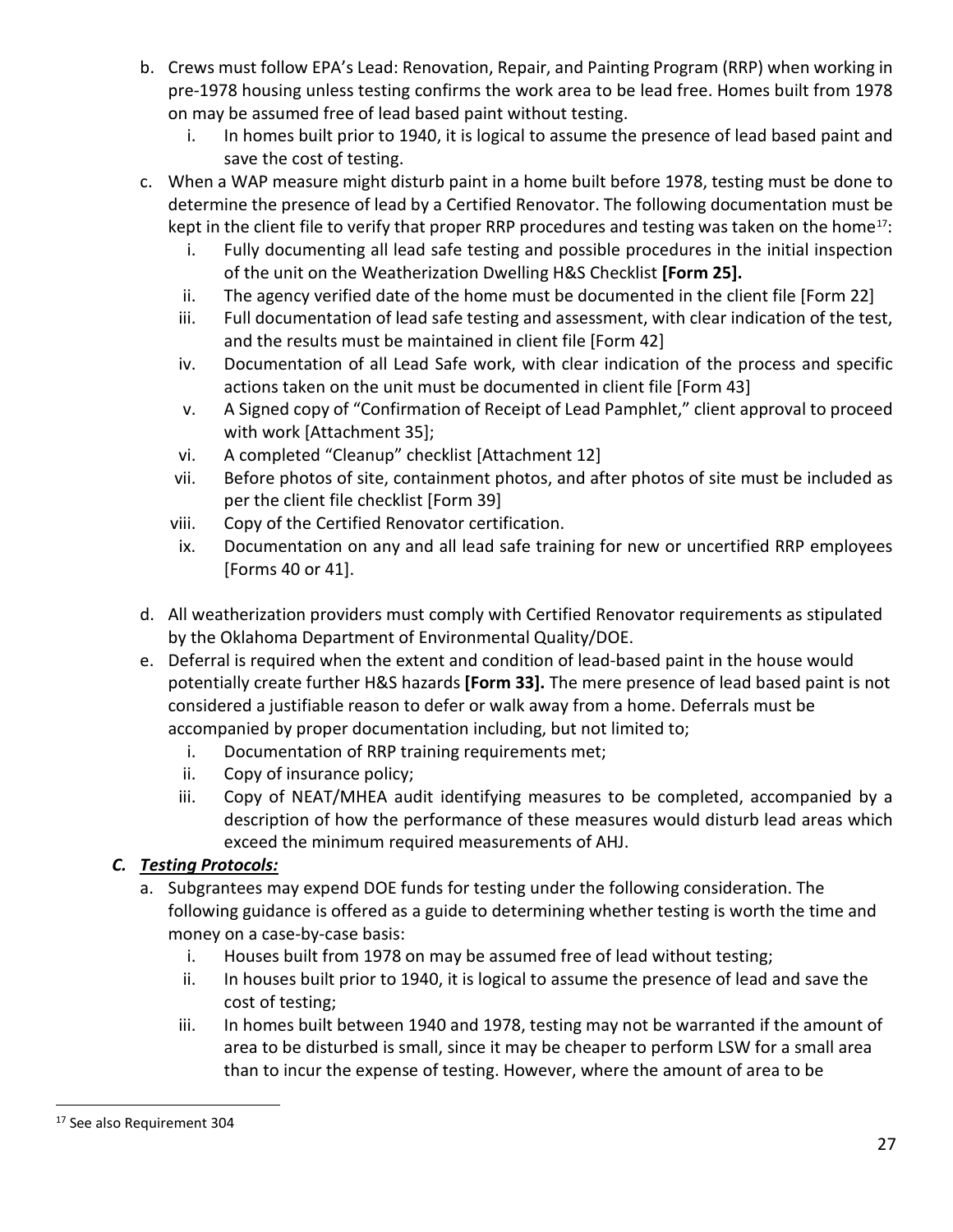- b. Crews must follow EPA's Lead: Renovation, Repair, and Painting Program (RRP) when working in pre-1978 housing unless testing confirms the work area to be lead free. Homes built from 1978 on may be assumed free of lead based paint without testing.
	- i. In homes built prior to 1940, it is logical to assume the presence of lead based paint and save the cost of testing.
- c. When a WAP measure might disturb paint in a home built before 1978, testing must be done to determine the presence of lead by a Certified Renovator. The following documentation must be kept in the client file to verify that proper RRP procedures and testing was taken on the home<sup>17</sup>:
	- i. Fully documenting all lead safe testing and possible procedures in the initial inspection of the unit on the Weatherization Dwelling H&S Checklist **[Form 25].**
	- ii. The agency verified date of the home must be documented in the client file [Form 22]
	- iii. Full documentation of lead safe testing and assessment, with clear indication of the test, and the results must be maintained in client file [Form 42]
	- iv. Documentation of all Lead Safe work, with clear indication of the process and specific actions taken on the unit must be documented in client file [Form 43]
	- v. A Signed copy of "Confirmation of Receipt of Lead Pamphlet," client approval to proceed with work [Attachment 35];
	- vi. A completed "Cleanup" checklist [Attachment 12]
	- vii. Before photos of site, containment photos, and after photos of site must be included as per the client file checklist [Form 39]
	- viii. Copy of the Certified Renovator certification.
	- ix. Documentation on any and all lead safe training for new or uncertified RRP employees [Forms 40 or 41].
- d. All weatherization providers must comply with Certified Renovator requirements as stipulated by the Oklahoma Department of Environmental Quality/DOE.
- e. Deferral is required when the extent and condition of lead-based paint in the house would potentially create further H&S hazards **[Form 33].** The mere presence of lead based paint is not considered a justifiable reason to defer or walk away from a home. Deferrals must be accompanied by proper documentation including, but not limited to;
	- i. Documentation of RRP training requirements met;
	- ii. Copy of insurance policy;
	- iii. Copy of NEAT/MHEA audit identifying measures to be completed, accompanied by a description of how the performance of these measures would disturb lead areas which exceed the minimum required measurements of AHJ.

- a. Subgrantees may expend DOE funds for testing under the following consideration. The following guidance is offered as a guide to determining whether testing is worth the time and money on a case-by-case basis:
	- i. Houses built from 1978 on may be assumed free of lead without testing;
	- ii. In houses built prior to 1940, it is logical to assume the presence of lead and save the cost of testing;
	- iii. In homes built between 1940 and 1978, testing may not be warranted if the amount of area to be disturbed is small, since it may be cheaper to perform LSW for a small area than to incur the expense of testing. However, where the amount of area to be

<span id="page-26-0"></span><sup>17</sup> See also Requirement 304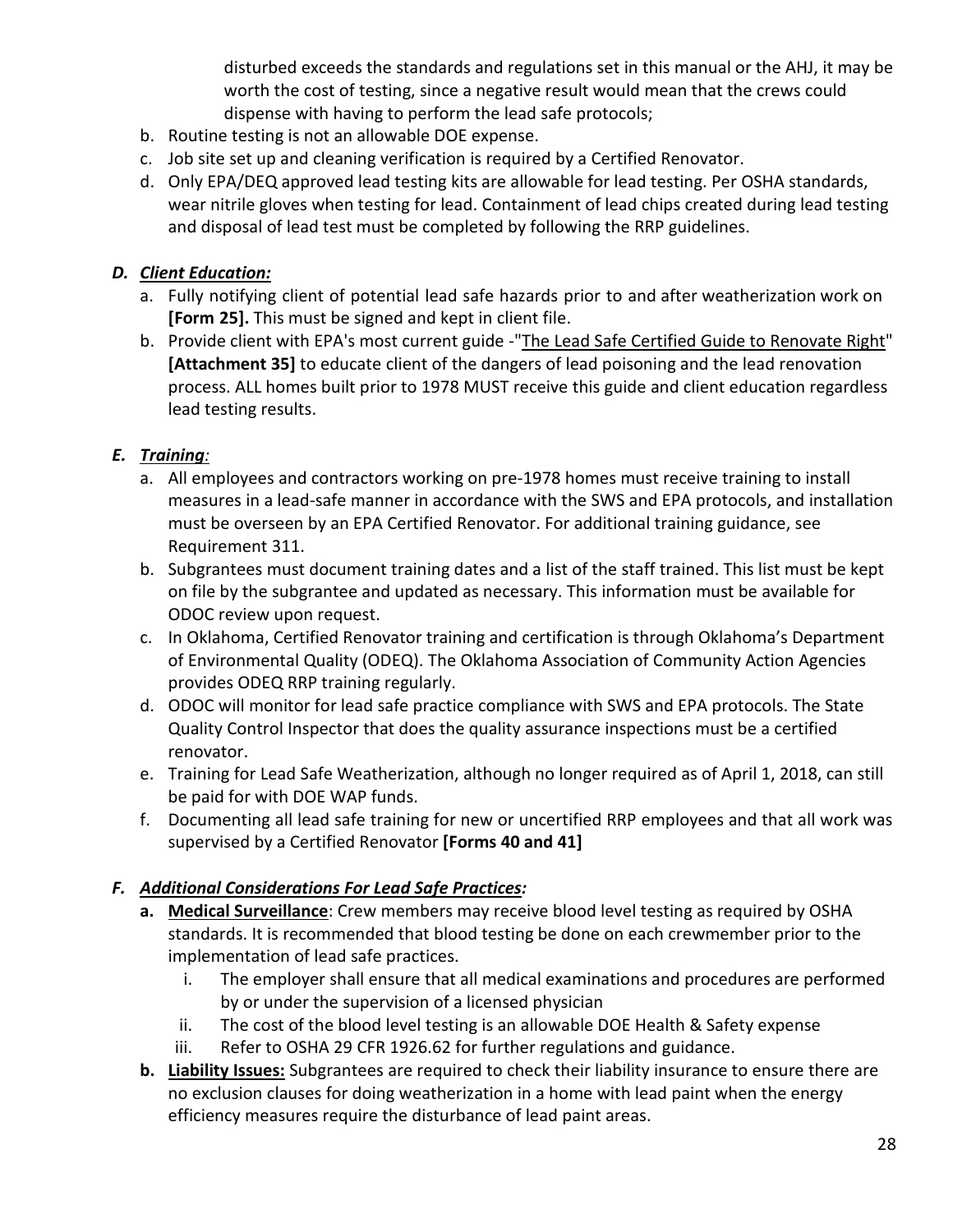disturbed exceeds the standards and regulations set in this manual or the AHJ, it may be worth the cost of testing, since a negative result would mean that the crews could dispense with having to perform the lead safe protocols;

- b. Routine testing is not an allowable DOE expense.
- c. Job site set up and cleaning verification is required by a Certified Renovator.
- d. Only EPA/DEQ approved lead testing kits are allowable for lead testing. Per OSHA standards, wear nitrile gloves when testing for lead. Containment of lead chips created during lead testing and disposal of lead test must be completed by following the RRP guidelines.

#### *D. Client Education:*

- a. Fully notifying client of potential lead safe hazards prior to and after weatherization work on **[Form 25].** This must be signed and kept in client file.
- b. Provide client with EPA's most current guide -["The Lead Safe Certified Guide to Renovate Right"](https://www.epa.gov/sites/production/files/documents/renovaterightbrochure.pdf) **[Attachment 35]** to educate client of the dangers of lead poisoning and the lead renovation process. ALL homes built prior to 1978 MUST receive this guide and client education regardless lead testing results.

## *E. Training:*

- a. All employees and contractors working on pre-1978 homes must receive training to install measures in a lead-safe manner in accordance with the SWS and EPA protocols, and installation must be overseen by an EPA Certified Renovator. For additional training guidance, see Requirement 311.
- b. Subgrantees must document training dates and a list of the staff trained. This list must be kept on file by the subgrantee and updated as necessary. This information must be available for ODOC review upon request.
- c. In Oklahoma, Certified Renovator training and certification is through Oklahoma's Department of Environmental Quality (ODEQ). The Oklahoma Association of Community Action Agencies provides ODEQ RRP training regularly.
- d. ODOC will monitor for lead safe practice compliance with SWS and EPA protocols. The State Quality Control Inspector that does the quality assurance inspections must be a certified renovator.
- e. Training for Lead Safe Weatherization, although no longer required as of April 1, 2018, can still be paid for with DOE WAP funds.
- f. Documenting all lead safe training for new or uncertified RRP employees and that all work was supervised by a Certified Renovator **[Forms 40 and 41]**

## *F. Additional Considerations For Lead Safe Practices:*

- **a. Medical Surveillance**: Crew members may receive blood level testing as required by OSHA standards. It is recommended that blood testing be done on each crewmember prior to the implementation of lead safe practices.
	- i. The employer shall ensure that all medical examinations and procedures are performed by or under the supervision of a licensed physician
	- ii. The cost of the blood level testing is an allowable DOE Health & Safety expense
	- iii. Refer to OSHA 29 CFR 1926.62 for further regulations and guidance.
- **b. Liability Issues:** Subgrantees are required to check their liability insurance to ensure there are no exclusion clauses for doing weatherization in a home with lead paint when the energy efficiency measures require the disturbance of lead paint areas.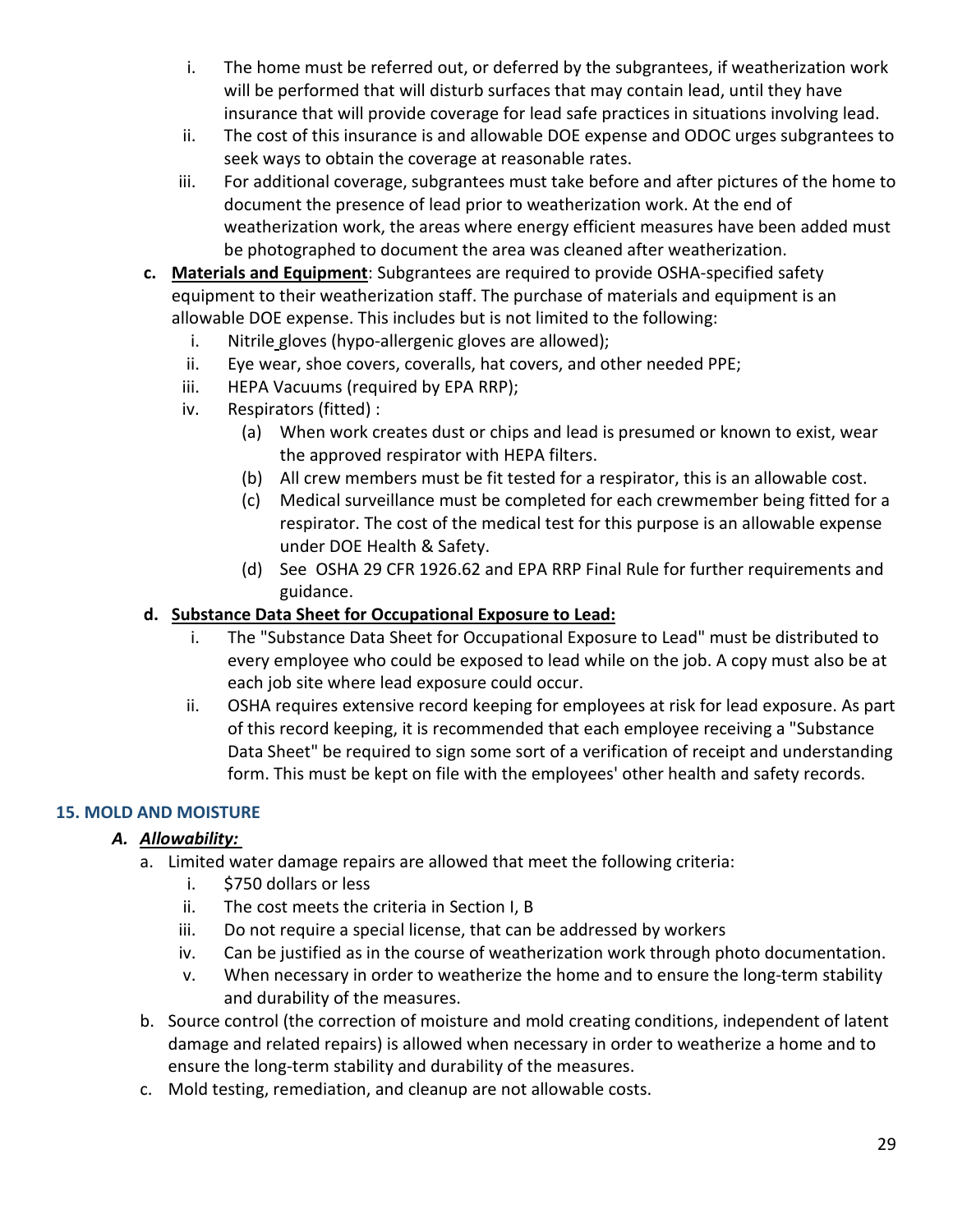- i. The home must be referred out, or deferred by the subgrantees, if weatherization work will be performed that will disturb surfaces that may contain lead, until they have insurance that will provide coverage for lead safe practices in situations involving lead.
- ii. The cost of this insurance is and allowable DOE expense and ODOC urges subgrantees to seek ways to obtain the coverage at reasonable rates.
- iii. For additional coverage, subgrantees must take before and after pictures of the home to document the presence of lead prior to weatherization work. At the end of weatherization work, the areas where energy efficient measures have been added must be photographed to document the area was cleaned after weatherization.
- **c. Materials and Equipment**: Subgrantees are required to provide OSHA-specified safety equipment to their weatherization staff. The purchase of materials and equipment is an allowable DOE expense. This includes but is not limited to the following:
	- i. Nitrile gloves (hypo-allergenic gloves are allowed);
	- ii. Eye wear, shoe covers, coveralls, hat covers, and other needed PPE;
	- iii. HEPA Vacuums (required by EPA RRP);
	- iv. Respirators (fitted) :
		- (a) When work creates dust or chips and lead is presumed or known to exist, wear the approved respirator with HEPA filters.
		- (b) All crew members must be fit tested for a respirator, this is an allowable cost.
		- (c) Medical surveillance must be completed for each crewmember being fitted for a respirator. The cost of the medical test for this purpose is an allowable expense under DOE Health & Safety.
		- (d) See OSHA 29 CFR 1926.62 and EPA RRP Final Rule for further requirements and guidance.

#### **d. Substance Data Sheet for Occupational Exposure to Lead:**

- i. The "Substance Data Sheet for Occupational Exposure to Lead" must be distributed to every employee who could be exposed to lead while on the job. A copy must also be at each job site where lead exposure could occur.
- ii. OSHA requires extensive record keeping for employees at risk for lead exposure. As part of this record keeping, it is recommended that each employee receiving a "Substance Data Sheet" be required to sign some sort of a verification of receipt and understanding form. This must be kept on file with the employees' other health and safety records.

#### **15. MOLD AND MOISTURE**

## *A. Allowability:*

- a. Limited water damage repairs are allowed that meet the following criteria:
	- i. \$750 dollars or less
	- ii. The cost meets the criteria in [Section I, B](#page-0-2)
	- iii. Do not require a special license, that can be addressed by workers
	- iv. Can be justified as in the course of weatherization work through photo documentation.
	- v. When necessary in order to weatherize the home and to ensure the long-term stability and durability of the measures.
- b. Source control (the correction of moisture and mold creating conditions, independent of latent damage and related repairs) is allowed when necessary in order to weatherize a home and to ensure the long-term stability and durability of the measures.
- c. Mold testing, remediation, and cleanup are not allowable costs.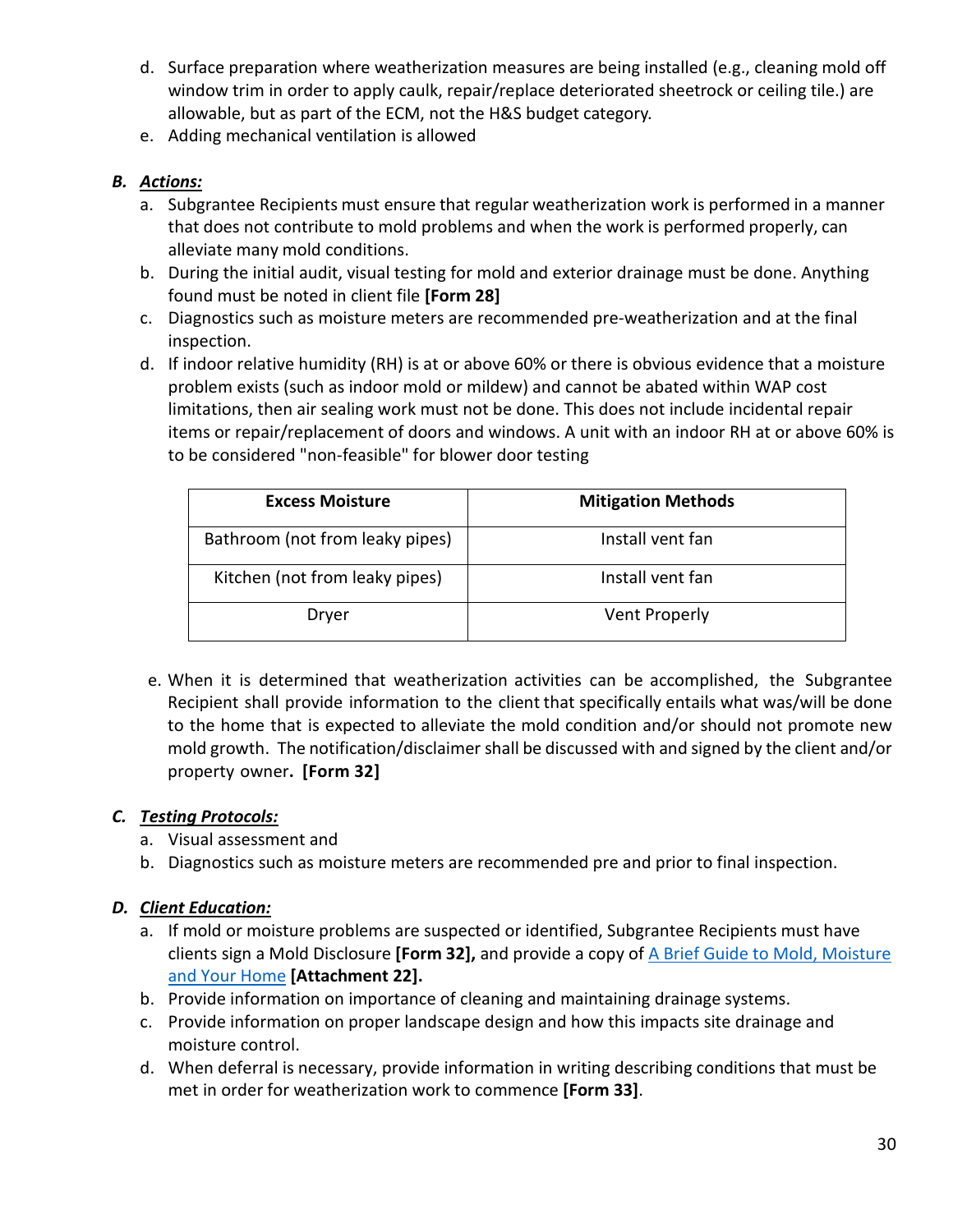- d. Surface preparation where weatherization measures are being installed (e.g., cleaning mold off window trim in order to apply caulk, repair/replace deteriorated sheetrock or ceiling tile.) are allowable, but as part of the ECM, not the H&S budget category.
- e. Adding mechanical ventilation is allowed

#### *B. Actions:*

- a. Subgrantee Recipients must ensure that regular weatherization work is performed in a manner that does not contribute to mold problems and when the work is performed properly, can alleviate many mold conditions.
- b. During the initial audit, visual testing for mold and exterior drainage must be done. Anything found must be noted in client file **[Form 28]**
- c. Diagnostics such as moisture meters are recommended pre-weatherization and at the final inspection.
- d. If indoor relative humidity (RH) is at or above 60% or there is obvious evidence that a moisture problem exists (such as indoor mold or mildew) and cannot be abated within WAP cost limitations, then air sealing work must not be done. This does not include incidental repair items or repair/replacement of doors and windows. A unit with an indoor RH at or above 60% is to be considered "non-feasible" for blower door testing

| <b>Excess Moisture</b>          | <b>Mitigation Methods</b> |
|---------------------------------|---------------------------|
| Bathroom (not from leaky pipes) | Install vent fan          |
| Kitchen (not from leaky pipes)  | Install vent fan          |
| Dryer                           | <b>Vent Properly</b>      |

e. When it is determined that weatherization activities can be accomplished, the Subgrantee Recipient shall provide information to the client that specifically entails what was/will be done to the home that is expected to alleviate the mold condition and/or should not promote new mold growth. The notification/disclaimer shall be discussed with and signed by the client and/or property owner**. [Form 32]**

## *C. Testing Protocols:*

- a. Visual assessment and
- b. Diagnostics such as moisture meters are recommended pre and prior to final inspection.

## *D. Client Education:*

- a. If mold or moisture problems are suspected or identified, Subgrantee Recipients must have clients sign a Mold Disclosure **[Form 32],** and provide a copy of [A Brief Guide to Mold, Moisture](https://www.epa.gov/sites/production/files/2016-10/documents/moldguide12.pdf)  [and Your Home](https://www.epa.gov/sites/production/files/2016-10/documents/moldguide12.pdf) **[Attachment 22].**
- b. Provide information on importance of cleaning and maintaining drainage systems.
- c. Provide information on proper landscape design and how this impacts site drainage and moisture control.
- d. When deferral is necessary, provide information in writing describing conditions that must be met in order for weatherization work to commence **[Form 33]**.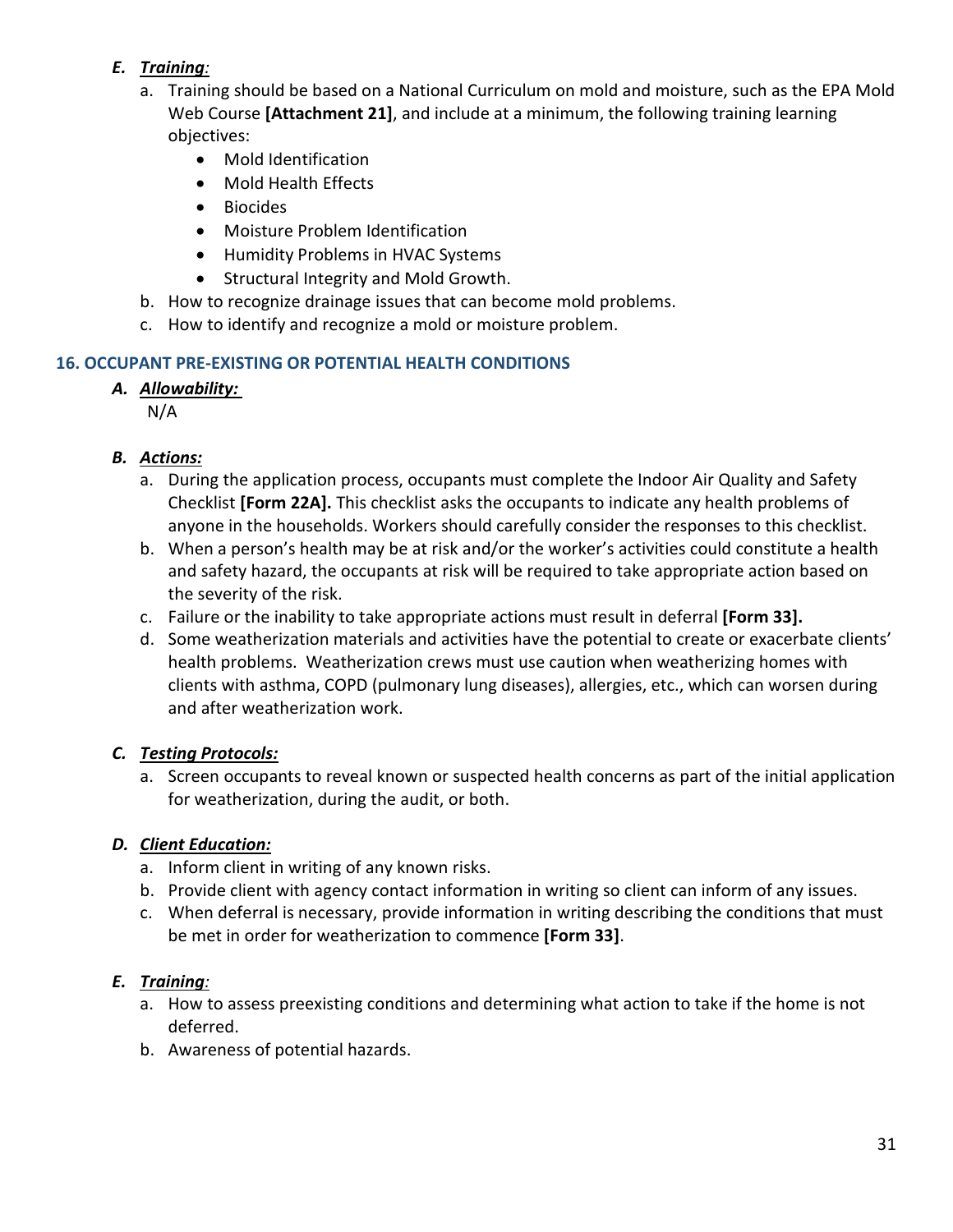## *E. Training:*

- a. Training should be based on a National Curriculum on mold and moisture, such as the EPA Mold Web Course **[Attachment 21]**, and include at a minimum, the following training learning objectives:
	- Mold Identification
	- Mold Health Effects
	- Biocides
	- Moisture Problem Identification
	- Humidity Problems in HVAC Systems
	- Structural Integrity and Mold Growth.
- b. How to recognize drainage issues that can become mold problems.
- c. How to identify and recognize a mold or moisture problem.

## **16. OCCUPANT PRE-EXISTING OR POTENTIAL HEALTH CONDITIONS**

## *A. Allowability:*

N/A

# *B. Actions:*

- a. During the application process, occupants must complete the Indoor Air Quality and Safety Checklist **[Form 22A].** This checklist asks the occupants to indicate any health problems of anyone in the households. Workers should carefully consider the responses to this checklist.
- b. When a person's health may be at risk and/or the worker's activities could constitute a health and safety hazard, the occupants at risk will be required to take appropriate action based on the severity of the risk.
- c. Failure or the inability to take appropriate actions must result in deferral **[Form 33].**
- d. Some weatherization materials and activities have the potential to create or exacerbate clients' health problems. Weatherization crews must use caution when weatherizing homes with clients with asthma, COPD (pulmonary lung diseases), allergies, etc., which can worsen during and after weatherization work.

# *C. Testing Protocols:*

a. Screen occupants to reveal known or suspected health concerns as part of the initial application for weatherization, during the audit, or both.

# *D. Client Education:*

- a. Inform client in writing of any known risks.
- b. Provide client with agency contact information in writing so client can inform of any issues.
- c. When deferral is necessary, provide information in writing describing the conditions that must be met in order for weatherization to commence **[Form 33]**.

# *E. Training:*

- a. How to assess preexisting conditions and determining what action to take if the home is not deferred.
- b. Awareness of potential hazards.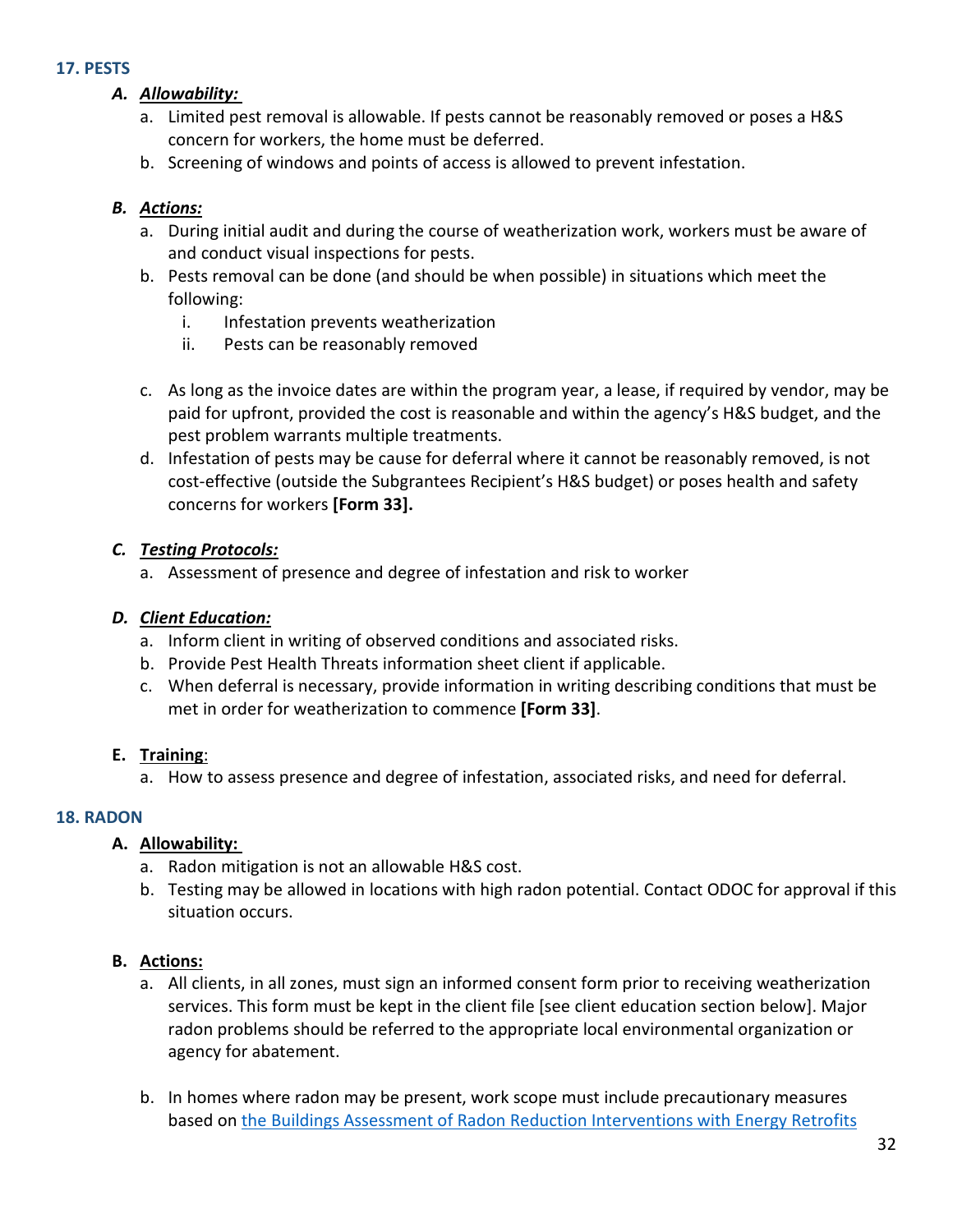#### **17. PESTS**

## *A. Allowability:*

- a. Limited pest removal is allowable. If pests cannot be reasonably removed or poses a H&S concern for workers, the home must be deferred.
- b. Screening of windows and points of access is allowed to prevent infestation.

#### *B. Actions:*

- a. During initial audit and during the course of weatherization work, workers must be aware of and conduct visual inspections for pests.
- b. Pests removal can be done (and should be when possible) in situations which meet the following:
	- i. Infestation prevents weatherization
	- ii. Pests can be reasonably removed
- c. As long as the invoice dates are within the program year, a lease, if required by vendor, may be paid for upfront, provided the cost is reasonable and within the agency's H&S budget, and the pest problem warrants multiple treatments.
- d. Infestation of pests may be cause for deferral where it cannot be reasonably removed, is not cost-effective (outside the Subgrantees Recipient's H&S budget) or poses health and safety concerns for workers **[Form 33].**

#### *C. Testing Protocols:*

a. Assessment of presence and degree of infestation and risk to worker

#### *D. Client Education:*

- a. Inform client in writing of observed conditions and associated risks.
- b. Provide Pest Health Threats information sheet client if applicable.
- c. When deferral is necessary, provide information in writing describing conditions that must be met in order for weatherization to commence **[Form 33]**.

## **E. Training**:

a. How to assess presence and degree of infestation, associated risks, and need for deferral.

## **18. RADON**

## **A. Allowability:**

- a. Radon mitigation is not an allowable H&S cost.
- b. Testing may be allowed in locations with high radon potential. Contact ODOC for approval if this situation occurs.

- a. All clients, in all zones, must sign an informed consent form prior to receiving weatherization services. This form must be kept in the client file [see client education section below]. Major radon problems should be referred to the appropriate local environmental organization or agency for abatement.
- b. In homes where radon may be present, work scope must include precautionary measures based on [the Buildings Assessment of Radon Reduction Interventions with Energy Retrofits](https://weatherization.ornl.gov/wp-content/uploads/2021/01/ORNL-_TM-2020_1769.pdf)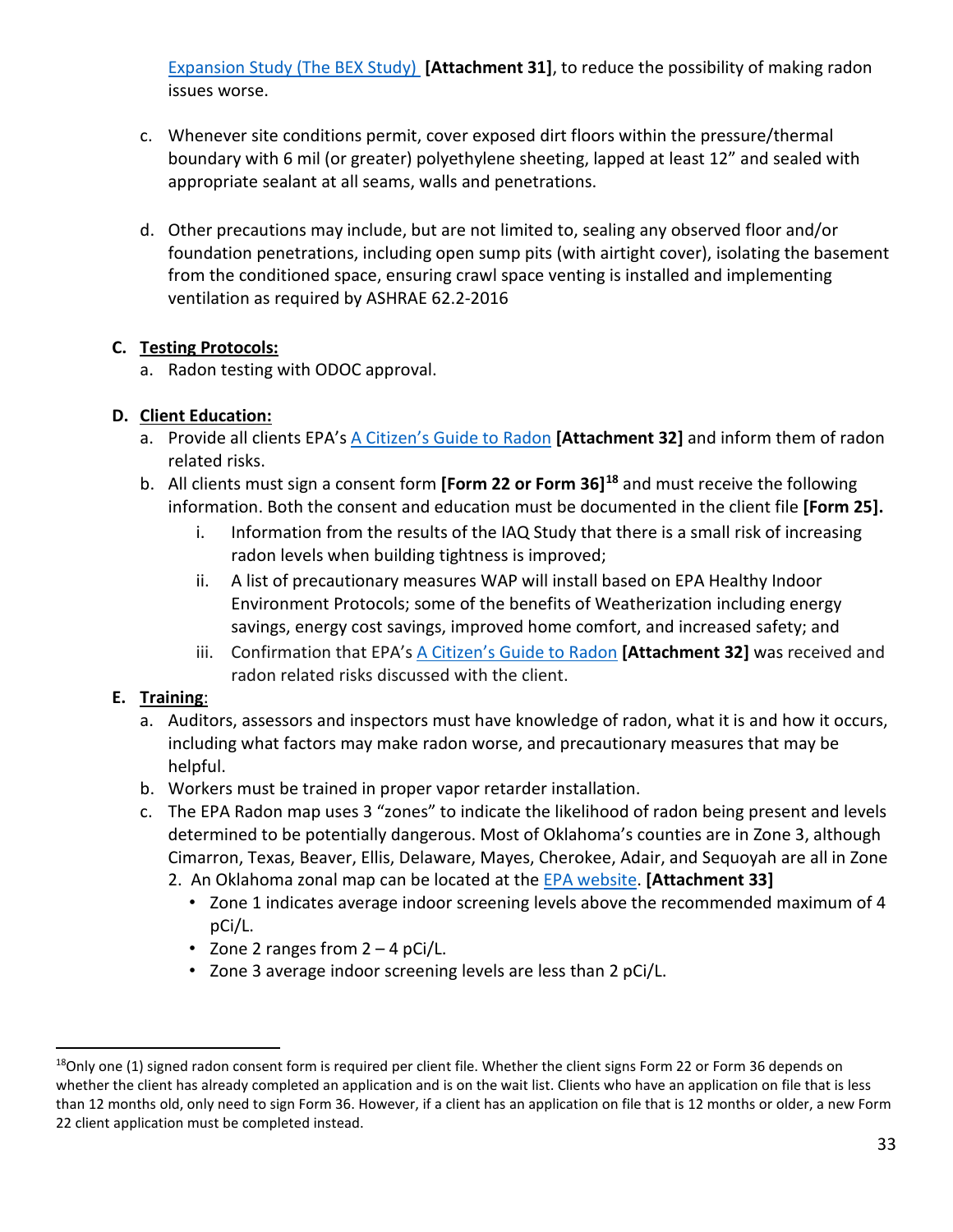[Expansion Study \(The BEX Study\)](https://weatherization.ornl.gov/wp-content/uploads/2021/01/ORNL-_TM-2020_1769.pdf) **[Attachment 31]**, to reduce the possibility of making radon issues worse.

- c. Whenever site conditions permit, cover exposed dirt floors within the pressure/thermal boundary with 6 mil (or greater) polyethylene sheeting, lapped at least 12" and sealed with appropriate sealant at all seams, walls and penetrations.
- d. Other precautions may include, but are not limited to, sealing any observed floor and/or foundation penetrations, including open sump pits (with airtight cover), isolating the basement from the conditioned space, ensuring crawl space venting is installed and implementing ventilation as required by ASHRAE 62.2-2016

#### **C. Testing Protocols:**

a. Radon testing with ODOC approval.

## **D. Client Education:**

- a. Provide all clients EPA's [A Citizen's Guide to Radon](https://www.epa.gov/sites/production/files/2016-12/documents/2016_a_citizens_guide_to_radon.pdf) **[Attachment 32]** and inform them of radon related risks.
- b. All clients must sign a consent form **[Form 22 or Form 36][18](#page-32-0)** and must receive the following information. Both the consent and education must be documented in the client file **[Form 25].**
	- i. Information from the results of the IAQ Study that there is a small risk of increasing radon levels when building tightness is improved;
	- ii. A list of precautionary measures WAP will install based on EPA Healthy Indoor Environment Protocols; some of the benefits of Weatherization including energy savings, energy cost savings, improved home comfort, and increased safety; and
	- iii. Confirmation that EPA's [A Citizen's Guide to Radon](https://www.epa.gov/sites/production/files/2016-12/documents/2016_a_citizens_guide_to_radon.pdf) **[Attachment 32]** was received and radon related risks discussed with the client.

## **E. Training**:

- a. Auditors, assessors and inspectors must have knowledge of radon, what it is and how it occurs, including what factors may make radon worse, and precautionary measures that may be helpful.
- b. Workers must be trained in proper vapor retarder installation.
- c. The EPA Radon map uses 3 "zones" to indicate the likelihood of radon being present and levels determined to be potentially dangerous. Most of Oklahoma's counties are in Zone 3, although Cimarron, Texas, Beaver, Ellis, Delaware, Mayes, Cherokee, Adair, and Sequoyah are all in Zone
	- 2. An Oklahoma zonal map can be located at the [EPA website.](https://www.epa.gov/sites/production/files/2015-07/documents/zonemapcolor.pdf) **[Attachment 33]**
		- Zone 1 indicates average indoor screening levels above the recommended maximum of 4 pCi/L.
		- Zone 2 ranges from 2 4 pCi/L.
		- Zone 3 average indoor screening levels are less than 2 pCi/L.

<span id="page-32-0"></span> $18$ Only one (1) signed radon consent form is required per client file. Whether the client signs Form 22 or Form 36 depends on whether the client has already completed an application and is on the wait list. Clients who have an application on file that is less than 12 months old, only need to sign Form 36. However, if a client has an application on file that is 12 months or older, a new Form 22 client application must be completed instead.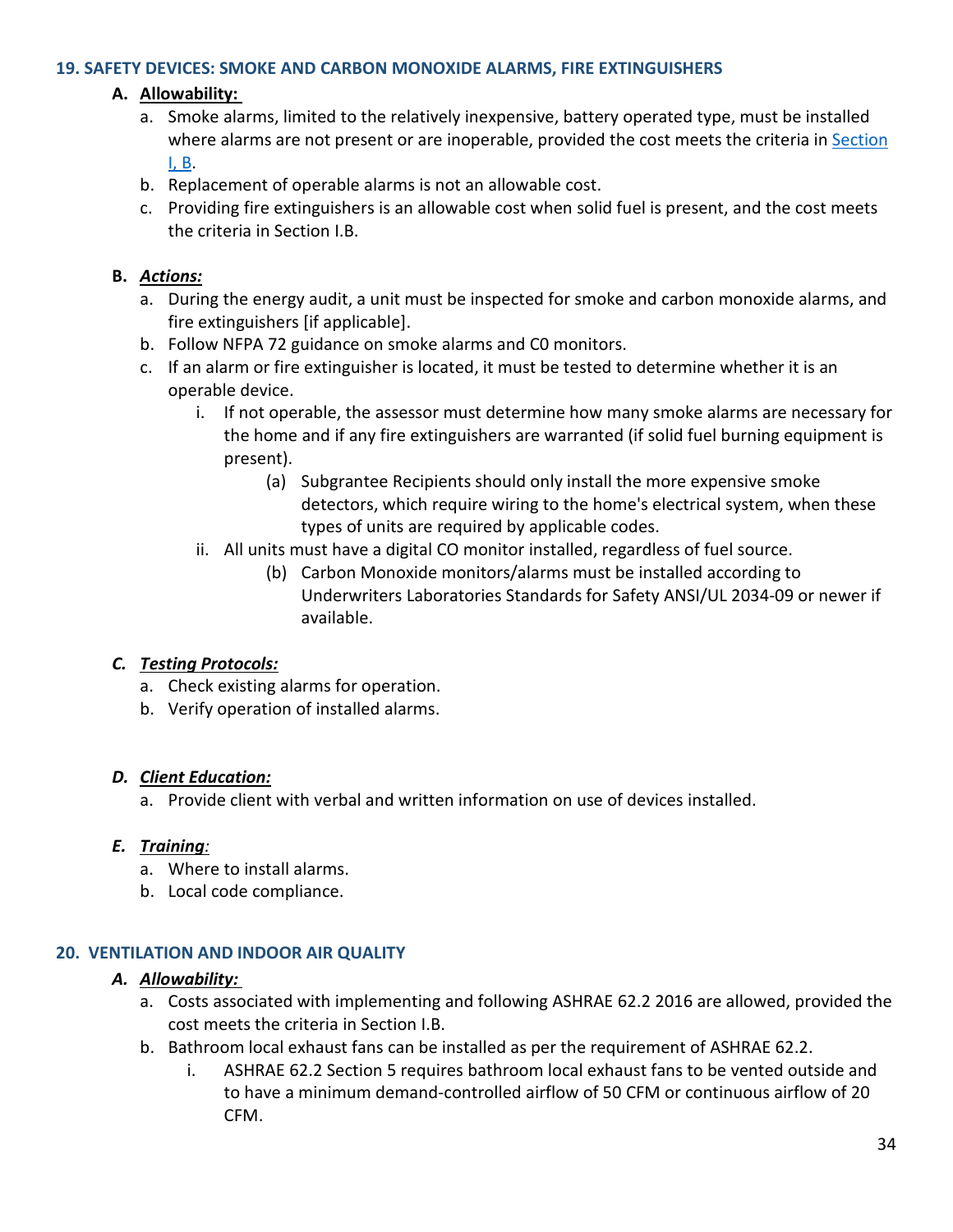#### **19. SAFETY DEVICES: SMOKE AND CARBON MONOXIDE ALARMS, FIRE EXTINGUISHERS**

#### **A. Allowability:**

- a. Smoke alarms, limited to the relatively inexpensive, battery operated type, must be installed where alarms are not present or are inoperable, provided the cost meets the criteria i[n Section](#page-0-2)  [I, B.](#page-0-2)
- b. Replacement of operable alarms is not an allowable cost.
- c. Providing fire extinguishers is an allowable cost when solid fuel is present, and the cost meets the criteria in Section I.B.

#### **B.** *Actions:*

- a. During the energy audit, a unit must be inspected for smoke and carbon monoxide alarms, and fire extinguishers [if applicable].
- b. Follow NFPA 72 guidance on smoke alarms and C0 monitors.
- c. If an alarm or fire extinguisher is located, it must be tested to determine whether it is an operable device.
	- i. If not operable, the assessor must determine how many smoke alarms are necessary for the home and if any fire extinguishers are warranted (if solid fuel burning equipment is present).
		- (a) Subgrantee Recipients should only install the more expensive smoke detectors, which require wiring to the home's electrical system, when these types of units are required by applicable codes.
	- ii. All units must have a digital CO monitor installed, regardless of fuel source.
		- (b) Carbon Monoxide monitors/alarms must be installed according to Underwriters Laboratories Standards for Safety ANSI/UL 2034-09 or newer if available.

#### *C. Testing Protocols:*

- a. Check existing alarms for operation.
- b. Verify operation of installed alarms.

#### *D. Client Education:*

a. Provide client with verbal and written information on use of devices installed.

#### *E. Training:*

- a. Where to install alarms.
- b. Local code compliance.

#### **20. VENTILATION AND INDOOR AIR QUALITY**

#### *A. Allowability:*

- a. Costs associated with implementing and following ASHRAE 62.2 2016 are allowed, provided the cost meets the criteria in Section I.B.
- b. Bathroom local exhaust fans can be installed as per the requirement of ASHRAE 62.2.
	- i. ASHRAE 62.2 Section 5 requires bathroom local exhaust fans to be vented outside and to have a minimum demand-controlled airflow of 50 CFM or continuous airflow of 20 CFM.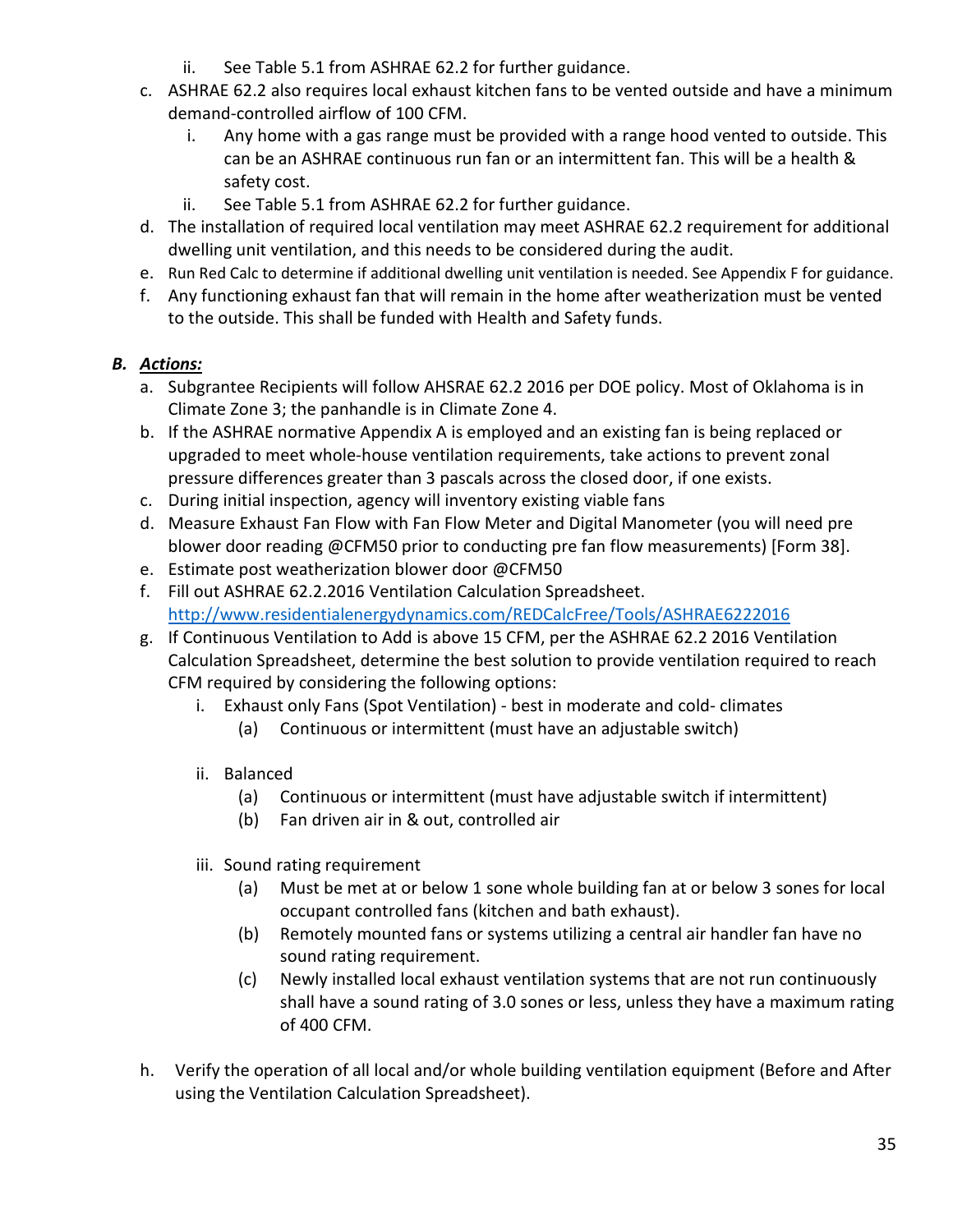- ii. See Table 5.1 from ASHRAE 62.2 for further guidance.
- c. ASHRAE 62.2 also requires local exhaust kitchen fans to be vented outside and have a minimum demand-controlled airflow of 100 CFM.
	- i. Any home with a gas range must be provided with a range hood vented to outside. This can be an ASHRAE continuous run fan or an intermittent fan. This will be a health & safety cost.
	- ii. See Table 5.1 from ASHRAE 62.2 for further guidance.
- d. The installation of required local ventilation may meet ASHRAE 62.2 requirement for additional dwelling unit ventilation, and this needs to be considered during the audit.
- e. Run Red Calc to determine if additional dwelling unit ventilation is needed. See Appendix F for guidance.
- f. Any functioning exhaust fan that will remain in the home after weatherization must be vented to the outside. This shall be funded with Health and Safety funds.

- a. Subgrantee Recipients will follow AHSRAE 62.2 2016 per DOE policy. Most of Oklahoma is in Climate Zone 3; the panhandle is in Climate Zone 4.
- b. If the ASHRAE normative Appendix A is employed and an existing fan is being replaced or upgraded to meet whole-house ventilation requirements, take actions to prevent zonal pressure differences greater than 3 pascals across the closed door, if one exists.
- c. During initial inspection, agency will inventory existing viable fans
- d. Measure Exhaust Fan Flow with Fan Flow Meter and Digital Manometer (you will need pre blower door reading @CFM50 prior to conducting pre fan flow measurements) [Form 38].
- e. Estimate post weatherization blower door @CFM50
- f. Fill out ASHRAE 62.2.2016 Ventilation Calculation Spreadsheet. <http://www.residentialenergydynamics.com/REDCalcFree/Tools/ASHRAE6222016>
- g. If Continuous Ventilation to Add is above 15 CFM, per the ASHRAE 62.2 2016 Ventilation Calculation Spreadsheet, determine the best solution to provide ventilation required to reach CFM required by considering the following options:
	- i. Exhaust only Fans (Spot Ventilation) best in moderate and cold- climates
		- (a) Continuous or intermittent (must have an adjustable switch)
	- ii. Balanced
		- (a) Continuous or intermittent (must have adjustable switch if intermittent)
		- (b) Fan driven air in & out, controlled air
	- iii. Sound rating requirement
		- (a) Must be met at or below 1 sone whole building fan at or below 3 sones for local occupant controlled fans (kitchen and bath exhaust).
		- (b) Remotely mounted fans or systems utilizing a central air handler fan have no sound rating requirement.
		- (c) Newly installed local exhaust ventilation systems that are not run continuously shall have a sound rating of 3.0 sones or less, unless they have a maximum rating of 400 CFM.
- h. Verify the operation of all local and/or whole building ventilation equipment (Before and After using the Ventilation Calculation Spreadsheet).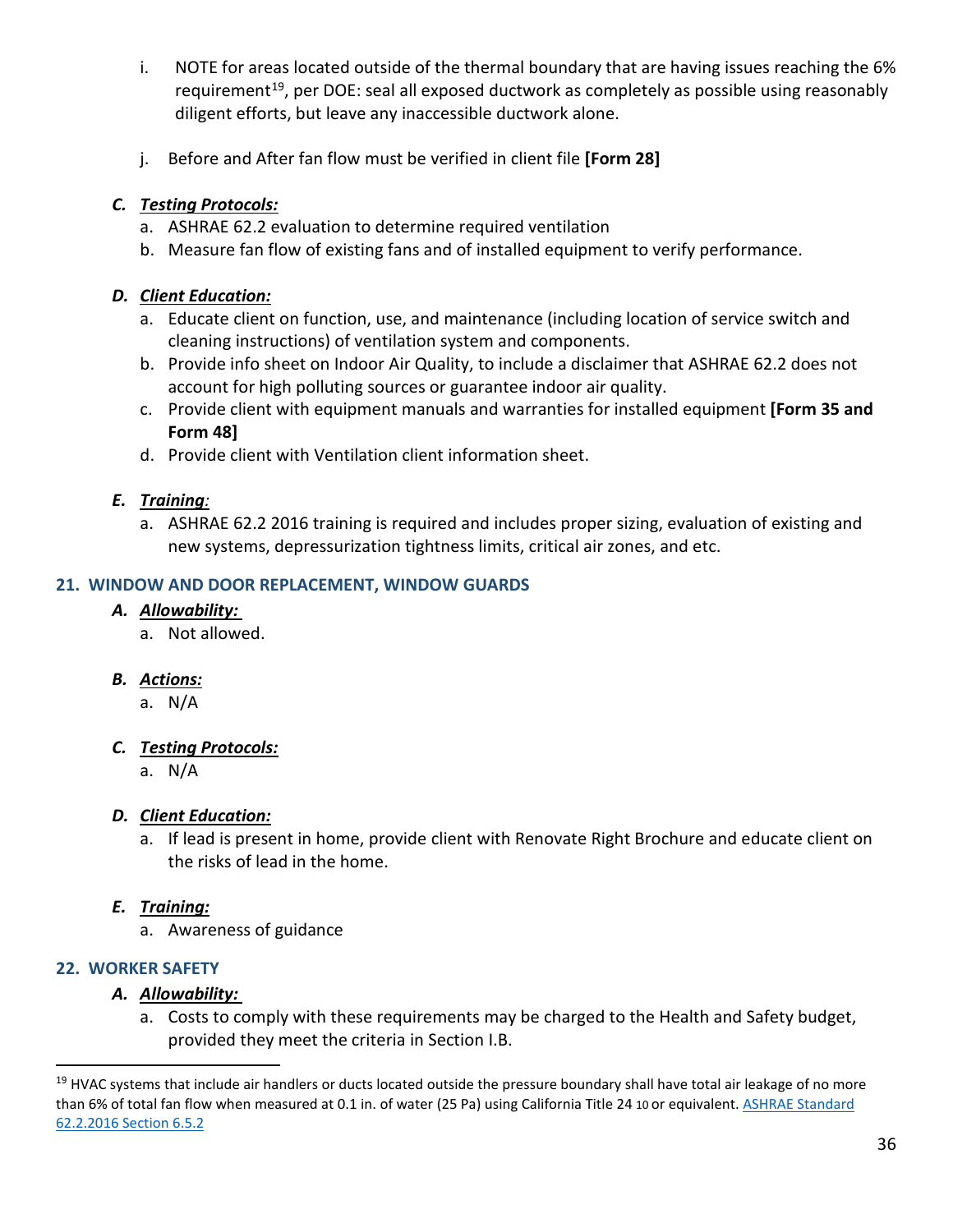- i. NOTE for areas located outside of the thermal boundary that are having issues reaching the 6% requirement<sup>19</sup>, per DOE: seal all exposed ductwork as completely as possible using reasonably diligent efforts, but leave any inaccessible ductwork alone.
- j. Before and After fan flow must be verified in client file **[Form 28]**

- a. ASHRAE 62.2 evaluation to determine required ventilation
- b. Measure fan flow of existing fans and of installed equipment to verify performance.

#### *D. Client Education:*

- a. Educate client on function, use, and maintenance (including location of service switch and cleaning instructions) of ventilation system and components.
- b. Provide info sheet on Indoor Air Quality, to include a disclaimer that ASHRAE 62.2 does not account for high polluting sources or guarantee indoor air quality.
- c. Provide client with equipment manuals and warranties for installed equipment **[Form 35 and Form 48]**
- d. Provide client with Ventilation client information sheet.

## *E. Training:*

a. ASHRAE 62.2 2016 training is required and includes proper sizing, evaluation of existing and new systems, depressurization tightness limits, critical air zones, and etc.

#### **21. WINDOW AND DOOR REPLACEMENT, WINDOW GUARDS**

#### *A. Allowability:*

a. Not allowed.

#### *B. Actions:*

a. N/A

## *C. Testing Protocols:*

a. N/A

## *D. Client Education:*

a. If lead is present in home, provide client with Renovate Right Brochure and educate client on the risks of lead in the home.

## *E. Training:*

a. Awareness of guidance

## **22. WORKER SAFETY**

#### *A. Allowability:*

a. Costs to comply with these requirements may be charged to the Health and Safety budget, provided they meet the criteria in Section I.B.

<span id="page-35-0"></span><sup>&</sup>lt;sup>19</sup> HVAC systems that include air handlers or ducts located outside the pressure boundary shall have total air leakage of no more than 6% of total fan flow when measured at 0.1 in. of water (25 Pa) using California Title 24 10 or equivalent. ASHRAE Standard [62.2.2016 Section 6.5.2](https://ashrae.iwrapper.com/ViewOnline/Standard_62.2-2016)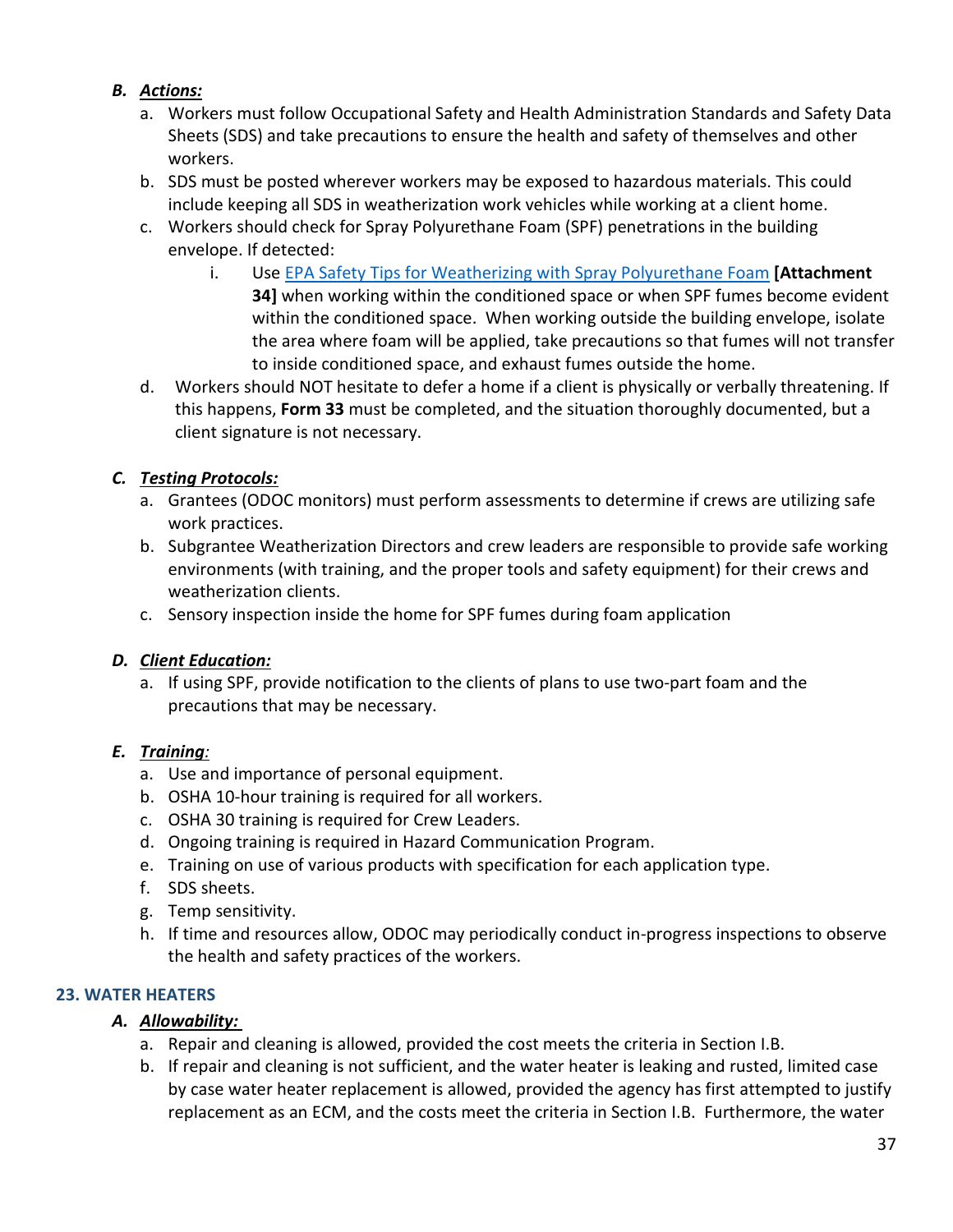## *B. Actions:*

- a. Workers must follow Occupational Safety and Health Administration Standards and Safety Data Sheets (SDS) and take precautions to ensure the health and safety of themselves and other workers.
- b. SDS must be posted wherever workers may be exposed to hazardous materials. This could include keeping all SDS in weatherization work vehicles while working at a client home.
- c. Workers should check for Spray Polyurethane Foam (SPF) penetrations in the building envelope. If detected:
	- i. Use [EPA Safety Tips for Weatherizing with Spray Polyurethane Foam](https://www.epa.gov/sites/production/files/2015-09/documents/spf_postcard.pdf) **[Attachment 34]** when working within the conditioned space or when SPF fumes become evident within the conditioned space. When working outside the building envelope, isolate the area where foam will be applied, take precautions so that fumes will not transfer to inside conditioned space, and exhaust fumes outside the home.
- d. Workers should NOT hesitate to defer a home if a client is physically or verbally threatening. If this happens, **Form 33** must be completed, and the situation thoroughly documented, but a client signature is not necessary.

# *C. Testing Protocols:*

- a. Grantees (ODOC monitors) must perform assessments to determine if crews are utilizing safe work practices.
- b. Subgrantee Weatherization Directors and crew leaders are responsible to provide safe working environments (with training, and the proper tools and safety equipment) for their crews and weatherization clients.
- c. Sensory inspection inside the home for SPF fumes during foam application

## *D. Client Education:*

a. If using SPF, provide notification to the clients of plans to use two-part foam and the precautions that may be necessary.

# *E. Training:*

- a. Use and importance of personal equipment.
- b. OSHA 10-hour training is required for all workers.
- c. OSHA 30 training is required for Crew Leaders.
- d. Ongoing training is required in Hazard Communication Program.
- e. Training on use of various products with specification for each application type.
- f. SDS sheets.
- g. Temp sensitivity.
- h. If time and resources allow, ODOC may periodically conduct in-progress inspections to observe the health and safety practices of the workers.

# **23. WATER HEATERS**

# *A. Allowability:*

- a. Repair and cleaning is allowed, provided the cost meets the criteria in Section I.B.
- b. If repair and cleaning is not sufficient, and the water heater is leaking and rusted, limited case by case water heater replacement is allowed, provided the agency has first attempted to justify replacement as an ECM, and the costs meet the criteria in Section I.B. Furthermore, the water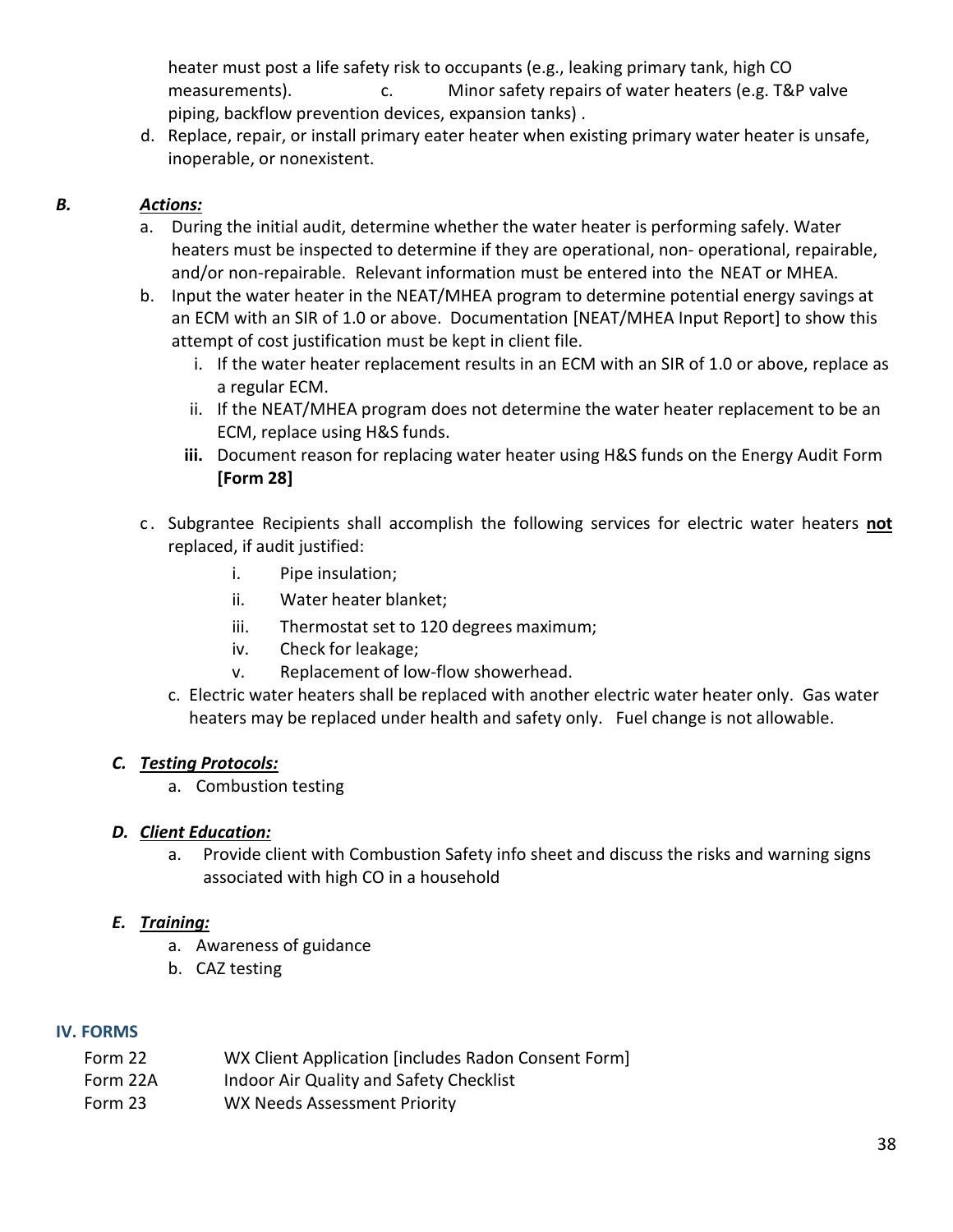heater must post a life safety risk to occupants (e.g., leaking primary tank, high CO measurements). c. Minor safety repairs of water heaters (e.g. T&P valve piping, backflow prevention devices, expansion tanks) .

 d. Replace, repair, or install primary eater heater when existing primary water heater is unsafe, inoperable, or nonexistent.

## *B. Actions:*

- a. During the initial audit, determine whether the water heater is performing safely. Water heaters must be inspected to determine if they are operational, non- operational, repairable, and/or non-repairable. Relevant information must be entered into the NEAT or MHEA.
- b. Input the water heater in the NEAT/MHEA program to determine potential energy savings at an ECM with an SIR of 1.0 or above. Documentation [NEAT/MHEA Input Report] to show this attempt of cost justification must be kept in client file.
	- i. If the water heater replacement results in an ECM with an SIR of 1.0 or above, replace as a regular ECM.
	- ii. If the NEAT/MHEA program does not determine the water heater replacement to be an ECM, replace using H&S funds.
	- **iii.** Document reason for replacing water heater using H&S funds on the Energy Audit Form **[Form 28]**
- c . Subgrantee Recipients shall accomplish the following services for electric water heaters **not** replaced, if audit justified:
	- i. Pipe insulation;
	- ii. Water heater blanket;
	- iii. Thermostat set to 120 degrees maximum;
	- iv. Check for leakage;
	- v. Replacement of low-flow showerhead.
	- c. Electric water heaters shall be replaced with another electric water heater only. Gas water heaters may be replaced under health and safety only. Fuel change is not allowable.

#### *C. Testing Protocols:*

a. Combustion testing

## *D. Client Education:*

a. Provide client with Combustion Safety info sheet and discuss the risks and warning signs associated with high CO in a household

## *E. Training:*

- a. Awareness of guidance
- b. CAZ testing

## **IV. FORMS**

- Form 22 WX Client Application [includes Radon Consent Form]
- Form 22A Indoor Air Quality and Safety Checklist
- Form 23 WX Needs Assessment Priority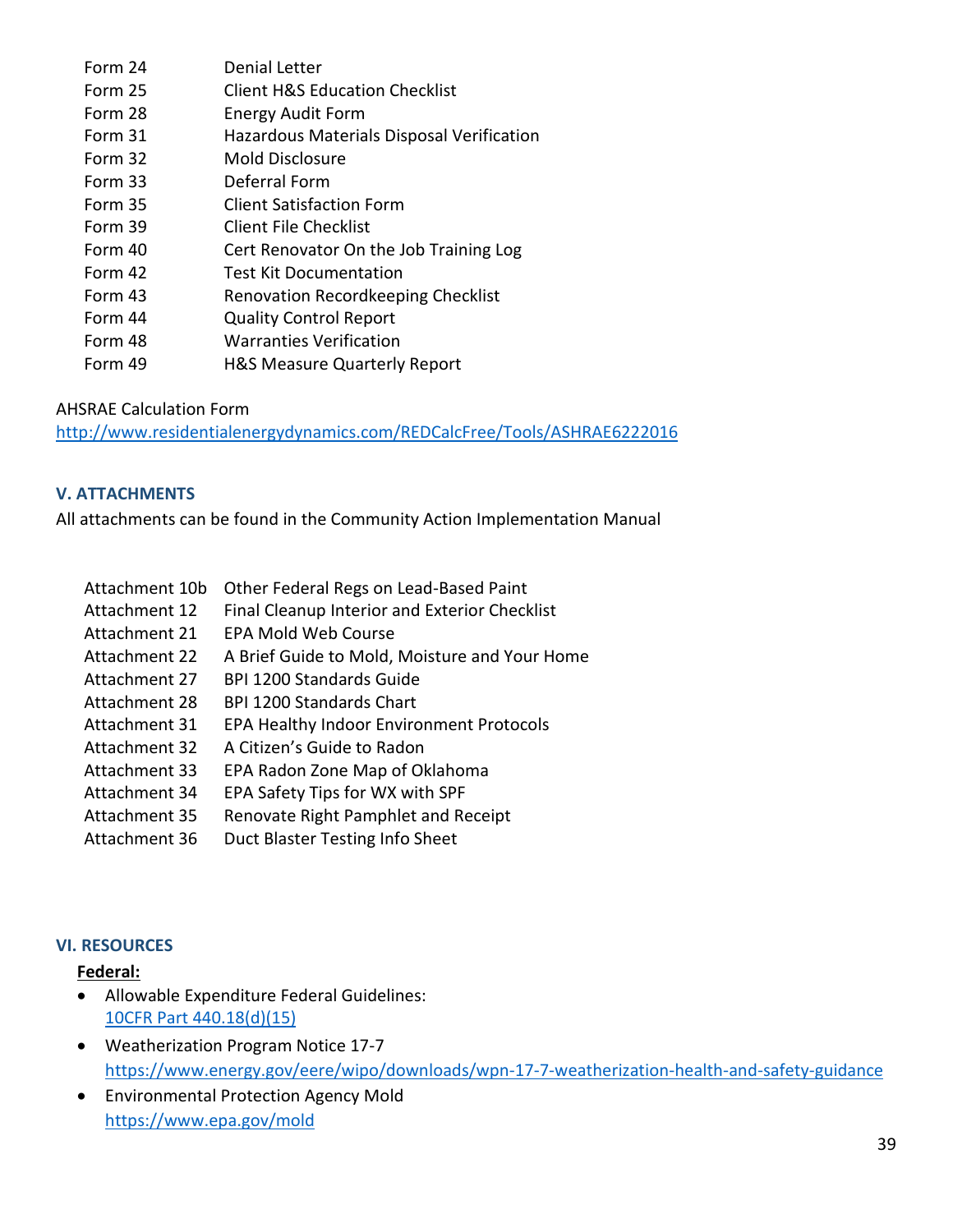| Form 24 | <b>Denial Letter</b>                      |
|---------|-------------------------------------------|
| Form 25 | <b>Client H&amp;S Education Checklist</b> |
| Form 28 | <b>Energy Audit Form</b>                  |
| Form 31 | Hazardous Materials Disposal Verification |
| Form 32 | Mold Disclosure                           |
| Form 33 | Deferral Form                             |
| Form 35 | <b>Client Satisfaction Form</b>           |
| Form 39 | <b>Client File Checklist</b>              |
| Form 40 | Cert Renovator On the Job Training Log    |
| Form 42 | <b>Test Kit Documentation</b>             |
| Form 43 | Renovation Recordkeeping Checklist        |
| Form 44 | <b>Quality Control Report</b>             |
| Form 48 | <b>Warranties Verification</b>            |
| Form 49 | <b>H&amp;S Measure Quarterly Report</b>   |

AHSRAE Calculation Form

<http://www.residentialenergydynamics.com/REDCalcFree/Tools/ASHRAE6222016>

#### **V. ATTACHMENTS**

All attachments can be found in the Community Action Implementation Manual

- Attachment 10b Other Federal Regs on Lead-Based Paint
- Attachment 12 Final Cleanup Interior and Exterior Checklist
- Attachment 21 EPA Mold Web Course
- Attachment 22 A Brief Guide to Mold, Moisture and Your Home
- Attachment 27 BPI 1200 Standards Guide
- Attachment 28 BPI 1200 Standards Chart
- Attachment 31 EPA Healthy Indoor Environment Protocols
- Attachment 32 A Citizen's Guide to Radon
- Attachment 33 EPA Radon Zone Map of Oklahoma
- Attachment 34 EPA Safety Tips for WX with SPF
- Attachment 35 Renovate Right Pamphlet and Receipt
- Attachment 36 Duct Blaster Testing Info Sheet

#### **VI. RESOURCES**

#### **Federal:**

- Allowable Expenditure Federal Guidelines: [10CFR Part 440.18\(d\)\(15\)](https://www.gpo.gov/fdsys/pkg/CFR-2011-title10-vol3/pdf/CFR-2011-title10-vol3-sec440-18.pdfhttps:/www.gpo.gov/fdsys/pkg/CFR-2011-title10-vol3/pdf/CFR-2011-title10-vol3-sec440-18.pdf)
- Weatherization Program Notice 17-7 <https://www.energy.gov/eere/wipo/downloads/wpn-17-7-weatherization-health-and-safety-guidance>
- Environmental Protection Agency Mold <https://www.epa.gov/mold>